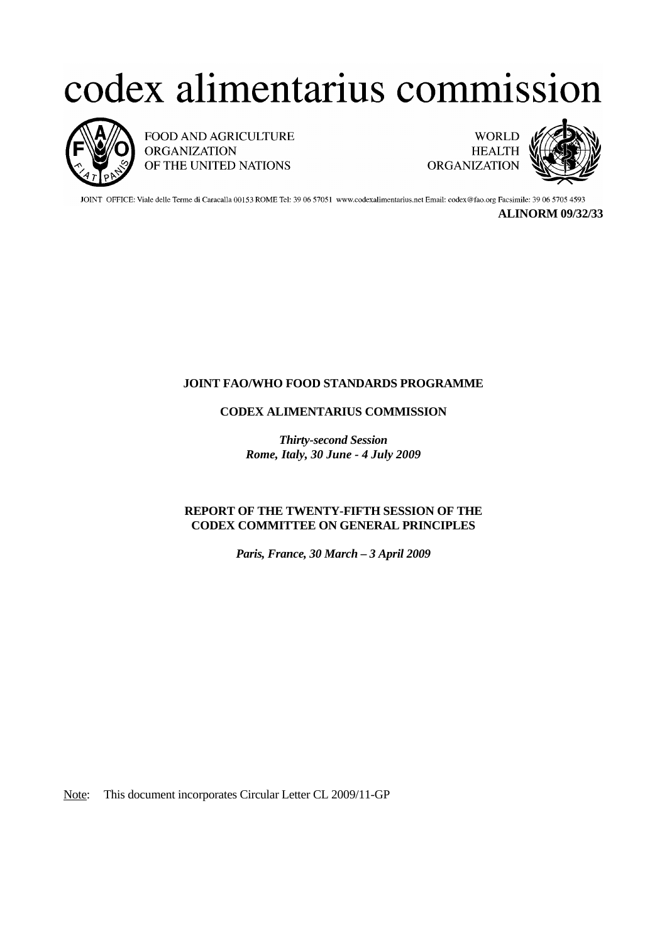## codex alimentarius commission



FOOD AND AGRICULTURE **ORGANIZATION** OF THE UNITED NATIONS



JOINT OFFICE: Viale delle Terme di Caracalla 00153 ROME Tel: 39 06 57051 www.codexalimentarius.net Email: codex@fao.org Facsimile: 39 06 5705 4593

**ALINORM 09/32/33**

## **JOINT FAO/WHO FOOD STANDARDS PROGRAMME**

## **CODEX ALIMENTARIUS COMMISSION**

*Thirty-second Session Rome, Italy, 30 June - 4 July 2009* 

## **REPORT OF THE TWENTY-FIFTH SESSION OF THE CODEX COMMITTEE ON GENERAL PRINCIPLES**

*Paris, France, 30 March – 3 April 2009* 

Note: This document incorporates Circular Letter CL 2009/11-GP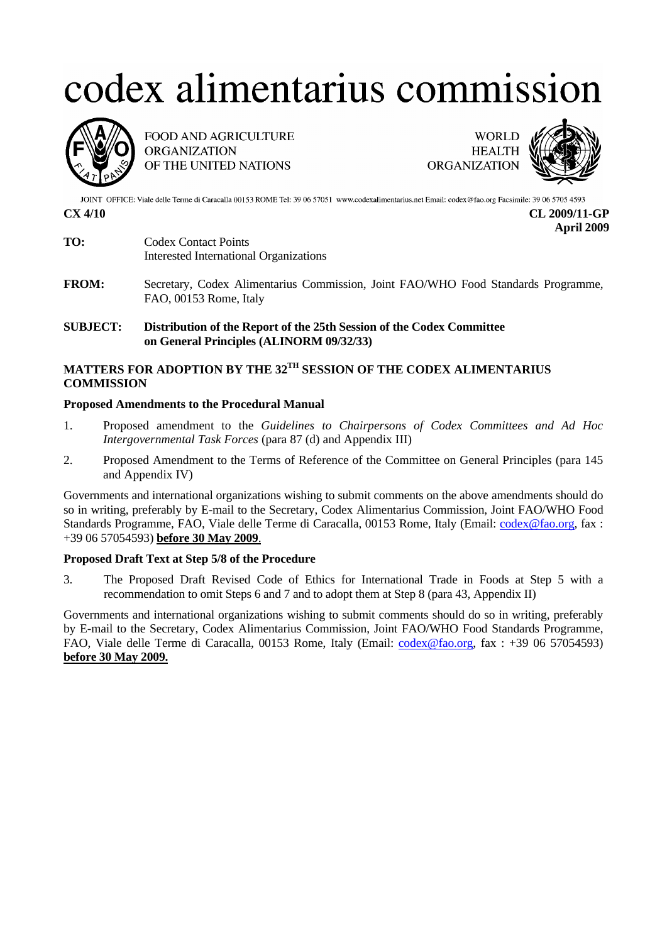# codex alimentarius commission



FOOD AND AGRICULTURE **ORGANIZATION** OF THE UNITED NATIONS



JOINT OFFICE: Viale delle Terme di Caracalla 00153 ROME Tel: 39 06 57051 www.codexalimentarius.net Email: codex@fao.org Facsimile: 39 06 5705 4593

**CX 4/10 CL 2009/11-GP April 2009** 

- **TO:** Codex Contact Points Interested International Organizations
- **FROM:** Secretary, Codex Alimentarius Commission, Joint FAO/WHO Food Standards Programme, FAO, 00153 Rome, Italy

## **SUBJECT: Distribution of the Report of the 25th Session of the Codex Committee on General Principles (ALINORM 09/32/33)**

## **MATTERS FOR ADOPTION BY THE 32TH SESSION OF THE CODEX ALIMENTARIUS COMMISSION**

## **Proposed Amendments to the Procedural Manual**

- 1. Proposed amendment to the *Guidelines to Chairpersons of Codex Committees and Ad Hoc Intergovernmental Task Forces* (para 87 (d) and Appendix III)
- 2. Proposed Amendment to the Terms of Reference of the Committee on General Principles (para 145 and Appendix IV)

Governments and international organizations wishing to submit comments on the above amendments should do so in writing, preferably by E-mail to the Secretary, Codex Alimentarius Commission, Joint FAO/WHO Food Standards Programme, FAO, Viale delle Terme di Caracalla, 00153 Rome, Italy (Email: codex@fao.org, fax : +39 06 57054593) **before 30 May 2009**.

## **Proposed Draft Text at Step 5/8 of the Procedure**

3. The Proposed Draft Revised Code of Ethics for International Trade in Foods at Step 5 with a recommendation to omit Steps 6 and 7 and to adopt them at Step 8 (para 43, Appendix II)

Governments and international organizations wishing to submit comments should do so in writing, preferably by E-mail to the Secretary, Codex Alimentarius Commission, Joint FAO/WHO Food Standards Programme, FAO, Viale delle Terme di Caracalla, 00153 Rome, Italy (Email: codex@fao.org, fax : +39 06 57054593) **before 30 May 2009.**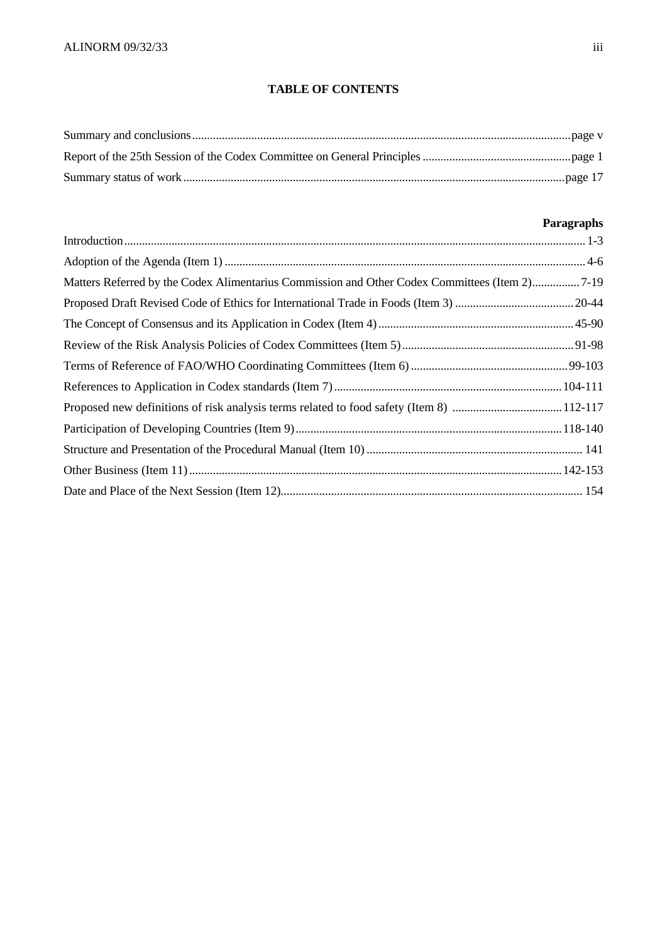## **TABLE OF CONTENTS**

## **Paragraphs**

| Matters Referred by the Codex Alimentarius Commission and Other Codex Committees (Item 2)7-19 |  |
|-----------------------------------------------------------------------------------------------|--|
|                                                                                               |  |
|                                                                                               |  |
|                                                                                               |  |
|                                                                                               |  |
|                                                                                               |  |
|                                                                                               |  |
|                                                                                               |  |
|                                                                                               |  |
|                                                                                               |  |
|                                                                                               |  |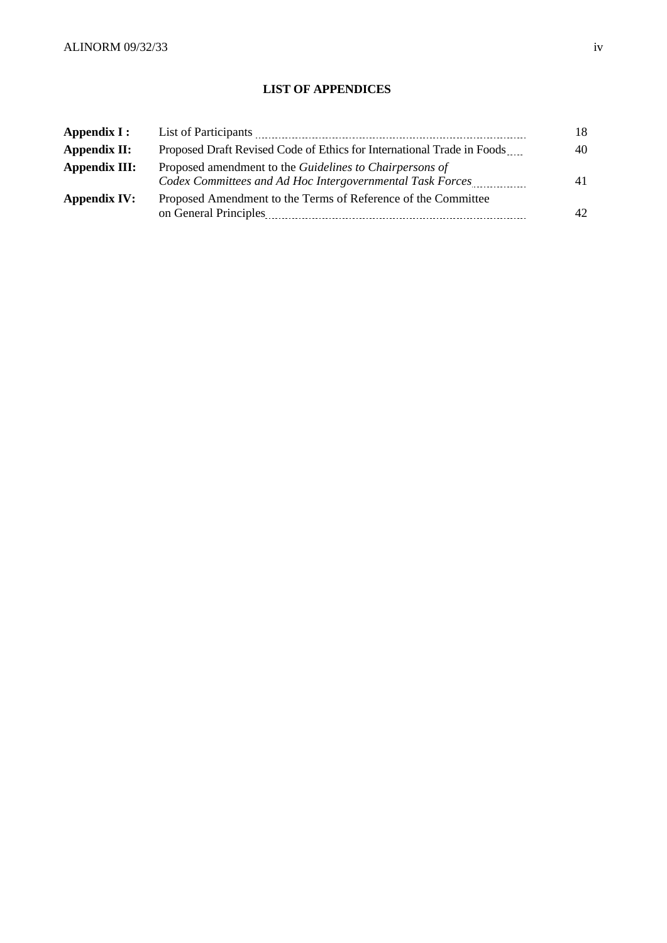## **LIST OF APPENDICES**

| Appendix I:         | List of Participants                                                                                                             | 18 |
|---------------------|----------------------------------------------------------------------------------------------------------------------------------|----|
| Appendix II:        | Proposed Draft Revised Code of Ethics for International Trade in Foods                                                           | 40 |
| Appendix III:       | Proposed amendment to the Guidelines to Chairpersons of<br>Codex Committees and Ad Hoc Intergovernmental Task Forces             | 41 |
| <b>Appendix IV:</b> | Proposed Amendment to the Terms of Reference of the Committee<br>on General Principles<br>-------------------------------------- | 42 |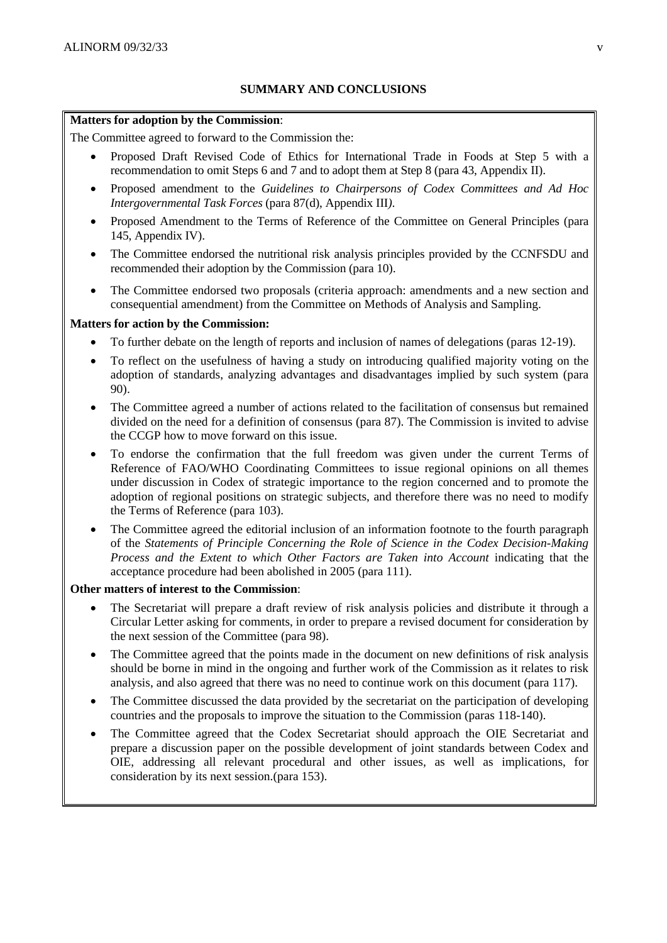## **SUMMARY AND CONCLUSIONS**

#### **Matters for adoption by the Commission**:

The Committee agreed to forward to the Commission the:

- Proposed Draft Revised Code of Ethics for International Trade in Foods at Step 5 with a recommendation to omit Steps 6 and 7 and to adopt them at Step 8 (para 43, Appendix II).
- Proposed amendment to the *Guidelines to Chairpersons of Codex Committees and Ad Hoc Intergovernmental Task Forces* (para 87(d), Appendix III*)*.
- Proposed Amendment to the Terms of Reference of the Committee on General Principles (para 145, Appendix IV).
- The Committee endorsed the nutritional risk analysis principles provided by the CCNFSDU and recommended their adoption by the Commission (para 10).
- The Committee endorsed two proposals (criteria approach: amendments and a new section and consequential amendment) from the Committee on Methods of Analysis and Sampling.

## **Matters for action by the Commission:**

- To further debate on the length of reports and inclusion of names of delegations (paras 12-19).
- To reflect on the usefulness of having a study on introducing qualified majority voting on the adoption of standards, analyzing advantages and disadvantages implied by such system (para 90).
- The Committee agreed a number of actions related to the facilitation of consensus but remained divided on the need for a definition of consensus (para 87). The Commission is invited to advise the CCGP how to move forward on this issue.
- To endorse the confirmation that the full freedom was given under the current Terms of Reference of FAO/WHO Coordinating Committees to issue regional opinions on all themes under discussion in Codex of strategic importance to the region concerned and to promote the adoption of regional positions on strategic subjects, and therefore there was no need to modify the Terms of Reference (para 103).
- The Committee agreed the editorial inclusion of an information footnote to the fourth paragraph of the *Statements of Principle Concerning the Role of Science in the Codex Decision-Making Process and the Extent to which Other Factors are Taken into Account* indicating that the acceptance procedure had been abolished in 2005 (para 111).

## **Other matters of interest to the Commission**:

- The Secretariat will prepare a draft review of risk analysis policies and distribute it through a Circular Letter asking for comments, in order to prepare a revised document for consideration by the next session of the Committee (para 98).
- The Committee agreed that the points made in the document on new definitions of risk analysis should be borne in mind in the ongoing and further work of the Commission as it relates to risk analysis, and also agreed that there was no need to continue work on this document (para 117).
- The Committee discussed the data provided by the secretariat on the participation of developing countries and the proposals to improve the situation to the Commission (paras 118-140).
- The Committee agreed that the Codex Secretariat should approach the OIE Secretariat and prepare a discussion paper on the possible development of joint standards between Codex and OIE, addressing all relevant procedural and other issues, as well as implications, for consideration by its next session.(para 153).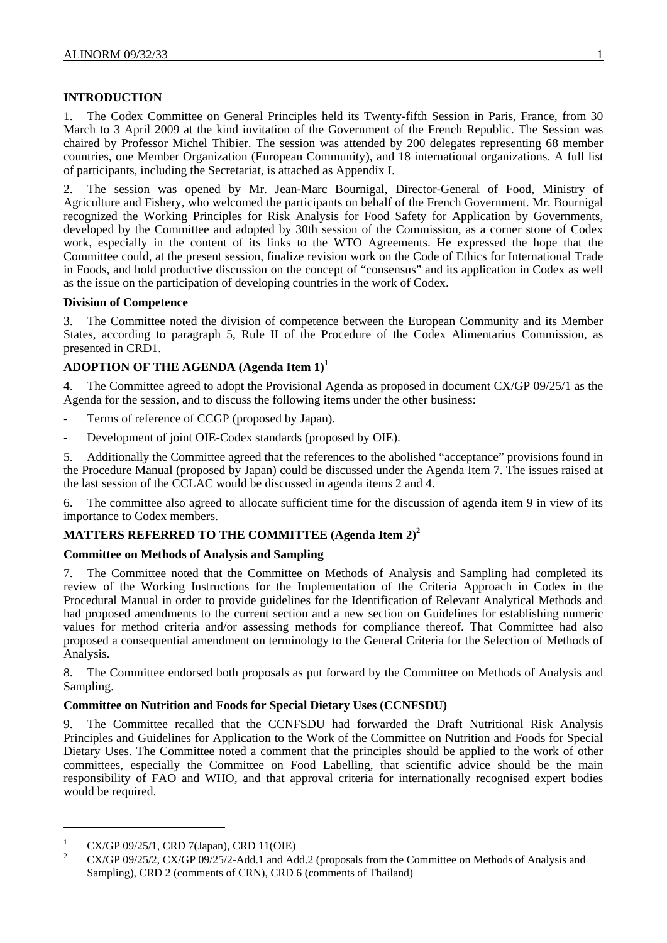## **INTRODUCTION**

1. The Codex Committee on General Principles held its Twenty-fifth Session in Paris, France, from 30 March to 3 April 2009 at the kind invitation of the Government of the French Republic. The Session was chaired by Professor Michel Thibier. The session was attended by 200 delegates representing 68 member countries, one Member Organization (European Community), and 18 international organizations. A full list of participants, including the Secretariat, is attached as Appendix I.

2. The session was opened by Mr. Jean-Marc Bournigal, Director-General of Food, Ministry of Agriculture and Fishery, who welcomed the participants on behalf of the French Government. Mr. Bournigal recognized the Working Principles for Risk Analysis for Food Safety for Application by Governments, developed by the Committee and adopted by 30th session of the Commission, as a corner stone of Codex work, especially in the content of its links to the WTO Agreements. He expressed the hope that the Committee could, at the present session, finalize revision work on the Code of Ethics for International Trade in Foods, and hold productive discussion on the concept of "consensus" and its application in Codex as well as the issue on the participation of developing countries in the work of Codex.

## **Division of Competence**

3. The Committee noted the division of competence between the European Community and its Member States, according to paragraph 5, Rule II of the Procedure of the Codex Alimentarius Commission, as presented in CRD1.

## **ADOPTION OF THE AGENDA (Agenda Item 1)<sup>1</sup>**

4. The Committee agreed to adopt the Provisional Agenda as proposed in document CX/GP 09/25/1 as the Agenda for the session, and to discuss the following items under the other business:

- Terms of reference of CCGP (proposed by Japan).
- Development of joint OIE-Codex standards (proposed by OIE).

5. Additionally the Committee agreed that the references to the abolished "acceptance" provisions found in the Procedure Manual (proposed by Japan) could be discussed under the Agenda Item 7. The issues raised at the last session of the CCLAC would be discussed in agenda items 2 and 4.

6. The committee also agreed to allocate sufficient time for the discussion of agenda item 9 in view of its importance to Codex members.

## **MATTERS REFERRED TO THE COMMITTEE (Agenda Item 2)<sup>2</sup>**

## **Committee on Methods of Analysis and Sampling**

7. The Committee noted that the Committee on Methods of Analysis and Sampling had completed its review of the Working Instructions for the Implementation of the Criteria Approach in Codex in the Procedural Manual in order to provide guidelines for the Identification of Relevant Analytical Methods and had proposed amendments to the current section and a new section on Guidelines for establishing numeric values for method criteria and/or assessing methods for compliance thereof. That Committee had also proposed a consequential amendment on terminology to the General Criteria for the Selection of Methods of Analysis.

8. The Committee endorsed both proposals as put forward by the Committee on Methods of Analysis and Sampling.

## **Committee on Nutrition and Foods for Special Dietary Uses (CCNFSDU)**

9. The Committee recalled that the CCNFSDU had forwarded the Draft Nutritional Risk Analysis Principles and Guidelines for Application to the Work of the Committee on Nutrition and Foods for Special Dietary Uses. The Committee noted a comment that the principles should be applied to the work of other committees, especially the Committee on Food Labelling, that scientific advice should be the main responsibility of FAO and WHO, and that approval criteria for internationally recognised expert bodies would be required.

 $\overline{\phantom{a}}$ 

<sup>1</sup> CX/GP 09/25/1, CRD 7(Japan), CRD 11(OIE)

<sup>2</sup> CX/GP 09/25/2, CX/GP 09/25/2-Add.1 and Add.2 (proposals from the Committee on Methods of Analysis and Sampling), CRD 2 (comments of CRN), CRD 6 (comments of Thailand)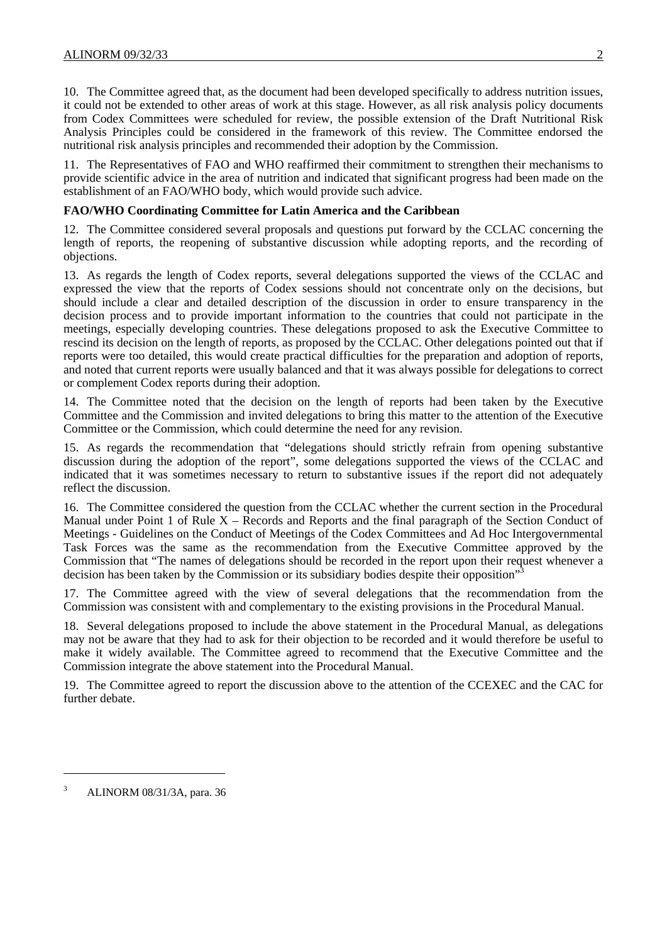10. The Committee agreed that, as the document had been developed specifically to address nutrition issues, it could not be extended to other areas of work at this stage. However, as all risk analysis policy documents from Codex Committees were scheduled for review, the possible extension of the Draft Nutritional Risk Analysis Principles could be considered in the framework of this review. The Committee endorsed the nutritional risk analysis principles and recommended their adoption by the Commission.

11. The Representatives of FAO and WHO reaffirmed their commitment to strengthen their mechanisms to provide scientific advice in the area of nutrition and indicated that significant progress had been made on the establishment of an FAO/WHO body, which would provide such advice.

#### **FAO/WHO Coordinating Committee for Latin America and the Caribbean**

12. The Committee considered several proposals and questions put forward by the CCLAC concerning the length of reports, the reopening of substantive discussion while adopting reports, and the recording of objections.

13. As regards the length of Codex reports, several delegations supported the views of the CCLAC and expressed the view that the reports of Codex sessions should not concentrate only on the decisions, but should include a clear and detailed description of the discussion in order to ensure transparency in the decision process and to provide important information to the countries that could not participate in the meetings, especially developing countries. These delegations proposed to ask the Executive Committee to rescind its decision on the length of reports, as proposed by the CCLAC. Other delegations pointed out that if reports were too detailed, this would create practical difficulties for the preparation and adoption of reports, and noted that current reports were usually balanced and that it was always possible for delegations to correct or complement Codex reports during their adoption.

14. The Committee noted that the decision on the length of reports had been taken by the Executive Committee and the Commission and invited delegations to bring this matter to the attention of the Executive Committee or the Commission, which could determine the need for any revision.

15. As regards the recommendation that "delegations should strictly refrain from opening substantive discussion during the adoption of the report", some delegations supported the views of the CCLAC and indicated that it was sometimes necessary to return to substantive issues if the report did not adequately reflect the discussion.

16. The Committee considered the question from the CCLAC whether the current section in the Procedural Manual under Point 1 of Rule  $X -$  Records and Reports and the final paragraph of the Section Conduct of Meetings - Guidelines on the Conduct of Meetings of the Codex Committees and Ad Hoc Intergovernmental Task Forces was the same as the recommendation from the Executive Committee approved by the Commission that "The names of delegations should be recorded in the report upon their request whenever a decision has been taken by the Commission or its subsidiary bodies despite their opposition"

17. The Committee agreed with the view of several delegations that the recommendation from the Commission was consistent with and complementary to the existing provisions in the Procedural Manual.

18. Several delegations proposed to include the above statement in the Procedural Manual, as delegations may not be aware that they had to ask for their objection to be recorded and it would therefore be useful to make it widely available. The Committee agreed to recommend that the Executive Committee and the Commission integrate the above statement into the Procedural Manual.

19. The Committee agreed to report the discussion above to the attention of the CCEXEC and the CAC for further debate.

 $\overline{\phantom{a}}$ 

<sup>3</sup> ALINORM 08/31/3A, para. 36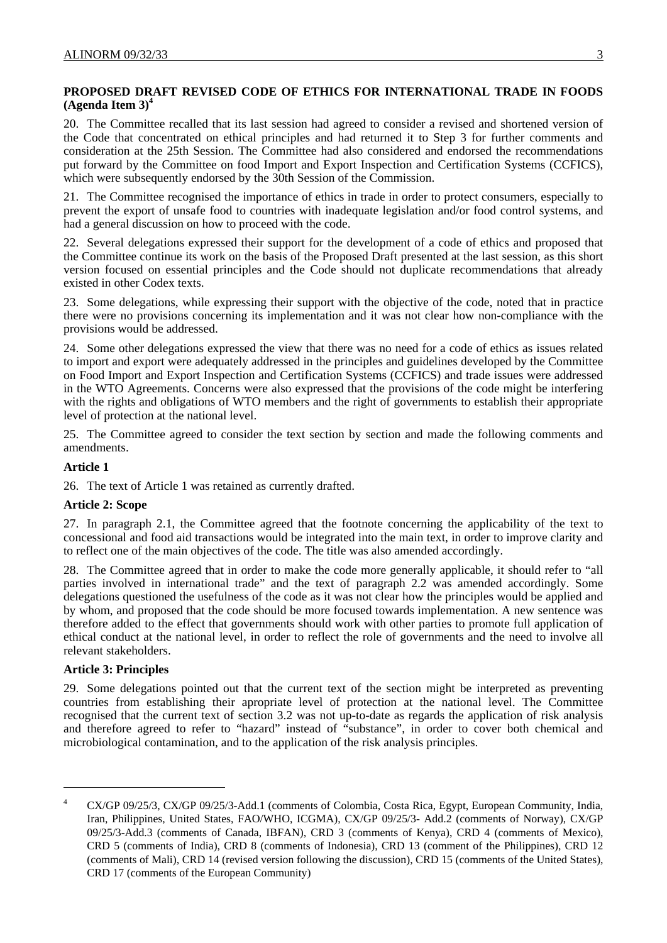## **PROPOSED DRAFT REVISED CODE OF ETHICS FOR INTERNATIONAL TRADE IN FOODS (Agenda Item 3)4**

20. The Committee recalled that its last session had agreed to consider a revised and shortened version of the Code that concentrated on ethical principles and had returned it to Step 3 for further comments and consideration at the 25th Session. The Committee had also considered and endorsed the recommendations put forward by the Committee on food Import and Export Inspection and Certification Systems (CCFICS), which were subsequently endorsed by the 30th Session of the Commission.

21. The Committee recognised the importance of ethics in trade in order to protect consumers, especially to prevent the export of unsafe food to countries with inadequate legislation and/or food control systems, and had a general discussion on how to proceed with the code.

22. Several delegations expressed their support for the development of a code of ethics and proposed that the Committee continue its work on the basis of the Proposed Draft presented at the last session, as this short version focused on essential principles and the Code should not duplicate recommendations that already existed in other Codex texts.

23. Some delegations, while expressing their support with the objective of the code, noted that in practice there were no provisions concerning its implementation and it was not clear how non-compliance with the provisions would be addressed.

24. Some other delegations expressed the view that there was no need for a code of ethics as issues related to import and export were adequately addressed in the principles and guidelines developed by the Committee on Food Import and Export Inspection and Certification Systems (CCFICS) and trade issues were addressed in the WTO Agreements. Concerns were also expressed that the provisions of the code might be interfering with the rights and obligations of WTO members and the right of governments to establish their appropriate level of protection at the national level.

25. The Committee agreed to consider the text section by section and made the following comments and amendments.

#### **Article 1**

26. The text of Article 1 was retained as currently drafted.

#### **Article 2: Scope**

27. In paragraph 2.1, the Committee agreed that the footnote concerning the applicability of the text to concessional and food aid transactions would be integrated into the main text, in order to improve clarity and to reflect one of the main objectives of the code. The title was also amended accordingly.

28. The Committee agreed that in order to make the code more generally applicable, it should refer to "all parties involved in international trade" and the text of paragraph 2.2 was amended accordingly. Some delegations questioned the usefulness of the code as it was not clear how the principles would be applied and by whom, and proposed that the code should be more focused towards implementation. A new sentence was therefore added to the effect that governments should work with other parties to promote full application of ethical conduct at the national level, in order to reflect the role of governments and the need to involve all relevant stakeholders.

#### **Article 3: Principles**

 $\overline{\phantom{a}}$ 

29. Some delegations pointed out that the current text of the section might be interpreted as preventing countries from establishing their apropriate level of protection at the national level. The Committee recognised that the current text of section 3.2 was not up-to-date as regards the application of risk analysis and therefore agreed to refer to "hazard" instead of "substance", in order to cover both chemical and microbiological contamination, and to the application of the risk analysis principles.

<sup>4</sup> CX/GP 09/25/3, CX/GP 09/25/3-Add.1 (comments of Colombia, Costa Rica, Egypt, European Community, India, Iran, Philippines, United States, FAO/WHO, ICGMA), CX/GP 09/25/3- Add.2 (comments of Norway), CX/GP 09/25/3-Add.3 (comments of Canada, IBFAN), CRD 3 (comments of Kenya), CRD 4 (comments of Mexico), CRD 5 (comments of India), CRD 8 (comments of Indonesia), CRD 13 (comment of the Philippines), CRD 12 (comments of Mali), CRD 14 (revised version following the discussion), CRD 15 (comments of the United States), CRD 17 (comments of the European Community)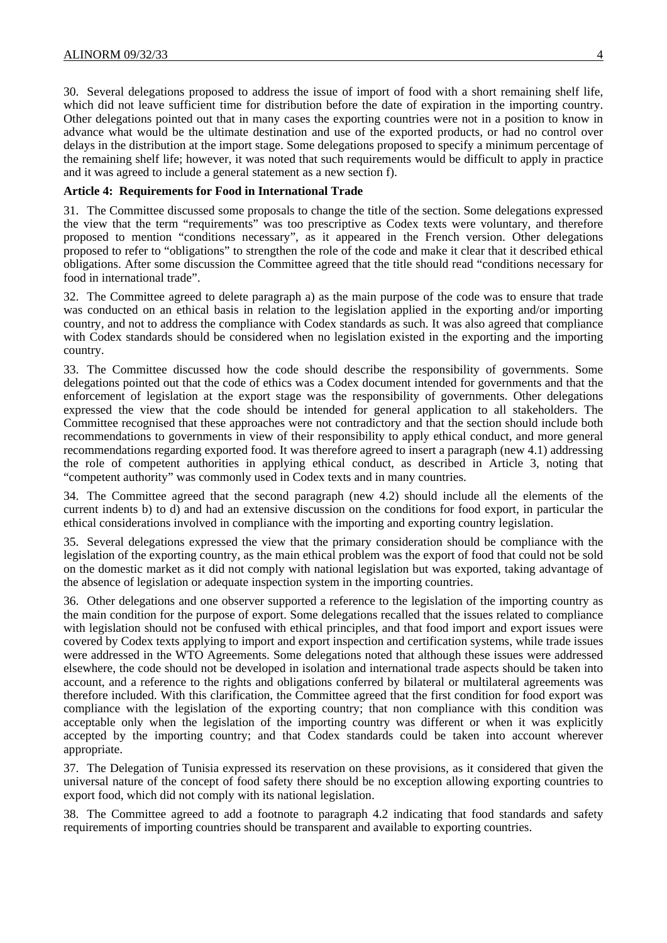30. Several delegations proposed to address the issue of import of food with a short remaining shelf life, which did not leave sufficient time for distribution before the date of expiration in the importing country. Other delegations pointed out that in many cases the exporting countries were not in a position to know in advance what would be the ultimate destination and use of the exported products, or had no control over delays in the distribution at the import stage. Some delegations proposed to specify a minimum percentage of the remaining shelf life; however, it was noted that such requirements would be difficult to apply in practice and it was agreed to include a general statement as a new section f).

#### **Article 4: Requirements for Food in International Trade**

31. The Committee discussed some proposals to change the title of the section. Some delegations expressed the view that the term "requirements" was too prescriptive as Codex texts were voluntary, and therefore proposed to mention "conditions necessary", as it appeared in the French version. Other delegations proposed to refer to "obligations" to strengthen the role of the code and make it clear that it described ethical obligations. After some discussion the Committee agreed that the title should read "conditions necessary for food in international trade".

32. The Committee agreed to delete paragraph a) as the main purpose of the code was to ensure that trade was conducted on an ethical basis in relation to the legislation applied in the exporting and/or importing country, and not to address the compliance with Codex standards as such. It was also agreed that compliance with Codex standards should be considered when no legislation existed in the exporting and the importing country.

33. The Committee discussed how the code should describe the responsibility of governments. Some delegations pointed out that the code of ethics was a Codex document intended for governments and that the enforcement of legislation at the export stage was the responsibility of governments. Other delegations expressed the view that the code should be intended for general application to all stakeholders. The Committee recognised that these approaches were not contradictory and that the section should include both recommendations to governments in view of their responsibility to apply ethical conduct, and more general recommendations regarding exported food. It was therefore agreed to insert a paragraph (new 4.1) addressing the role of competent authorities in applying ethical conduct, as described in Article 3, noting that "competent authority" was commonly used in Codex texts and in many countries.

34. The Committee agreed that the second paragraph (new 4.2) should include all the elements of the current indents b) to d) and had an extensive discussion on the conditions for food export, in particular the ethical considerations involved in compliance with the importing and exporting country legislation.

35. Several delegations expressed the view that the primary consideration should be compliance with the legislation of the exporting country, as the main ethical problem was the export of food that could not be sold on the domestic market as it did not comply with national legislation but was exported, taking advantage of the absence of legislation or adequate inspection system in the importing countries.

36. Other delegations and one observer supported a reference to the legislation of the importing country as the main condition for the purpose of export. Some delegations recalled that the issues related to compliance with legislation should not be confused with ethical principles, and that food import and export issues were covered by Codex texts applying to import and export inspection and certification systems, while trade issues were addressed in the WTO Agreements. Some delegations noted that although these issues were addressed elsewhere, the code should not be developed in isolation and international trade aspects should be taken into account, and a reference to the rights and obligations conferred by bilateral or multilateral agreements was therefore included. With this clarification, the Committee agreed that the first condition for food export was compliance with the legislation of the exporting country; that non compliance with this condition was acceptable only when the legislation of the importing country was different or when it was explicitly accepted by the importing country; and that Codex standards could be taken into account wherever appropriate.

37. The Delegation of Tunisia expressed its reservation on these provisions, as it considered that given the universal nature of the concept of food safety there should be no exception allowing exporting countries to export food, which did not comply with its national legislation.

38. The Committee agreed to add a footnote to paragraph 4.2 indicating that food standards and safety requirements of importing countries should be transparent and available to exporting countries.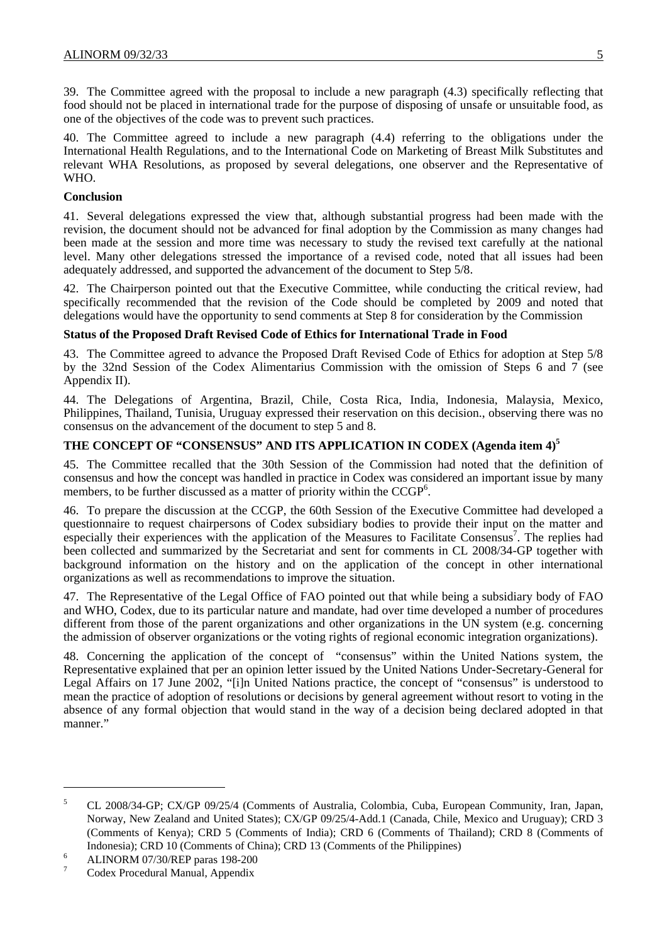39. The Committee agreed with the proposal to include a new paragraph (4.3) specifically reflecting that food should not be placed in international trade for the purpose of disposing of unsafe or unsuitable food, as one of the objectives of the code was to prevent such practices.

40. The Committee agreed to include a new paragraph (4.4) referring to the obligations under the International Health Regulations, and to the International Code on Marketing of Breast Milk Substitutes and relevant WHA Resolutions, as proposed by several delegations, one observer and the Representative of WHO.

#### **Conclusion**

41. Several delegations expressed the view that, although substantial progress had been made with the revision, the document should not be advanced for final adoption by the Commission as many changes had been made at the session and more time was necessary to study the revised text carefully at the national level. Many other delegations stressed the importance of a revised code, noted that all issues had been adequately addressed, and supported the advancement of the document to Step 5/8.

42. The Chairperson pointed out that the Executive Committee, while conducting the critical review, had specifically recommended that the revision of the Code should be completed by 2009 and noted that delegations would have the opportunity to send comments at Step 8 for consideration by the Commission

#### **Status of the Proposed Draft Revised Code of Ethics for International Trade in Food**

43. The Committee agreed to advance the Proposed Draft Revised Code of Ethics for adoption at Step 5/8 by the 32nd Session of the Codex Alimentarius Commission with the omission of Steps 6 and 7 (see Appendix II).

44. The Delegations of Argentina, Brazil, Chile, Costa Rica, India, Indonesia, Malaysia, Mexico, Philippines, Thailand, Tunisia, Uruguay expressed their reservation on this decision., observing there was no consensus on the advancement of the document to step 5 and 8.

#### **THE CONCEPT OF "CONSENSUS" AND ITS APPLICATION IN CODEX (Agenda item 4)<sup>5</sup>**

45. The Committee recalled that the 30th Session of the Commission had noted that the definition of consensus and how the concept was handled in practice in Codex was considered an important issue by many members, to be further discussed as a matter of priority within the  $CCGP<sup>6</sup>$ .

46. To prepare the discussion at the CCGP, the 60th Session of the Executive Committee had developed a questionnaire to request chairpersons of Codex subsidiary bodies to provide their input on the matter and especially their experiences with the application of the Measures to Facilitate Consensus<sup>7</sup>. The replies had been collected and summarized by the Secretariat and sent for comments in CL 2008/34-GP together with background information on the history and on the application of the concept in other international organizations as well as recommendations to improve the situation.

47. The Representative of the Legal Office of FAO pointed out that while being a subsidiary body of FAO and WHO, Codex, due to its particular nature and mandate, had over time developed a number of procedures different from those of the parent organizations and other organizations in the UN system (e.g. concerning the admission of observer organizations or the voting rights of regional economic integration organizations).

48. Concerning the application of the concept of "consensus" within the United Nations system, the Representative explained that per an opinion letter issued by the United Nations Under-Secretary-General for Legal Affairs on 17 June 2002, "[i]n United Nations practice, the concept of "consensus" is understood to mean the practice of adoption of resolutions or decisions by general agreement without resort to voting in the absence of any formal objection that would stand in the way of a decision being declared adopted in that manner."

 $\overline{\phantom{a}}$ 

<sup>5</sup> CL 2008/34-GP; CX/GP 09/25/4 (Comments of Australia, Colombia, Cuba, European Community, Iran, Japan, Norway, New Zealand and United States); CX/GP 09/25/4-Add.1 (Canada, Chile, Mexico and Uruguay); CRD 3 (Comments of Kenya); CRD 5 (Comments of India); CRD 6 (Comments of Thailand); CRD 8 (Comments of Indonesia); CRD 10 (Comments of China); CRD 13 (Comments of the Philippines)

<sup>6</sup> ALINORM 07/30/REP paras 198-200

<sup>7</sup> Codex Procedural Manual, Appendix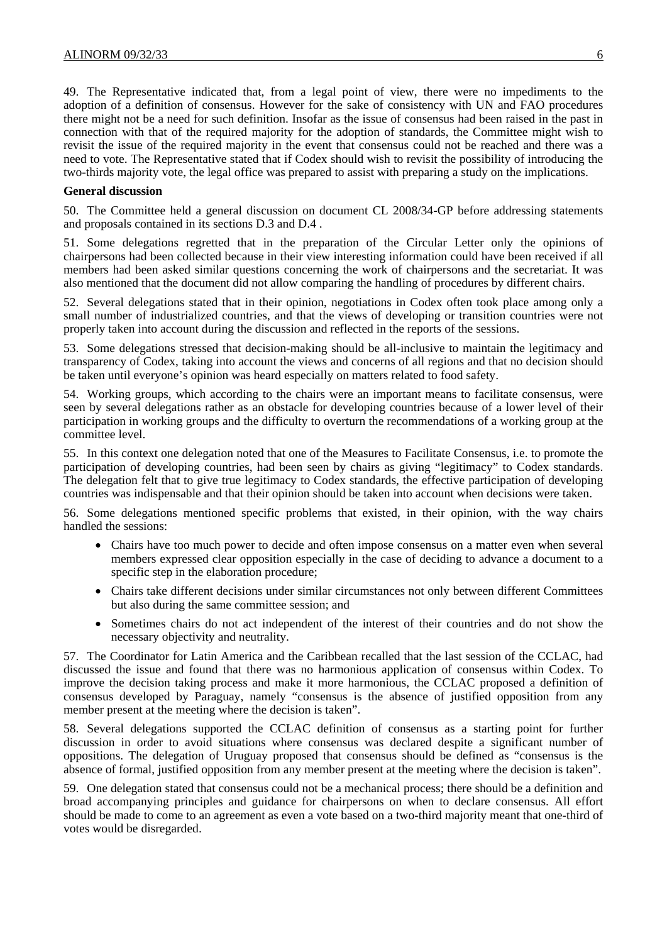49. The Representative indicated that, from a legal point of view, there were no impediments to the adoption of a definition of consensus. However for the sake of consistency with UN and FAO procedures there might not be a need for such definition. Insofar as the issue of consensus had been raised in the past in connection with that of the required majority for the adoption of standards, the Committee might wish to revisit the issue of the required majority in the event that consensus could not be reached and there was a need to vote. The Representative stated that if Codex should wish to revisit the possibility of introducing the two-thirds majority vote, the legal office was prepared to assist with preparing a study on the implications.

#### **General discussion**

50. The Committee held a general discussion on document CL 2008/34-GP before addressing statements and proposals contained in its sections D.3 and D.4 .

51. Some delegations regretted that in the preparation of the Circular Letter only the opinions of chairpersons had been collected because in their view interesting information could have been received if all members had been asked similar questions concerning the work of chairpersons and the secretariat. It was also mentioned that the document did not allow comparing the handling of procedures by different chairs.

52. Several delegations stated that in their opinion, negotiations in Codex often took place among only a small number of industrialized countries, and that the views of developing or transition countries were not properly taken into account during the discussion and reflected in the reports of the sessions.

53. Some delegations stressed that decision-making should be all-inclusive to maintain the legitimacy and transparency of Codex, taking into account the views and concerns of all regions and that no decision should be taken until everyone's opinion was heard especially on matters related to food safety.

54. Working groups, which according to the chairs were an important means to facilitate consensus, were seen by several delegations rather as an obstacle for developing countries because of a lower level of their participation in working groups and the difficulty to overturn the recommendations of a working group at the committee level.

55. In this context one delegation noted that one of the Measures to Facilitate Consensus, i.e. to promote the participation of developing countries, had been seen by chairs as giving "legitimacy" to Codex standards. The delegation felt that to give true legitimacy to Codex standards, the effective participation of developing countries was indispensable and that their opinion should be taken into account when decisions were taken.

56. Some delegations mentioned specific problems that existed, in their opinion, with the way chairs handled the sessions:

- Chairs have too much power to decide and often impose consensus on a matter even when several members expressed clear opposition especially in the case of deciding to advance a document to a specific step in the elaboration procedure;
- Chairs take different decisions under similar circumstances not only between different Committees but also during the same committee session; and
- Sometimes chairs do not act independent of the interest of their countries and do not show the necessary objectivity and neutrality.

57. The Coordinator for Latin America and the Caribbean recalled that the last session of the CCLAC, had discussed the issue and found that there was no harmonious application of consensus within Codex. To improve the decision taking process and make it more harmonious, the CCLAC proposed a definition of consensus developed by Paraguay, namely "consensus is the absence of justified opposition from any member present at the meeting where the decision is taken".

58. Several delegations supported the CCLAC definition of consensus as a starting point for further discussion in order to avoid situations where consensus was declared despite a significant number of oppositions. The delegation of Uruguay proposed that consensus should be defined as "consensus is the absence of formal, justified opposition from any member present at the meeting where the decision is taken".

59. One delegation stated that consensus could not be a mechanical process; there should be a definition and broad accompanying principles and guidance for chairpersons on when to declare consensus. All effort should be made to come to an agreement as even a vote based on a two-third majority meant that one-third of votes would be disregarded.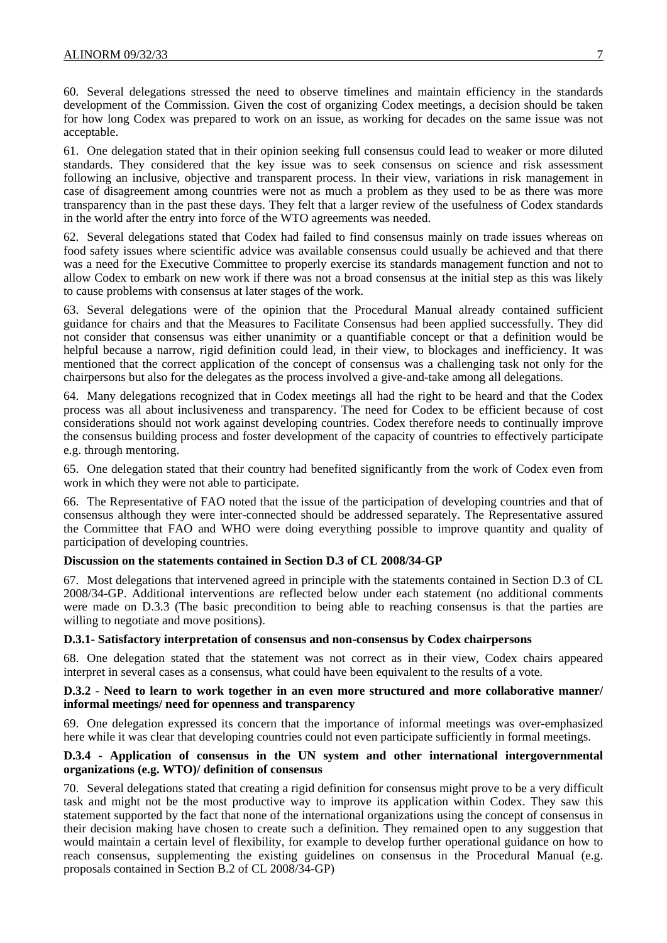60. Several delegations stressed the need to observe timelines and maintain efficiency in the standards development of the Commission. Given the cost of organizing Codex meetings, a decision should be taken for how long Codex was prepared to work on an issue, as working for decades on the same issue was not acceptable.

61. One delegation stated that in their opinion seeking full consensus could lead to weaker or more diluted standards. They considered that the key issue was to seek consensus on science and risk assessment following an inclusive, objective and transparent process. In their view, variations in risk management in case of disagreement among countries were not as much a problem as they used to be as there was more transparency than in the past these days. They felt that a larger review of the usefulness of Codex standards in the world after the entry into force of the WTO agreements was needed.

62. Several delegations stated that Codex had failed to find consensus mainly on trade issues whereas on food safety issues where scientific advice was available consensus could usually be achieved and that there was a need for the Executive Committee to properly exercise its standards management function and not to allow Codex to embark on new work if there was not a broad consensus at the initial step as this was likely to cause problems with consensus at later stages of the work.

63. Several delegations were of the opinion that the Procedural Manual already contained sufficient guidance for chairs and that the Measures to Facilitate Consensus had been applied successfully. They did not consider that consensus was either unanimity or a quantifiable concept or that a definition would be helpful because a narrow, rigid definition could lead, in their view, to blockages and inefficiency. It was mentioned that the correct application of the concept of consensus was a challenging task not only for the chairpersons but also for the delegates as the process involved a give-and-take among all delegations.

64. Many delegations recognized that in Codex meetings all had the right to be heard and that the Codex process was all about inclusiveness and transparency. The need for Codex to be efficient because of cost considerations should not work against developing countries. Codex therefore needs to continually improve the consensus building process and foster development of the capacity of countries to effectively participate e.g. through mentoring.

65. One delegation stated that their country had benefited significantly from the work of Codex even from work in which they were not able to participate.

66. The Representative of FAO noted that the issue of the participation of developing countries and that of consensus although they were inter-connected should be addressed separately. The Representative assured the Committee that FAO and WHO were doing everything possible to improve quantity and quality of participation of developing countries.

#### **Discussion on the statements contained in Section D.3 of CL 2008/34-GP**

67. Most delegations that intervened agreed in principle with the statements contained in Section D.3 of CL 2008/34-GP. Additional interventions are reflected below under each statement (no additional comments were made on D.3.3 (The basic precondition to being able to reaching consensus is that the parties are willing to negotiate and move positions).

#### **D.3.1- Satisfactory interpretation of consensus and non-consensus by Codex chairpersons**

68. One delegation stated that the statement was not correct as in their view, Codex chairs appeared interpret in several cases as a consensus, what could have been equivalent to the results of a vote.

#### **D.3.2 - Need to learn to work together in an even more structured and more collaborative manner/ informal meetings/ need for openness and transparency**

69. One delegation expressed its concern that the importance of informal meetings was over-emphasized here while it was clear that developing countries could not even participate sufficiently in formal meetings.

## **D.3.4 - Application of consensus in the UN system and other international intergovernmental organizations (e.g. WTO)/ definition of consensus**

70. Several delegations stated that creating a rigid definition for consensus might prove to be a very difficult task and might not be the most productive way to improve its application within Codex. They saw this statement supported by the fact that none of the international organizations using the concept of consensus in their decision making have chosen to create such a definition. They remained open to any suggestion that would maintain a certain level of flexibility, for example to develop further operational guidance on how to reach consensus, supplementing the existing guidelines on consensus in the Procedural Manual (e.g. proposals contained in Section B.2 of CL 2008/34-GP)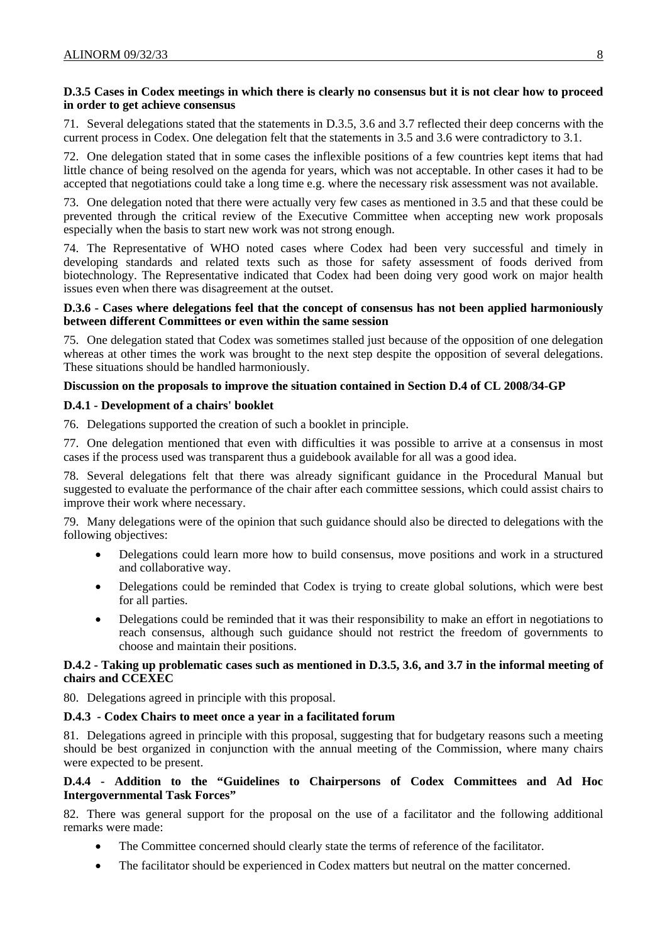## **D.3.5 Cases in Codex meetings in which there is clearly no consensus but it is not clear how to proceed in order to get achieve consensus**

71. Several delegations stated that the statements in D.3.5, 3.6 and 3.7 reflected their deep concerns with the current process in Codex. One delegation felt that the statements in 3.5 and 3.6 were contradictory to 3.1.

72. One delegation stated that in some cases the inflexible positions of a few countries kept items that had little chance of being resolved on the agenda for years, which was not acceptable. In other cases it had to be accepted that negotiations could take a long time e.g. where the necessary risk assessment was not available.

73. One delegation noted that there were actually very few cases as mentioned in 3.5 and that these could be prevented through the critical review of the Executive Committee when accepting new work proposals especially when the basis to start new work was not strong enough.

74. The Representative of WHO noted cases where Codex had been very successful and timely in developing standards and related texts such as those for safety assessment of foods derived from biotechnology. The Representative indicated that Codex had been doing very good work on major health issues even when there was disagreement at the outset.

## **D.3.6 - Cases where delegations feel that the concept of consensus has not been applied harmoniously between different Committees or even within the same session**

75. One delegation stated that Codex was sometimes stalled just because of the opposition of one delegation whereas at other times the work was brought to the next step despite the opposition of several delegations. These situations should be handled harmoniously.

## **Discussion on the proposals to improve the situation contained in Section D.4 of CL 2008/34-GP**

## **D.4.1 - Development of a chairs' booklet**

76. Delegations supported the creation of such a booklet in principle.

77. One delegation mentioned that even with difficulties it was possible to arrive at a consensus in most cases if the process used was transparent thus a guidebook available for all was a good idea.

78. Several delegations felt that there was already significant guidance in the Procedural Manual but suggested to evaluate the performance of the chair after each committee sessions, which could assist chairs to improve their work where necessary.

79. Many delegations were of the opinion that such guidance should also be directed to delegations with the following objectives:

- Delegations could learn more how to build consensus, move positions and work in a structured and collaborative way.
- Delegations could be reminded that Codex is trying to create global solutions, which were best for all parties.
- Delegations could be reminded that it was their responsibility to make an effort in negotiations to reach consensus, although such guidance should not restrict the freedom of governments to choose and maintain their positions.

## **D.4.2 - Taking up problematic cases such as mentioned in D.3.5, 3.6, and 3.7 in the informal meeting of chairs and CCEXEC**

80. Delegations agreed in principle with this proposal.

## **D.4.3 - Codex Chairs to meet once a year in a facilitated forum**

81. Delegations agreed in principle with this proposal, suggesting that for budgetary reasons such a meeting should be best organized in conjunction with the annual meeting of the Commission, where many chairs were expected to be present.

## **D.4.4 - Addition to the "Guidelines to Chairpersons of Codex Committees and Ad Hoc Intergovernmental Task Forces"**

82. There was general support for the proposal on the use of a facilitator and the following additional remarks were made:

- The Committee concerned should clearly state the terms of reference of the facilitator.
- The facilitator should be experienced in Codex matters but neutral on the matter concerned.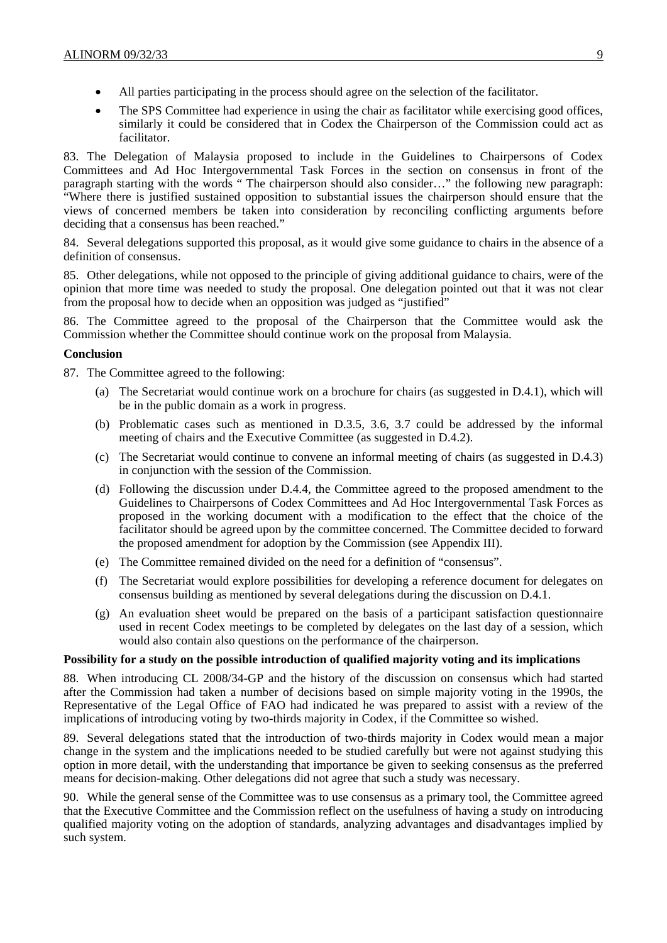- All parties participating in the process should agree on the selection of the facilitator.
- The SPS Committee had experience in using the chair as facilitator while exercising good offices, similarly it could be considered that in Codex the Chairperson of the Commission could act as facilitator.

83. The Delegation of Malaysia proposed to include in the Guidelines to Chairpersons of Codex Committees and Ad Hoc Intergovernmental Task Forces in the section on consensus in front of the paragraph starting with the words " The chairperson should also consider…" the following new paragraph: "Where there is justified sustained opposition to substantial issues the chairperson should ensure that the views of concerned members be taken into consideration by reconciling conflicting arguments before deciding that a consensus has been reached."

84. Several delegations supported this proposal, as it would give some guidance to chairs in the absence of a definition of consensus.

85. Other delegations, while not opposed to the principle of giving additional guidance to chairs, were of the opinion that more time was needed to study the proposal. One delegation pointed out that it was not clear from the proposal how to decide when an opposition was judged as "justified"

86. The Committee agreed to the proposal of the Chairperson that the Committee would ask the Commission whether the Committee should continue work on the proposal from Malaysia.

#### **Conclusion**

87. The Committee agreed to the following:

- (a) The Secretariat would continue work on a brochure for chairs (as suggested in D.4.1), which will be in the public domain as a work in progress.
- (b) Problematic cases such as mentioned in D.3.5, 3.6, 3.7 could be addressed by the informal meeting of chairs and the Executive Committee (as suggested in D.4.2).
- (c) The Secretariat would continue to convene an informal meeting of chairs (as suggested in D.4.3) in conjunction with the session of the Commission.
- (d) Following the discussion under D.4.4, the Committee agreed to the proposed amendment to the Guidelines to Chairpersons of Codex Committees and Ad Hoc Intergovernmental Task Forces as proposed in the working document with a modification to the effect that the choice of the facilitator should be agreed upon by the committee concerned. The Committee decided to forward the proposed amendment for adoption by the Commission (see Appendix III).
- (e) The Committee remained divided on the need for a definition of "consensus".
- (f) The Secretariat would explore possibilities for developing a reference document for delegates on consensus building as mentioned by several delegations during the discussion on D.4.1.
- (g) An evaluation sheet would be prepared on the basis of a participant satisfaction questionnaire used in recent Codex meetings to be completed by delegates on the last day of a session, which would also contain also questions on the performance of the chairperson.

#### **Possibility for a study on the possible introduction of qualified majority voting and its implications**

88. When introducing CL 2008/34-GP and the history of the discussion on consensus which had started after the Commission had taken a number of decisions based on simple majority voting in the 1990s, the Representative of the Legal Office of FAO had indicated he was prepared to assist with a review of the implications of introducing voting by two-thirds majority in Codex, if the Committee so wished.

89. Several delegations stated that the introduction of two-thirds majority in Codex would mean a major change in the system and the implications needed to be studied carefully but were not against studying this option in more detail, with the understanding that importance be given to seeking consensus as the preferred means for decision-making. Other delegations did not agree that such a study was necessary.

90. While the general sense of the Committee was to use consensus as a primary tool, the Committee agreed that the Executive Committee and the Commission reflect on the usefulness of having a study on introducing qualified majority voting on the adoption of standards, analyzing advantages and disadvantages implied by such system.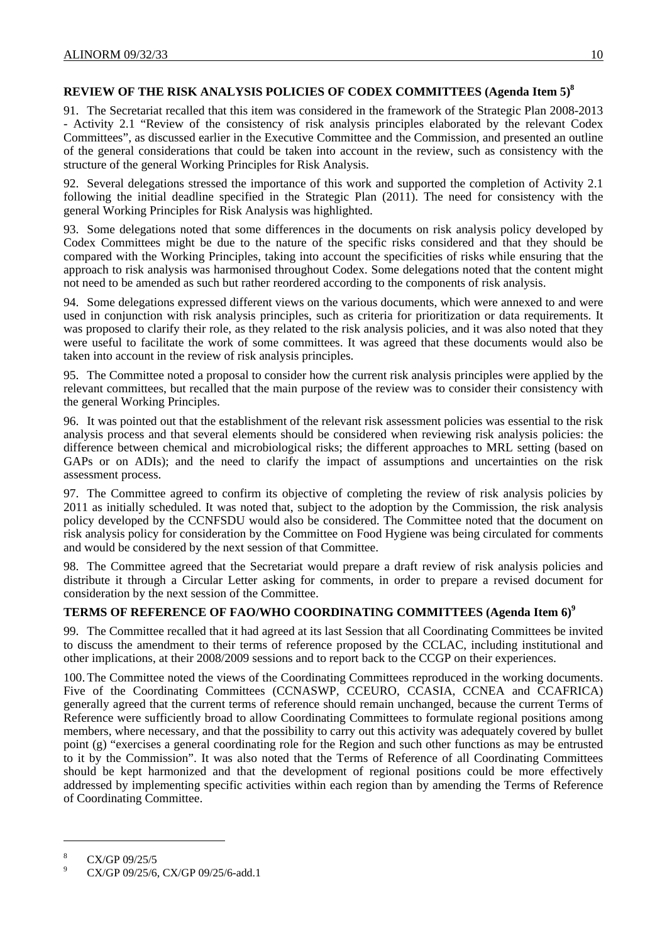## **REVIEW OF THE RISK ANALYSIS POLICIES OF CODEX COMMITTEES (Agenda Item 5)8**

91. The Secretariat recalled that this item was considered in the framework of the Strategic Plan 2008-2013 - Activity 2.1 "Review of the consistency of risk analysis principles elaborated by the relevant Codex Committees", as discussed earlier in the Executive Committee and the Commission, and presented an outline of the general considerations that could be taken into account in the review, such as consistency with the structure of the general Working Principles for Risk Analysis.

92. Several delegations stressed the importance of this work and supported the completion of Activity 2.1 following the initial deadline specified in the Strategic Plan (2011). The need for consistency with the general Working Principles for Risk Analysis was highlighted.

93. Some delegations noted that some differences in the documents on risk analysis policy developed by Codex Committees might be due to the nature of the specific risks considered and that they should be compared with the Working Principles, taking into account the specificities of risks while ensuring that the approach to risk analysis was harmonised throughout Codex. Some delegations noted that the content might not need to be amended as such but rather reordered according to the components of risk analysis.

94. Some delegations expressed different views on the various documents, which were annexed to and were used in conjunction with risk analysis principles, such as criteria for prioritization or data requirements. It was proposed to clarify their role, as they related to the risk analysis policies, and it was also noted that they were useful to facilitate the work of some committees. It was agreed that these documents would also be taken into account in the review of risk analysis principles.

95. The Committee noted a proposal to consider how the current risk analysis principles were applied by the relevant committees, but recalled that the main purpose of the review was to consider their consistency with the general Working Principles.

96. It was pointed out that the establishment of the relevant risk assessment policies was essential to the risk analysis process and that several elements should be considered when reviewing risk analysis policies: the difference between chemical and microbiological risks; the different approaches to MRL setting (based on GAPs or on ADIs); and the need to clarify the impact of assumptions and uncertainties on the risk assessment process.

97. The Committee agreed to confirm its objective of completing the review of risk analysis policies by 2011 as initially scheduled. It was noted that, subject to the adoption by the Commission, the risk analysis policy developed by the CCNFSDU would also be considered. The Committee noted that the document on risk analysis policy for consideration by the Committee on Food Hygiene was being circulated for comments and would be considered by the next session of that Committee.

98. The Committee agreed that the Secretariat would prepare a draft review of risk analysis policies and distribute it through a Circular Letter asking for comments, in order to prepare a revised document for consideration by the next session of the Committee.

## **TERMS OF REFERENCE OF FAO/WHO COORDINATING COMMITTEES (Agenda Item 6)9**

99. The Committee recalled that it had agreed at its last Session that all Coordinating Committees be invited to discuss the amendment to their terms of reference proposed by the CCLAC, including institutional and other implications, at their 2008/2009 sessions and to report back to the CCGP on their experiences.

100. The Committee noted the views of the Coordinating Committees reproduced in the working documents. Five of the Coordinating Committees (CCNASWP, CCEURO, CCASIA, CCNEA and CCAFRICA) generally agreed that the current terms of reference should remain unchanged, because the current Terms of Reference were sufficiently broad to allow Coordinating Committees to formulate regional positions among members, where necessary, and that the possibility to carry out this activity was adequately covered by bullet point (g) "exercises a general coordinating role for the Region and such other functions as may be entrusted to it by the Commission". It was also noted that the Terms of Reference of all Coordinating Committees should be kept harmonized and that the development of regional positions could be more effectively addressed by implementing specific activities within each region than by amending the Terms of Reference of Coordinating Committee.

l

<sup>8</sup> CX/GP 09/25/5

 $\overline{9}$ CX/GP 09/25/6, CX/GP 09/25/6-add.1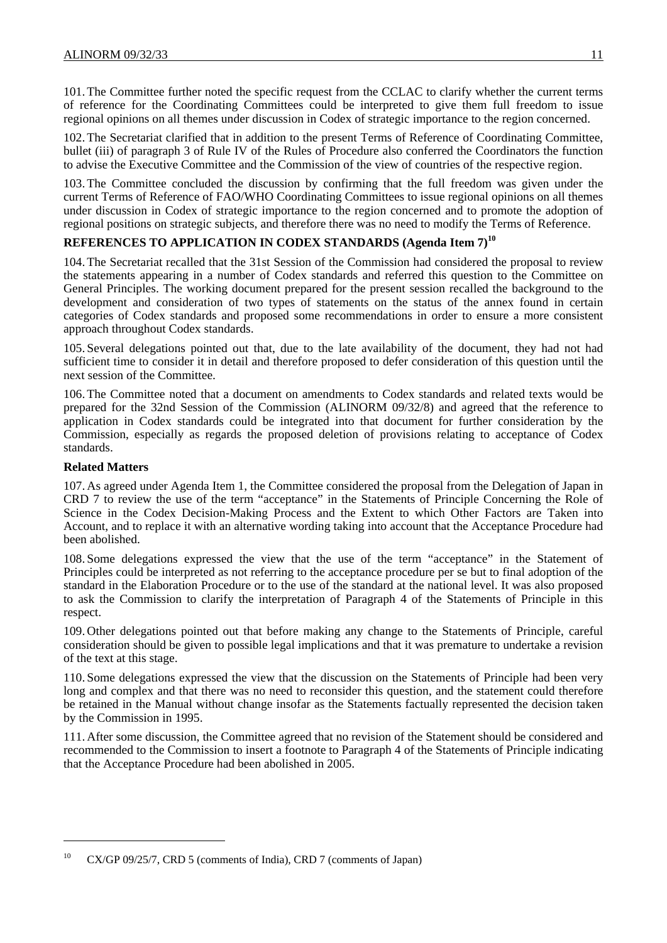101. The Committee further noted the specific request from the CCLAC to clarify whether the current terms of reference for the Coordinating Committees could be interpreted to give them full freedom to issue regional opinions on all themes under discussion in Codex of strategic importance to the region concerned.

102. The Secretariat clarified that in addition to the present Terms of Reference of Coordinating Committee, bullet (iii) of paragraph 3 of Rule IV of the Rules of Procedure also conferred the Coordinators the function to advise the Executive Committee and the Commission of the view of countries of the respective region.

103. The Committee concluded the discussion by confirming that the full freedom was given under the current Terms of Reference of FAO/WHO Coordinating Committees to issue regional opinions on all themes under discussion in Codex of strategic importance to the region concerned and to promote the adoption of regional positions on strategic subjects, and therefore there was no need to modify the Terms of Reference.

## **REFERENCES TO APPLICATION IN CODEX STANDARDS (Agenda Item 7)<sup>10</sup>**

104. The Secretariat recalled that the 31st Session of the Commission had considered the proposal to review the statements appearing in a number of Codex standards and referred this question to the Committee on General Principles. The working document prepared for the present session recalled the background to the development and consideration of two types of statements on the status of the annex found in certain categories of Codex standards and proposed some recommendations in order to ensure a more consistent approach throughout Codex standards.

105. Several delegations pointed out that, due to the late availability of the document, they had not had sufficient time to consider it in detail and therefore proposed to defer consideration of this question until the next session of the Committee.

106. The Committee noted that a document on amendments to Codex standards and related texts would be prepared for the 32nd Session of the Commission (ALINORM 09/32/8) and agreed that the reference to application in Codex standards could be integrated into that document for further consideration by the Commission, especially as regards the proposed deletion of provisions relating to acceptance of Codex standards.

## **Related Matters**

l

107. As agreed under Agenda Item 1, the Committee considered the proposal from the Delegation of Japan in CRD 7 to review the use of the term "acceptance" in the Statements of Principle Concerning the Role of Science in the Codex Decision-Making Process and the Extent to which Other Factors are Taken into Account, and to replace it with an alternative wording taking into account that the Acceptance Procedure had been abolished.

108. Some delegations expressed the view that the use of the term "acceptance" in the Statement of Principles could be interpreted as not referring to the acceptance procedure per se but to final adoption of the standard in the Elaboration Procedure or to the use of the standard at the national level. It was also proposed to ask the Commission to clarify the interpretation of Paragraph 4 of the Statements of Principle in this respect.

109. Other delegations pointed out that before making any change to the Statements of Principle, careful consideration should be given to possible legal implications and that it was premature to undertake a revision of the text at this stage.

110. Some delegations expressed the view that the discussion on the Statements of Principle had been very long and complex and that there was no need to reconsider this question, and the statement could therefore be retained in the Manual without change insofar as the Statements factually represented the decision taken by the Commission in 1995.

111. After some discussion, the Committee agreed that no revision of the Statement should be considered and recommended to the Commission to insert a footnote to Paragraph 4 of the Statements of Principle indicating that the Acceptance Procedure had been abolished in 2005.

<sup>&</sup>lt;sup>10</sup> CX/GP 09/25/7, CRD 5 (comments of India), CRD 7 (comments of Japan)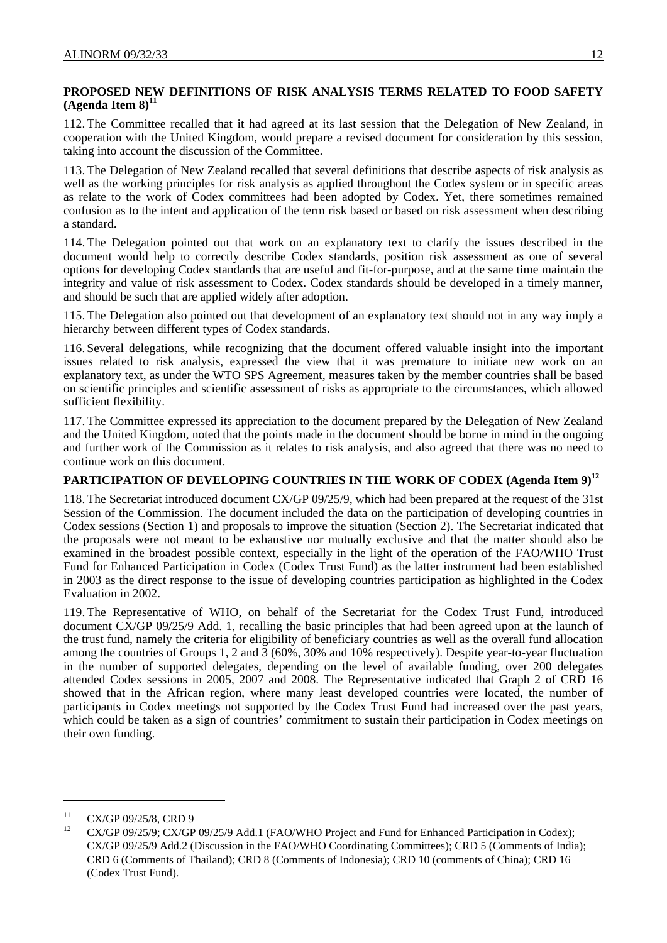## **PROPOSED NEW DEFINITIONS OF RISK ANALYSIS TERMS RELATED TO FOOD SAFETY**   $(A$ genda Item  $8)^{11}$

112. The Committee recalled that it had agreed at its last session that the Delegation of New Zealand, in cooperation with the United Kingdom, would prepare a revised document for consideration by this session, taking into account the discussion of the Committee.

113. The Delegation of New Zealand recalled that several definitions that describe aspects of risk analysis as well as the working principles for risk analysis as applied throughout the Codex system or in specific areas as relate to the work of Codex committees had been adopted by Codex. Yet, there sometimes remained confusion as to the intent and application of the term risk based or based on risk assessment when describing a standard.

114. The Delegation pointed out that work on an explanatory text to clarify the issues described in the document would help to correctly describe Codex standards, position risk assessment as one of several options for developing Codex standards that are useful and fit-for-purpose, and at the same time maintain the integrity and value of risk assessment to Codex. Codex standards should be developed in a timely manner, and should be such that are applied widely after adoption.

115. The Delegation also pointed out that development of an explanatory text should not in any way imply a hierarchy between different types of Codex standards.

116. Several delegations, while recognizing that the document offered valuable insight into the important issues related to risk analysis, expressed the view that it was premature to initiate new work on an explanatory text, as under the WTO SPS Agreement, measures taken by the member countries shall be based on scientific principles and scientific assessment of risks as appropriate to the circumstances, which allowed sufficient flexibility.

117. The Committee expressed its appreciation to the document prepared by the Delegation of New Zealand and the United Kingdom, noted that the points made in the document should be borne in mind in the ongoing and further work of the Commission as it relates to risk analysis, and also agreed that there was no need to continue work on this document.

## PARTICIPATION OF DEVELOPING COUNTRIES IN THE WORK OF CODEX (Agenda Item 9)<sup>12</sup>

118. The Secretariat introduced document CX/GP 09/25/9, which had been prepared at the request of the 31st Session of the Commission. The document included the data on the participation of developing countries in Codex sessions (Section 1) and proposals to improve the situation (Section 2). The Secretariat indicated that the proposals were not meant to be exhaustive nor mutually exclusive and that the matter should also be examined in the broadest possible context, especially in the light of the operation of the FAO/WHO Trust Fund for Enhanced Participation in Codex (Codex Trust Fund) as the latter instrument had been established in 2003 as the direct response to the issue of developing countries participation as highlighted in the Codex Evaluation in 2002.

119. The Representative of WHO, on behalf of the Secretariat for the Codex Trust Fund, introduced document CX/GP 09/25/9 Add. 1, recalling the basic principles that had been agreed upon at the launch of the trust fund, namely the criteria for eligibility of beneficiary countries as well as the overall fund allocation among the countries of Groups 1, 2 and 3 (60%, 30% and 10% respectively). Despite year-to-year fluctuation in the number of supported delegates, depending on the level of available funding, over 200 delegates attended Codex sessions in 2005, 2007 and 2008. The Representative indicated that Graph 2 of CRD 16 showed that in the African region, where many least developed countries were located, the number of participants in Codex meetings not supported by the Codex Trust Fund had increased over the past years, which could be taken as a sign of countries' commitment to sustain their participation in Codex meetings on their own funding.

l

<sup>&</sup>lt;sup>11</sup> CX/GP 09/25/8, CRD 9

<sup>12</sup> CX/GP 09/25/9; CX/GP 09/25/9 Add.1 (FAO/WHO Project and Fund for Enhanced Participation in Codex); CX/GP 09/25/9 Add.2 (Discussion in the FAO/WHO Coordinating Committees); CRD 5 (Comments of India); CRD 6 (Comments of Thailand); CRD 8 (Comments of Indonesia); CRD 10 (comments of China); CRD 16 (Codex Trust Fund).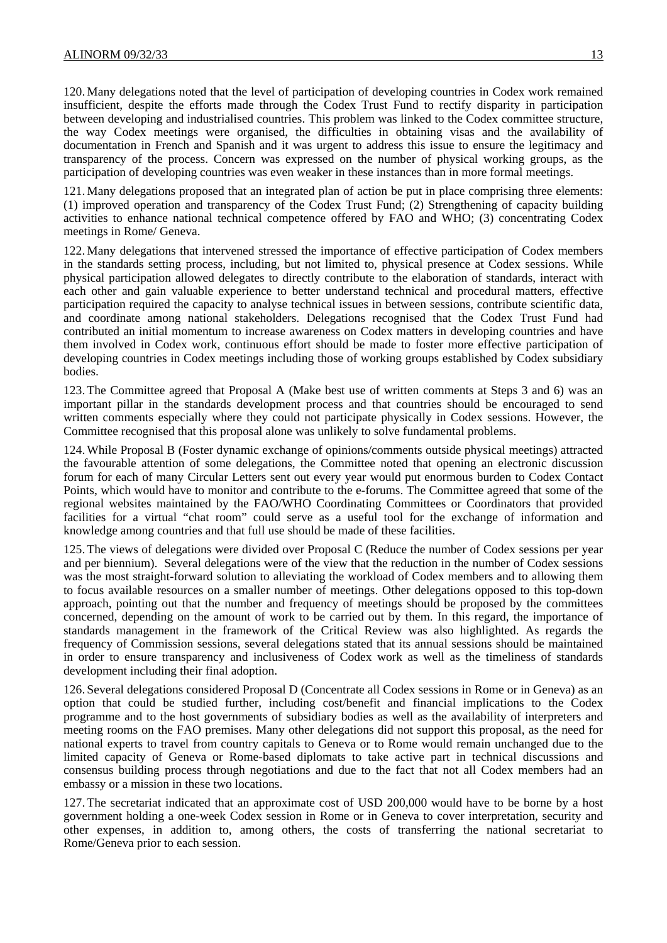120. Many delegations noted that the level of participation of developing countries in Codex work remained insufficient, despite the efforts made through the Codex Trust Fund to rectify disparity in participation between developing and industrialised countries. This problem was linked to the Codex committee structure, the way Codex meetings were organised, the difficulties in obtaining visas and the availability of documentation in French and Spanish and it was urgent to address this issue to ensure the legitimacy and transparency of the process. Concern was expressed on the number of physical working groups, as the participation of developing countries was even weaker in these instances than in more formal meetings.

121. Many delegations proposed that an integrated plan of action be put in place comprising three elements: (1) improved operation and transparency of the Codex Trust Fund; (2) Strengthening of capacity building activities to enhance national technical competence offered by FAO and WHO; (3) concentrating Codex meetings in Rome/ Geneva.

122. Many delegations that intervened stressed the importance of effective participation of Codex members in the standards setting process, including, but not limited to, physical presence at Codex sessions. While physical participation allowed delegates to directly contribute to the elaboration of standards, interact with each other and gain valuable experience to better understand technical and procedural matters, effective participation required the capacity to analyse technical issues in between sessions, contribute scientific data, and coordinate among national stakeholders. Delegations recognised that the Codex Trust Fund had contributed an initial momentum to increase awareness on Codex matters in developing countries and have them involved in Codex work, continuous effort should be made to foster more effective participation of developing countries in Codex meetings including those of working groups established by Codex subsidiary bodies.

123. The Committee agreed that Proposal A (Make best use of written comments at Steps 3 and 6) was an important pillar in the standards development process and that countries should be encouraged to send written comments especially where they could not participate physically in Codex sessions. However, the Committee recognised that this proposal alone was unlikely to solve fundamental problems.

124.While Proposal B (Foster dynamic exchange of opinions/comments outside physical meetings) attracted the favourable attention of some delegations, the Committee noted that opening an electronic discussion forum for each of many Circular Letters sent out every year would put enormous burden to Codex Contact Points, which would have to monitor and contribute to the e-forums. The Committee agreed that some of the regional websites maintained by the FAO/WHO Coordinating Committees or Coordinators that provided facilities for a virtual "chat room" could serve as a useful tool for the exchange of information and knowledge among countries and that full use should be made of these facilities.

125. The views of delegations were divided over Proposal C (Reduce the number of Codex sessions per year and per biennium). Several delegations were of the view that the reduction in the number of Codex sessions was the most straight-forward solution to alleviating the workload of Codex members and to allowing them to focus available resources on a smaller number of meetings. Other delegations opposed to this top-down approach, pointing out that the number and frequency of meetings should be proposed by the committees concerned, depending on the amount of work to be carried out by them. In this regard, the importance of standards management in the framework of the Critical Review was also highlighted. As regards the frequency of Commission sessions, several delegations stated that its annual sessions should be maintained in order to ensure transparency and inclusiveness of Codex work as well as the timeliness of standards development including their final adoption.

126. Several delegations considered Proposal D (Concentrate all Codex sessions in Rome or in Geneva) as an option that could be studied further, including cost/benefit and financial implications to the Codex programme and to the host governments of subsidiary bodies as well as the availability of interpreters and meeting rooms on the FAO premises. Many other delegations did not support this proposal, as the need for national experts to travel from country capitals to Geneva or to Rome would remain unchanged due to the limited capacity of Geneva or Rome-based diplomats to take active part in technical discussions and consensus building process through negotiations and due to the fact that not all Codex members had an embassy or a mission in these two locations.

127. The secretariat indicated that an approximate cost of USD 200,000 would have to be borne by a host government holding a one-week Codex session in Rome or in Geneva to cover interpretation, security and other expenses, in addition to, among others, the costs of transferring the national secretariat to Rome/Geneva prior to each session.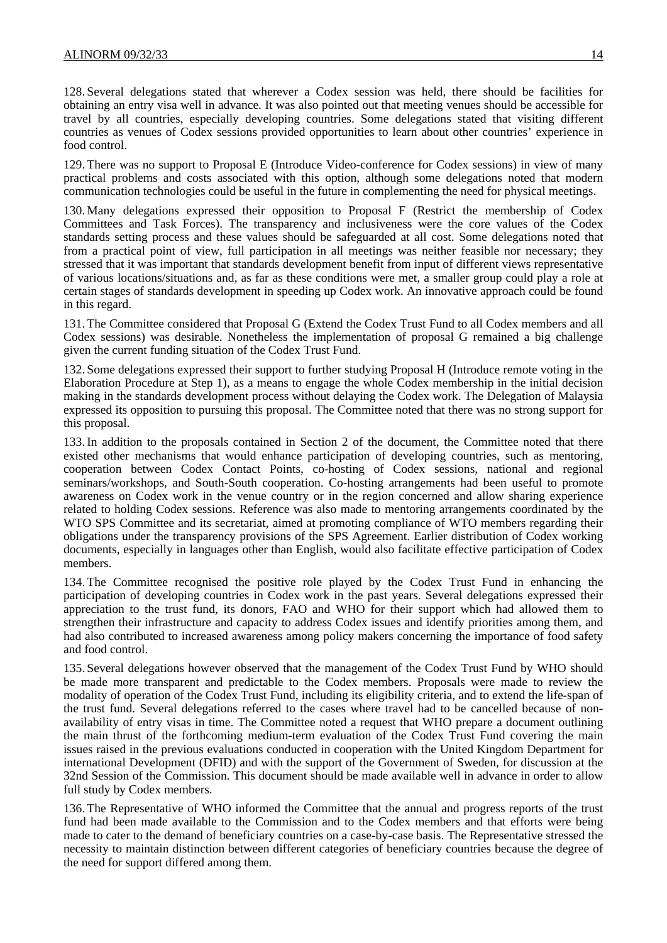128. Several delegations stated that wherever a Codex session was held, there should be facilities for obtaining an entry visa well in advance. It was also pointed out that meeting venues should be accessible for travel by all countries, especially developing countries. Some delegations stated that visiting different countries as venues of Codex sessions provided opportunities to learn about other countries' experience in food control.

129. There was no support to Proposal E (Introduce Video-conference for Codex sessions) in view of many practical problems and costs associated with this option, although some delegations noted that modern communication technologies could be useful in the future in complementing the need for physical meetings.

130. Many delegations expressed their opposition to Proposal F (Restrict the membership of Codex Committees and Task Forces). The transparency and inclusiveness were the core values of the Codex standards setting process and these values should be safeguarded at all cost. Some delegations noted that from a practical point of view, full participation in all meetings was neither feasible nor necessary; they stressed that it was important that standards development benefit from input of different views representative of various locations/situations and, as far as these conditions were met, a smaller group could play a role at certain stages of standards development in speeding up Codex work. An innovative approach could be found in this regard.

131. The Committee considered that Proposal G (Extend the Codex Trust Fund to all Codex members and all Codex sessions) was desirable. Nonetheless the implementation of proposal G remained a big challenge given the current funding situation of the Codex Trust Fund.

132. Some delegations expressed their support to further studying Proposal H (Introduce remote voting in the Elaboration Procedure at Step 1), as a means to engage the whole Codex membership in the initial decision making in the standards development process without delaying the Codex work. The Delegation of Malaysia expressed its opposition to pursuing this proposal. The Committee noted that there was no strong support for this proposal.

133.In addition to the proposals contained in Section 2 of the document, the Committee noted that there existed other mechanisms that would enhance participation of developing countries, such as mentoring, cooperation between Codex Contact Points, co-hosting of Codex sessions, national and regional seminars/workshops, and South-South cooperation. Co-hosting arrangements had been useful to promote awareness on Codex work in the venue country or in the region concerned and allow sharing experience related to holding Codex sessions. Reference was also made to mentoring arrangements coordinated by the WTO SPS Committee and its secretariat, aimed at promoting compliance of WTO members regarding their obligations under the transparency provisions of the SPS Agreement. Earlier distribution of Codex working documents, especially in languages other than English, would also facilitate effective participation of Codex members.

134. The Committee recognised the positive role played by the Codex Trust Fund in enhancing the participation of developing countries in Codex work in the past years. Several delegations expressed their appreciation to the trust fund, its donors, FAO and WHO for their support which had allowed them to strengthen their infrastructure and capacity to address Codex issues and identify priorities among them, and had also contributed to increased awareness among policy makers concerning the importance of food safety and food control.

135. Several delegations however observed that the management of the Codex Trust Fund by WHO should be made more transparent and predictable to the Codex members. Proposals were made to review the modality of operation of the Codex Trust Fund, including its eligibility criteria, and to extend the life-span of the trust fund. Several delegations referred to the cases where travel had to be cancelled because of nonavailability of entry visas in time. The Committee noted a request that WHO prepare a document outlining the main thrust of the forthcoming medium-term evaluation of the Codex Trust Fund covering the main issues raised in the previous evaluations conducted in cooperation with the United Kingdom Department for international Development (DFID) and with the support of the Government of Sweden, for discussion at the 32nd Session of the Commission. This document should be made available well in advance in order to allow full study by Codex members.

136. The Representative of WHO informed the Committee that the annual and progress reports of the trust fund had been made available to the Commission and to the Codex members and that efforts were being made to cater to the demand of beneficiary countries on a case-by-case basis. The Representative stressed the necessity to maintain distinction between different categories of beneficiary countries because the degree of the need for support differed among them.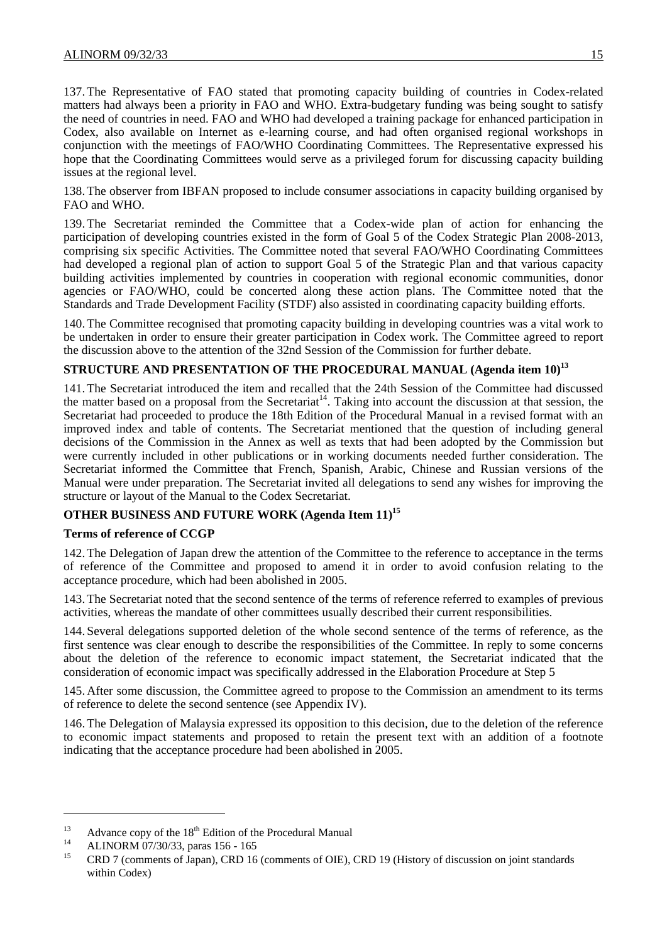137. The Representative of FAO stated that promoting capacity building of countries in Codex-related matters had always been a priority in FAO and WHO. Extra-budgetary funding was being sought to satisfy the need of countries in need. FAO and WHO had developed a training package for enhanced participation in Codex, also available on Internet as e-learning course, and had often organised regional workshops in conjunction with the meetings of FAO/WHO Coordinating Committees. The Representative expressed his hope that the Coordinating Committees would serve as a privileged forum for discussing capacity building issues at the regional level.

138. The observer from IBFAN proposed to include consumer associations in capacity building organised by FAO and WHO.

139. The Secretariat reminded the Committee that a Codex-wide plan of action for enhancing the participation of developing countries existed in the form of Goal 5 of the Codex Strategic Plan 2008-2013, comprising six specific Activities. The Committee noted that several FAO/WHO Coordinating Committees had developed a regional plan of action to support Goal 5 of the Strategic Plan and that various capacity building activities implemented by countries in cooperation with regional economic communities, donor agencies or FAO/WHO, could be concerted along these action plans. The Committee noted that the Standards and Trade Development Facility (STDF) also assisted in coordinating capacity building efforts.

140. The Committee recognised that promoting capacity building in developing countries was a vital work to be undertaken in order to ensure their greater participation in Codex work. The Committee agreed to report the discussion above to the attention of the 32nd Session of the Commission for further debate.

## **STRUCTURE AND PRESENTATION OF THE PROCEDURAL MANUAL (Agenda item 10)<sup>13</sup>**

141. The Secretariat introduced the item and recalled that the 24th Session of the Committee had discussed the matter based on a proposal from the Secretariat<sup>14</sup>. Taking into account the discussion at that session, the Secretariat had proceeded to produce the 18th Edition of the Procedural Manual in a revised format with an improved index and table of contents. The Secretariat mentioned that the question of including general decisions of the Commission in the Annex as well as texts that had been adopted by the Commission but were currently included in other publications or in working documents needed further consideration. The Secretariat informed the Committee that French, Spanish, Arabic, Chinese and Russian versions of the Manual were under preparation. The Secretariat invited all delegations to send any wishes for improving the structure or layout of the Manual to the Codex Secretariat.

## **OTHER BUSINESS AND FUTURE WORK (Agenda Item 11)<sup>15</sup>**

## **Terms of reference of CCGP**

142. The Delegation of Japan drew the attention of the Committee to the reference to acceptance in the terms of reference of the Committee and proposed to amend it in order to avoid confusion relating to the acceptance procedure, which had been abolished in 2005.

143. The Secretariat noted that the second sentence of the terms of reference referred to examples of previous activities, whereas the mandate of other committees usually described their current responsibilities.

144. Several delegations supported deletion of the whole second sentence of the terms of reference, as the first sentence was clear enough to describe the responsibilities of the Committee. In reply to some concerns about the deletion of the reference to economic impact statement, the Secretariat indicated that the consideration of economic impact was specifically addressed in the Elaboration Procedure at Step 5

145. After some discussion, the Committee agreed to propose to the Commission an amendment to its terms of reference to delete the second sentence (see Appendix IV).

146. The Delegation of Malaysia expressed its opposition to this decision, due to the deletion of the reference to economic impact statements and proposed to retain the present text with an addition of a footnote indicating that the acceptance procedure had been abolished in 2005.

l

<sup>13</sup> Advance copy of the 18<sup>th</sup> Edition of the Procedural Manual 14 ALINORM 07/30/33, paras 156 - 165<br>15 CDD 7 (connected SOU)

<sup>15</sup> CRD 7 (comments of Japan), CRD 16 (comments of OIE), CRD 19 (History of discussion on joint standards within Codex)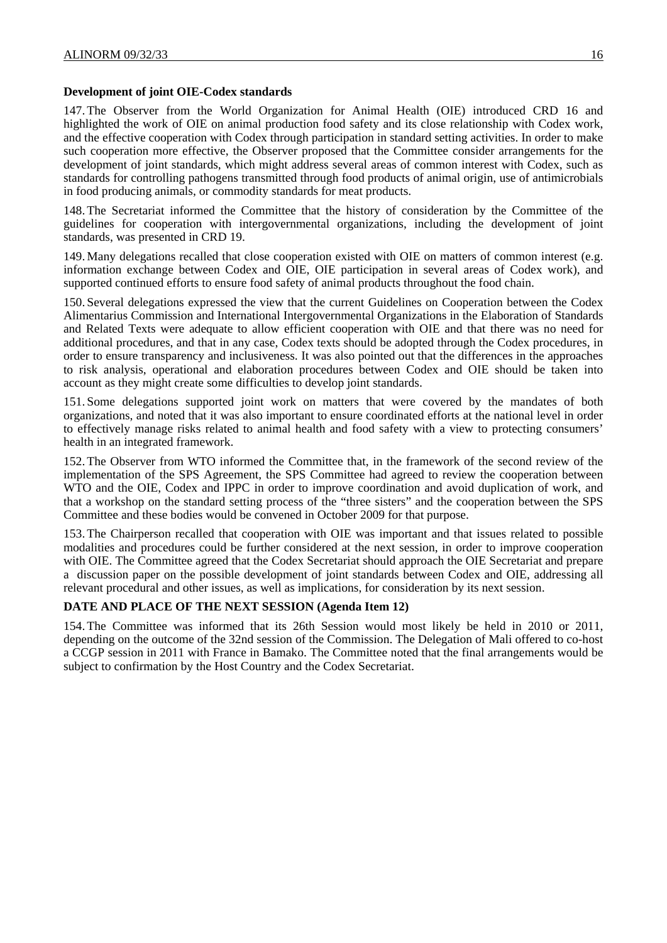#### **Development of joint OIE-Codex standards**

147. The Observer from the World Organization for Animal Health (OIE) introduced CRD 16 and highlighted the work of OIE on animal production food safety and its close relationship with Codex work, and the effective cooperation with Codex through participation in standard setting activities. In order to make such cooperation more effective, the Observer proposed that the Committee consider arrangements for the development of joint standards, which might address several areas of common interest with Codex, such as standards for controlling pathogens transmitted through food products of animal origin, use of antimicrobials in food producing animals, or commodity standards for meat products.

148. The Secretariat informed the Committee that the history of consideration by the Committee of the guidelines for cooperation with intergovernmental organizations, including the development of joint standards, was presented in CRD 19.

149. Many delegations recalled that close cooperation existed with OIE on matters of common interest (e.g. information exchange between Codex and OIE, OIE participation in several areas of Codex work), and supported continued efforts to ensure food safety of animal products throughout the food chain.

150. Several delegations expressed the view that the current Guidelines on Cooperation between the Codex Alimentarius Commission and International Intergovernmental Organizations in the Elaboration of Standards and Related Texts were adequate to allow efficient cooperation with OIE and that there was no need for additional procedures, and that in any case, Codex texts should be adopted through the Codex procedures, in order to ensure transparency and inclusiveness. It was also pointed out that the differences in the approaches to risk analysis, operational and elaboration procedures between Codex and OIE should be taken into account as they might create some difficulties to develop joint standards.

151. Some delegations supported joint work on matters that were covered by the mandates of both organizations, and noted that it was also important to ensure coordinated efforts at the national level in order to effectively manage risks related to animal health and food safety with a view to protecting consumers' health in an integrated framework.

152. The Observer from WTO informed the Committee that, in the framework of the second review of the implementation of the SPS Agreement, the SPS Committee had agreed to review the cooperation between WTO and the OIE, Codex and IPPC in order to improve coordination and avoid duplication of work, and that a workshop on the standard setting process of the "three sisters" and the cooperation between the SPS Committee and these bodies would be convened in October 2009 for that purpose.

153. The Chairperson recalled that cooperation with OIE was important and that issues related to possible modalities and procedures could be further considered at the next session, in order to improve cooperation with OIE. The Committee agreed that the Codex Secretariat should approach the OIE Secretariat and prepare a discussion paper on the possible development of joint standards between Codex and OIE, addressing all relevant procedural and other issues, as well as implications, for consideration by its next session.

## **DATE AND PLACE OF THE NEXT SESSION (Agenda Item 12)**

154. The Committee was informed that its 26th Session would most likely be held in 2010 or 2011, depending on the outcome of the 32nd session of the Commission. The Delegation of Mali offered to co-host a CCGP session in 2011 with France in Bamako. The Committee noted that the final arrangements would be subject to confirmation by the Host Country and the Codex Secretariat.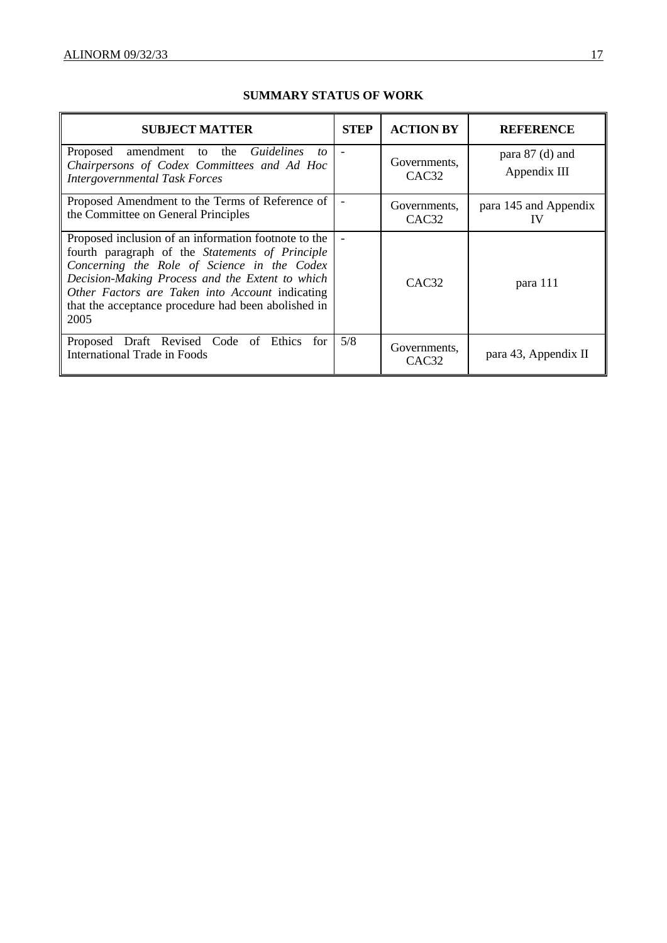| <b>SUBJECT MATTER</b>                                                                                                                                                                                                                                                                                                       | <b>STEP</b> | <b>ACTION BY</b>                  | <b>REFERENCE</b>                  |
|-----------------------------------------------------------------------------------------------------------------------------------------------------------------------------------------------------------------------------------------------------------------------------------------------------------------------------|-------------|-----------------------------------|-----------------------------------|
| Proposed amendment to the Guidelines to<br>Chairpersons of Codex Committees and Ad Hoc<br><b>Intergovernmental Task Forces</b>                                                                                                                                                                                              |             | Governments.<br>CAC <sub>32</sub> | para $87$ (d) and<br>Appendix III |
| Proposed Amendment to the Terms of Reference of<br>the Committee on General Principles                                                                                                                                                                                                                                      |             | Governments,<br>CAC <sub>32</sub> | para 145 and Appendix<br>IV       |
| Proposed inclusion of an information footnote to the<br>fourth paragraph of the Statements of Principle<br>Concerning the Role of Science in the Codex<br>Decision-Making Process and the Extent to which<br>Other Factors are Taken into Account indicating<br>that the acceptance procedure had been abolished in<br>2005 |             | CAC <sub>32</sub>                 | para 111                          |
| Proposed Draft Revised Code of Ethics<br>for<br><b>International Trade in Foods</b>                                                                                                                                                                                                                                         | 5/8         | Governments,<br>CAC <sub>32</sub> | para 43, Appendix II              |

## **SUMMARY STATUS OF WORK**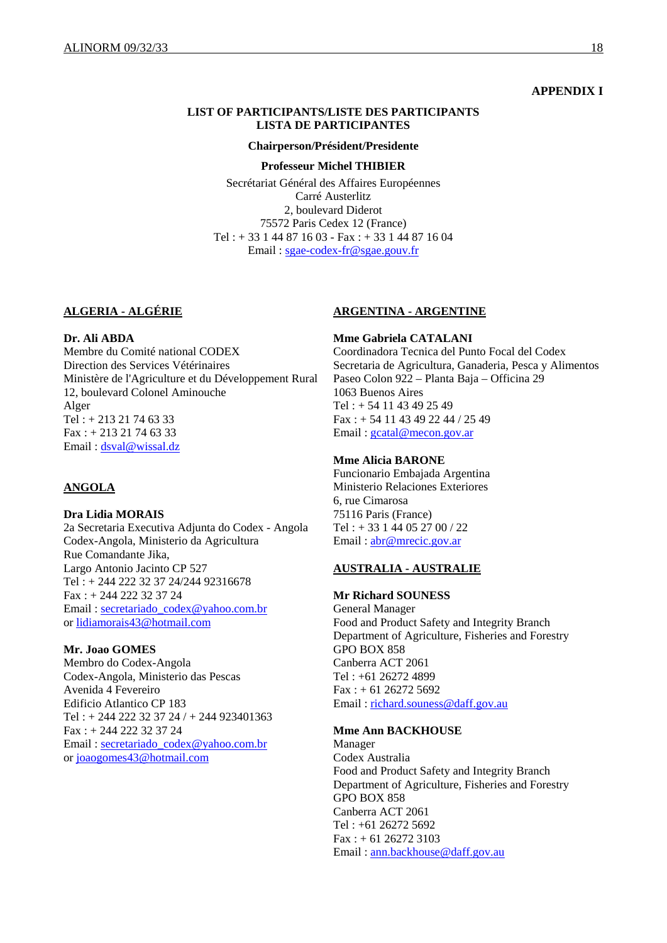#### **APPENDIX I**

#### **LIST OF PARTICIPANTS/LISTE DES PARTICIPANTS LISTA DE PARTICIPANTES**

#### **Chairperson/Président/Presidente**

#### **Professeur Michel THIBIER**

Secrétariat Général des Affaires Européennes Carré Austerlitz 2, boulevard Diderot 75572 Paris Cedex 12 (France) Tel : + 33 1 44 87 16 03 - Fax : + 33 1 44 87 16 04 Email : sgae-codex-fr@sgae.gouv.fr

#### **ALGERIA - ALGÉRIE**

**Dr. Ali ABDA**  Membre du Comité national CODEX Direction des Services Vétérinaires Ministère de l'Agriculture et du Développement Rural 12, boulevard Colonel Aminouche Alger Tel :  $+ 21321746333$ Fax : + 213 21 74 63 33 Email : dsval@wissal.dz

#### **ANGOLA**

## **Dra Lidia MORAIS**

2a Secretaria Executiva Adjunta do Codex - Angola Codex-Angola, Ministerio da Agricultura Rue Comandante Jika, Largo Antonio Jacinto CP 527 Tel : + 244 222 32 37 24/244 92316678 Fax : + 244 222 32 37 24 Email : secretariado\_codex@yahoo.com.br or lidiamorais43@hotmail.com

#### **Mr. Joao GOMES**

Membro do Codex-Angola Codex-Angola, Ministerio das Pescas Avenida 4 Fevereiro Edificio Atlantico CP 183 Tel : + 244 222 32 37 24 / + 244 923401363 Fax : + 244 222 32 37 24 Email : secretariado\_codex@yahoo.com.br or joaogomes43@hotmail.com

#### **ARGENTINA - ARGENTINE**

**Mme Gabriela CATALANI**  Coordinadora Tecnica del Punto Focal del Codex Secretaria de Agricultura, Ganaderia, Pesca y Alimentos Paseo Colon 922 – Planta Baja – Officina 29 1063 Buenos Aires Tel : + 54 11 43 49 25 49 Fax : + 54 11 43 49 22 44 / 25 49 Email : gcatal@mecon.gov.ar

#### **Mme Alicia BARONE**

Funcionario Embajada Argentina Ministerio Relaciones Exteriores 6, rue Cimarosa 75116 Paris (France) Tel : + 33 1 44 05 27 00 / 22 Email : abr@mrecic.gov.ar

## **AUSTRALIA - AUSTRALIE**

#### **Mr Richard SOUNESS**

General Manager Food and Product Safety and Integrity Branch Department of Agriculture, Fisheries and Forestry GPO BOX 858 Canberra ACT 2061 Tel : +61 26272 4899 Fax : + 61 26272 5692 Email : richard.souness@daff.gov.au

#### **Mme Ann BACKHOUSE**

Manager Codex Australia Food and Product Safety and Integrity Branch Department of Agriculture, Fisheries and Forestry GPO BOX 858 Canberra ACT 2061 Tel : +61 26272 5692  $Fax: + 61 26272 3103$ Email : ann.backhouse@daff.gov.au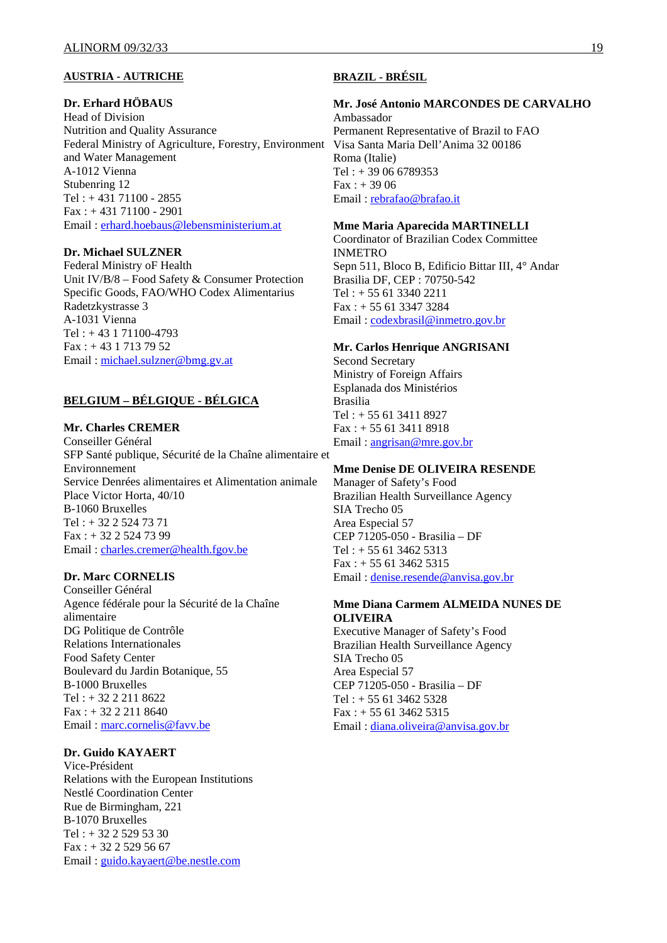#### **AUSTRIA - AUTRICHE**

#### **Dr. Erhard HÖBAUS**

Head of Division Nutrition and Quality Assurance Federal Ministry of Agriculture, Forestry, Environment Visa Santa Maria Dell'Anima 32 00186 and Water Management A-1012 Vienna Stubenring 12 Tel : + 431 71100 - 2855 Fax : + 431 71100 - 2901 Email : erhard.hoebaus@lebensministerium.at

## **Dr. Michael SULZNER**

Federal Ministry oF Health Unit IV/B/8 – Food Safety & Consumer Protection Specific Goods, FAO/WHO Codex Alimentarius Radetzkystrasse 3 A-1031 Vienna Tel : + 43 1 71100-4793 Fax : + 43 1 713 79 52 Email : michael.sulzner@bmg.gv.at

## **BELGIUM – BÉLGIQUE - BÉLGICA**

#### **Mr. Charles CREMER**

Conseiller Général SFP Santé publique, Sécurité de la Chaîne alimentaire et Environnement Service Denrées alimentaires et Alimentation animale Place Victor Horta, 40/10 B-1060 Bruxelles Tel : + 32 2 524 73 71 Fax : + 32 2 524 73 99 Email : charles.cremer@health.fgov.be

#### **Dr. Marc CORNELIS**

Conseiller Général Agence fédérale pour la Sécurité de la Chaîne alimentaire DG Politique de Contrôle Relations Internationales Food Safety Center Boulevard du Jardin Botanique, 55 B-1000 Bruxelles Tel : + 32 2 211 8622 Fax : + 32 2 211 8640 Email : marc.cornelis@favv.be

## **Dr. Guido KAYAERT**

Vice-Président Relations with the European Institutions Nestlé Coordination Center Rue de Birmingham, 221 B-1070 Bruxelles Tel:  $+3225295330$  $Fax : + 32 2 529 56 67$ Email : guido.kayaert@be.nestle.com

## **BRAZIL - BRÉSIL**

## **Mr. José Antonio MARCONDES DE CARVALHO**

Ambassador Permanent Representative of Brazil to FAO Roma (Italie) Tel : + 39 06 6789353  $Fax : + 3906$ Email : rebrafao@brafao.it

#### **Mme Maria Aparecida MARTINELLI**

Coordinator of Brazilian Codex Committee INMETRO Sepn 511, Bloco B, Edificio Bittar III, 4° Andar Brasilia DF, CEP : 70750-542 Tel : + 55 61 3340 2211 Fax : + 55 61 3347 3284 Email : codexbrasil@inmetro.gov.br

#### **Mr. Carlos Henrique ANGRISANI**

Second Secretary Ministry of Foreign Affairs Esplanada dos Ministérios Brasilia Tel : + 55 61 3411 8927 Fax : + 55 61 3411 8918 Email : angrisan@mre.gov.br

#### **Mme Denise DE OLIVEIRA RESENDE**

Manager of Safety's Food Brazilian Health Surveillance Agency SIA Trecho 05 Area Especial 57 CEP 71205-050 - Brasilia – DF Tel :  $+ 556134625313$  $Fax: + 556134625315$ Email : denise.resende@anvisa.gov.br

#### **Mme Diana Carmem ALMEIDA NUNES DE OLIVEIRA**

Executive Manager of Safety's Food Brazilian Health Surveillance Agency SIA Trecho 05 Area Especial 57 CEP 71205-050 - Brasilia – DF Tel : + 55 61 3462 5328 Fax : + 55 61 3462 5315 Email : diana.oliveira@anvisa.gov.br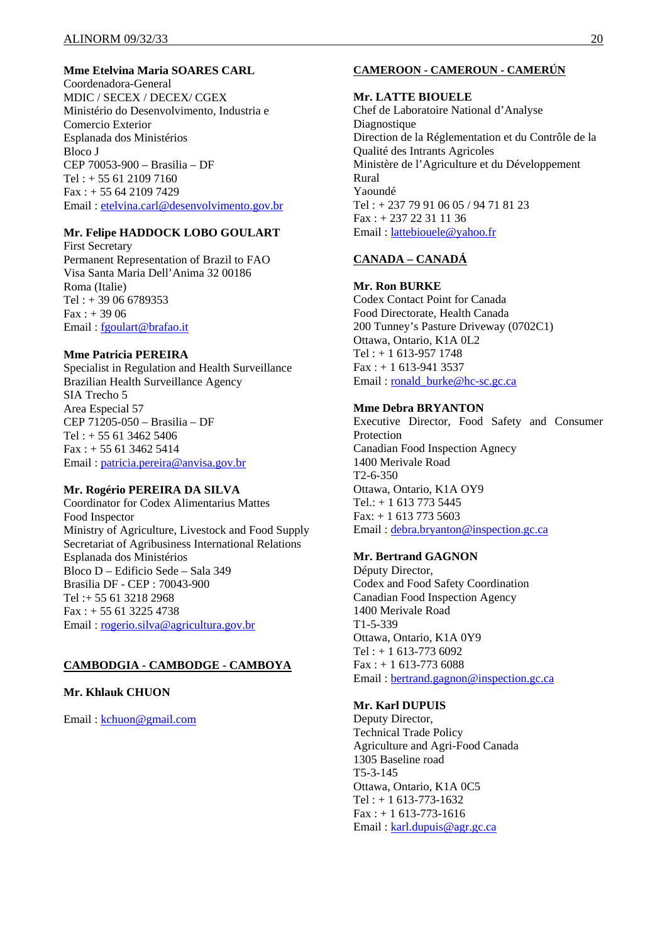## **Mme Etelvina Maria SOARES CARL**

Coordenadora-General MDIC / SECEX / DECEX/ CGEX Ministério do Desenvolvimento, Industria e Comercio Exterior Esplanada dos Ministérios Bloco J CEP 70053-900 – Brasilia – DF Tel : + 55 61 2109 7160 Fax : + 55 64 2109 7429 Email : etelvina.carl@desenvolvimento.gov.br

## **Mr. Felipe HADDOCK LOBO GOULART**

First Secretary Permanent Representation of Brazil to FAO Visa Santa Maria Dell'Anima 32 00186 Roma (Italie)  $Tel: + 39066789353$  $Fax: + 3906$ Email : fgoulart@brafao.it

#### **Mme Patricia PEREIRA**

Specialist in Regulation and Health Surveillance Brazilian Health Surveillance Agency SIA Trecho 5 Area Especial 57 CEP 71205-050 – Brasilia – DF Tel : + 55 61 3462 5406  $Fax : + 55 61 3462 5414$ Email : patricia.pereira@anvisa.gov.br

#### **Mr. Rogério PEREIRA DA SILVA**

Coordinator for Codex Alimentarius Mattes Food Inspector Ministry of Agriculture, Livestock and Food Supply Secretariat of Agribusiness International Relations Esplanada dos Ministérios Bloco D – Edificio Sede – Sala 349 Brasilia DF - CEP : 70043-900 Tel :+ 55 61 3218 2968 Fax : + 55 61 3225 4738 Email : rogerio.silva@agricultura.gov.br

#### **CAMBODGIA - CAMBODGE - CAMBOYA**

## **Mr. Khlauk CHUON**

Email : kchuon@gmail.com

## **CAMEROON - CAMEROUN - CAMERÚN**

#### **Mr. LATTE BIOUELE**

Chef de Laboratoire National d'Analyse Diagnostique Direction de la Réglementation et du Contrôle de la Qualité des Intrants Agricoles Ministère de l'Agriculture et du Développement Rural Yaoundé  $Tel + 23779910605/94718123$ Fax : + 237 22 31 11 36 Email : lattebiouele@yahoo.fr

## **CANADA – CANADÁ**

#### **Mr. Ron BURKE**

Codex Contact Point for Canada Food Directorate, Health Canada 200 Tunney's Pasture Driveway (0702C1) Ottawa, Ontario, K1A 0L2 Tel : + 1 613-957 1748  $Fax : + 1 613-941 3537$ Email : ronald\_burke@hc-sc.gc.ca

#### **Mme Debra BRYANTON**

Executive Director, Food Safety and Consumer Protection Canadian Food Inspection Agnecy 1400 Merivale Road T2-6-350 Ottawa, Ontario, K1A OY9 Tel.: + 1 613 773 5445  $Fax: + 16137735603$ Email : debra.bryanton@inspection.gc.ca

## **Mr. Bertrand GAGNON**

Députy Director, Codex and Food Safety Coordination Canadian Food Inspection Agency 1400 Merivale Road T1-5-339 Ottawa, Ontario, K1A 0Y9  $Tel: + 1613-7736092$  $Fax: + 1613-7736088$ Email : bertrand.gagnon@inspection.gc.ca

## **Mr. Karl DUPUIS**

Deputy Director, Technical Trade Policy Agriculture and Agri-Food Canada 1305 Baseline road T5-3-145 Ottawa, Ontario, K1A 0C5  $Tel: + 1613-773-1632$  $Fax : + 1613-773-1616$ Email : karl.dupuis@agr.gc.ca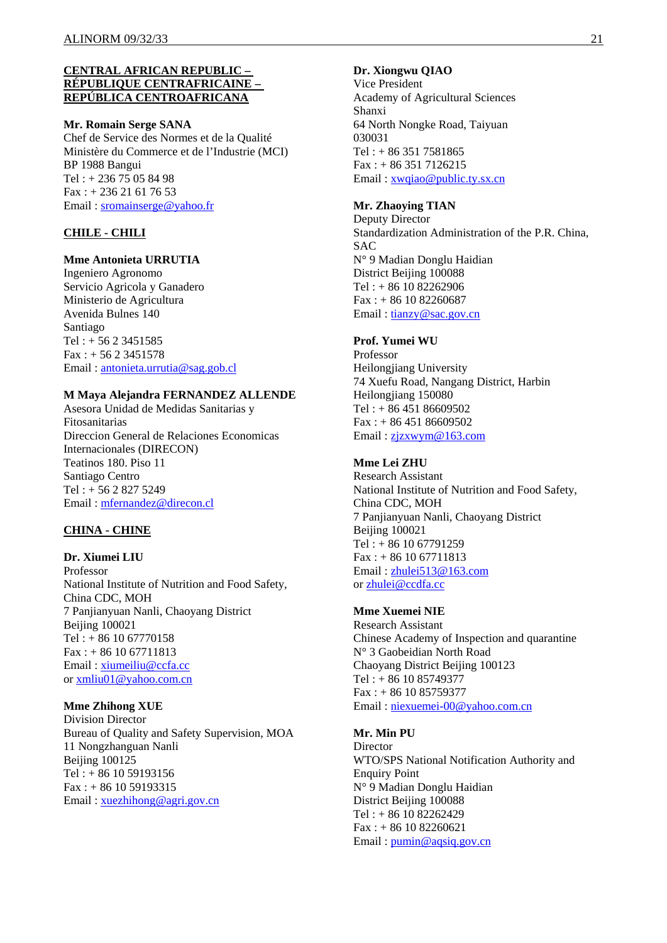#### **CENTRAL AFRICAN REPUBLIC – RÉPUBLIQUE CENTRAFRICAINE – REPÚBLICA CENTROAFRICANA**

#### **Mr. Romain Serge SANA**

Chef de Service des Normes et de la Qualité Ministère du Commerce et de l'Industrie (MCI) BP 1988 Bangui Tel : + 236 75 05 84 98 Fax : + 236 21 61 76 53 Email : sromainserge@yahoo.fr

## **CHILE - CHILI**

#### **Mme Antonieta URRUTIA**

Ingeniero Agronomo Servicio Agricola y Ganadero Ministerio de Agricultura Avenida Bulnes 140 Santiago Tel : + 56 2 3451585  $Fax: + 5623451578$ Email : antonieta.urrutia@sag.gob.cl

#### **M Maya Alejandra FERNANDEZ ALLENDE**

Asesora Unidad de Medidas Sanitarias y Fitosanitarias Direccion General de Relaciones Economicas Internacionales (DIRECON) Teatinos 180. Piso 11 Santiago Centro Tel : + 56 2 827 5249 Email : mfernandez@direcon.cl

## **CHINA - CHINE**

#### **Dr. Xiumei LIU**

Professor National Institute of Nutrition and Food Safety, China CDC, MOH 7 Panjianyuan Nanli, Chaoyang District Beijing 100021 Tel : + 86 10 67770158 Fax : + 86 10 67711813 Email : xiumeiliu@ccfa.cc or xmliu01@yahoo.com.cn

#### **Mme Zhihong XUE**

Division Director Bureau of Quality and Safety Supervision, MOA 11 Nongzhanguan Nanli Beijing 100125 Tel : + 86 10 59193156 Fax : + 86 10 59193315 Email : xuezhihong@agri.gov.cn

#### **Dr. Xiongwu QIAO**

Vice President Academy of Agricultural Sciences Shanxi 64 North Nongke Road, Taiyuan 030031 Tel : + 86 351 7581865 Fax : + 86 351 7126215 Email : xwqiao@public.ty.sx.cn

#### **Mr. Zhaoying TIAN**

Deputy Director Standardization Administration of the P.R. China, **SAC** N° 9 Madian Donglu Haidian District Beijing 100088 Tel : + 86 10 82262906 Fax : + 86 10 82260687 Email : tianzy@sac.gov.cn

#### **Prof. Yumei WU**

Professor Heilongjiang University 74 Xuefu Road, Nangang District, Harbin Heilongjiang 150080 Tel : + 86 451 86609502 Fax : + 86 451 86609502 Email : zjzxwym@163.com

## **Mme Lei ZHU**

Research Assistant National Institute of Nutrition and Food Safety, China CDC, MOH 7 Panjianyuan Nanli, Chaoyang District Beijing 100021 Tel : + 86 10 67791259  $Fax: + 86 10 67711813$ Email : zhulei513@163.com or zhulei@ccdfa.cc

## **Mme Xuemei NIE**

Research Assistant Chinese Academy of Inspection and quarantine N° 3 Gaobeidian North Road Chaoyang District Beijing 100123 Tel : + 86 10 85749377 Fax : + 86 10 85759377 Email : niexuemei-00@yahoo.com.cn

## **Mr. Min PU**

**Director** WTO/SPS National Notification Authority and Enquiry Point N° 9 Madian Donglu Haidian District Beijing 100088 Tel : + 86 10 82262429  $Fax: + 86 10 82260621$ Email : pumin@aqsiq.gov.cn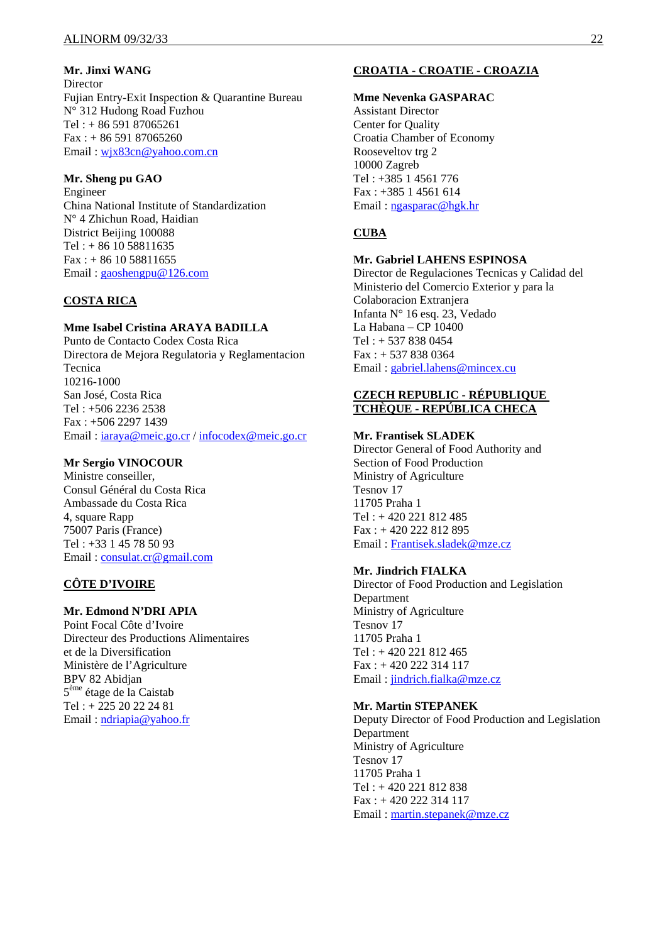**Mr. Jinxi WANG** 

Director Fujian Entry-Exit Inspection & Quarantine Bureau N° 312 Hudong Road Fuzhou Tel : + 86 591 87065261  $Fax: + 86 591 87065260$ Email : wjx83cn@yahoo.com.cn

#### **Mr. Sheng pu GAO**

Engineer China National Institute of Standardization N° 4 Zhichun Road, Haidian District Beijing 100088  $Tel: + 86 10 58811635$  $Fax: + 86 10 58811655$ Email : gaoshengpu@126.com

## **COSTA RICA**

## **Mme Isabel Cristina ARAYA BADILLA**

Punto de Contacto Codex Costa Rica Directora de Mejora Regulatoria y Reglamentacion Tecnica 10216-1000 San José, Costa Rica Tel : +506 2236 2538 Fax : +506 2297 1439 Email : iaraya@meic.go.cr / infocodex@meic.go.cr

#### **Mr Sergio VINOCOUR**

Ministre conseiller, Consul Général du Costa Rica Ambassade du Costa Rica 4, square Rapp 75007 Paris (France) Tel : +33 1 45 78 50 93 Email: consulat.cr@gmail.com

## **CÔTE D'IVOIRE**

## **Mr. Edmond N'DRI APIA**

Point Focal Côte d'Ivoire Directeur des Productions Alimentaires et de la Diversification Ministère de l'Agriculture BPV 82 Abidjan 5ème étage de la Caistab Tel : + 225 20 22 24 81 Email : ndriapia@yahoo.fr

## **CROATIA - CROATIE - CROAZIA**

#### **Mme Nevenka GASPARAC**

Assistant Director Center for Quality Croatia Chamber of Economy Rooseveltov trg 2 10000 Zagreb Tel : +385 1 4561 776 Fax : +385 1 4561 614 Email : ngasparac@hgk.hr

## **CUBA**

#### **Mr. Gabriel LAHENS ESPINOSA**

Director de Regulaciones Tecnicas y Calidad del Ministerio del Comercio Exterior y para la Colaboracion Extranjera Infanta N° 16 esq. 23, Vedado La Habana – CP 10400 Tel : + 537 838 0454 Fax : + 537 838 0364 Email : gabriel.lahens@mincex.cu

#### **CZECH REPUBLIC - RÉPUBLIQUE TCHÈQUE - REPÚBLICA CHECA**

## **Mr. Frantisek SLADEK**

Director General of Food Authority and Section of Food Production Ministry of Agriculture Tesnov 17 11705 Praha 1 Tel : + 420 221 812 485 Fax : + 420 222 812 895 Email : Frantisek.sladek@mze.cz

## **Mr. Jindrich FIALKA**

Director of Food Production and Legislation Department Ministry of Agriculture Tesnov 17 11705 Praha 1 Tel : + 420 221 812 465 Fax : + 420 222 314 117 Email : jindrich.fialka@mze.cz

## **Mr. Martin STEPANEK**

Deputy Director of Food Production and Legislation Department Ministry of Agriculture Tesnov 17 11705 Praha 1 Tel : + 420 221 812 838 Fax : + 420 222 314 117 Email : martin.stepanek@mze.cz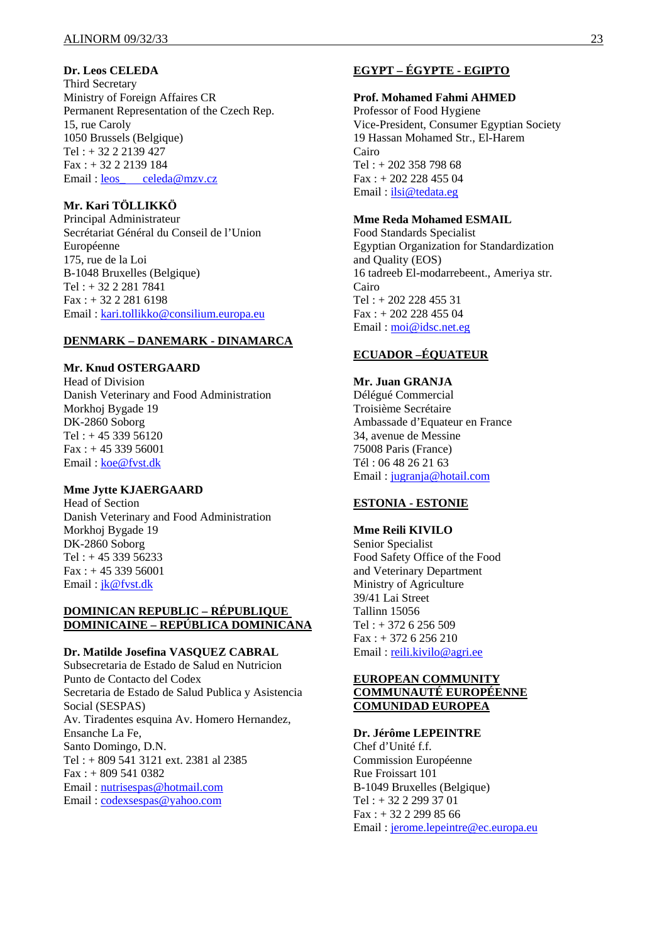## **Dr. Leos CELEDA**

Third Secretary Ministry of Foreign Affaires CR Permanent Representation of the Czech Rep. 15, rue Caroly 1050 Brussels (Belgique) Tel : + 32 2 2139 427 Fax : + 32 2 2139 184 Email: leos celeda@mzv.cz

## **Mr. Kari TÖLLIKKÖ**

Principal Administrateur Secrétariat Général du Conseil de l'Union Européenne 175, rue de la Loi B-1048 Bruxelles (Belgique) Tel : + 32 2 281 7841 Fax : + 32 2 281 6198 Email : kari.tollikko@consilium.europa.eu

#### **DENMARK – DANEMARK - DINAMARCA**

#### **Mr. Knud OSTERGAARD**

Head of Division Danish Veterinary and Food Administration Morkhoj Bygade 19 DK-2860 Soborg Tel : + 45 339 56120  $Fax: + 4533956001$ Email : koe@fvst.dk

## **Mme Jytte KJAERGAARD**

Head of Section Danish Veterinary and Food Administration Morkhoj Bygade 19 DK-2860 Soborg Tel:  $+4533956233$  $Fax : + 45 339 56001$ Email : jk@fvst.dk

## **DOMINICAN REPUBLIC – RÉPUBLIQUE DOMINICAINE – REPÚBLICA DOMINICANA**

#### **Dr. Matilde Josefina VASQUEZ CABRAL**

Subsecretaria de Estado de Salud en Nutricion Punto de Contacto del Codex Secretaria de Estado de Salud Publica y Asistencia Social (SESPAS) Av. Tiradentes esquina Av. Homero Hernandez, Ensanche La Fe, Santo Domingo, D.N. Tel : + 809 541 3121 ext. 2381 al 2385 Fax : + 809 541 0382 Email : nutrisespas@hotmail.com Email : codexsespas@yahoo.com

## **EGYPT – ÉGYPTE - EGIPTO**

#### **Prof. Mohamed Fahmi AHMED**

Professor of Food Hygiene Vice-President, Consumer Egyptian Society 19 Hassan Mohamed Str., El-Harem Cairo Tel : + 202 358 798 68 Fax : + 202 228 455 04 Email : ilsi@tedata.eg

## **Mme Reda Mohamed ESMAIL**

Food Standards Specialist Egyptian Organization for Standardization and Quality (EOS) 16 tadreeb El-modarrebeent., Ameriya str. Cairo Tel : + 202 228 455 31 Fax : + 202 228 455 04 Email : moi@idsc.net.eg

## **ECUADOR –ÉQUATEUR**

## **Mr. Juan GRANJA**

Délégué Commercial Troisième Secrétaire Ambassade d'Equateur en France 34, avenue de Messine 75008 Paris (France) Tél : 06 48 26 21 63 Email : jugranja@hotail.com

## **ESTONIA - ESTONIE**

**Mme Reili KIVILO**  Senior Specialist Food Safety Office of the Food and Veterinary Department Ministry of Agriculture 39/41 Lai Street Tallinn 15056 Tel : + 372 6 256 509 Fax : + 372 6 256 210 Email: reili.kivilo@agri.ee

## **EUROPEAN COMMUNITY COMMUNAUTÉ EUROPÉENNE COMUNIDAD EUROPEA**

## **Dr. Jérôme LEPEINTRE**

Chef d'Unité f.f. Commission Européenne Rue Froissart 101 B-1049 Bruxelles (Belgique) Tel : + 32 2 299 37 01  $Fax: + 32 2 299 85 66$ Email : jerome.lepeintre@ec.europa.eu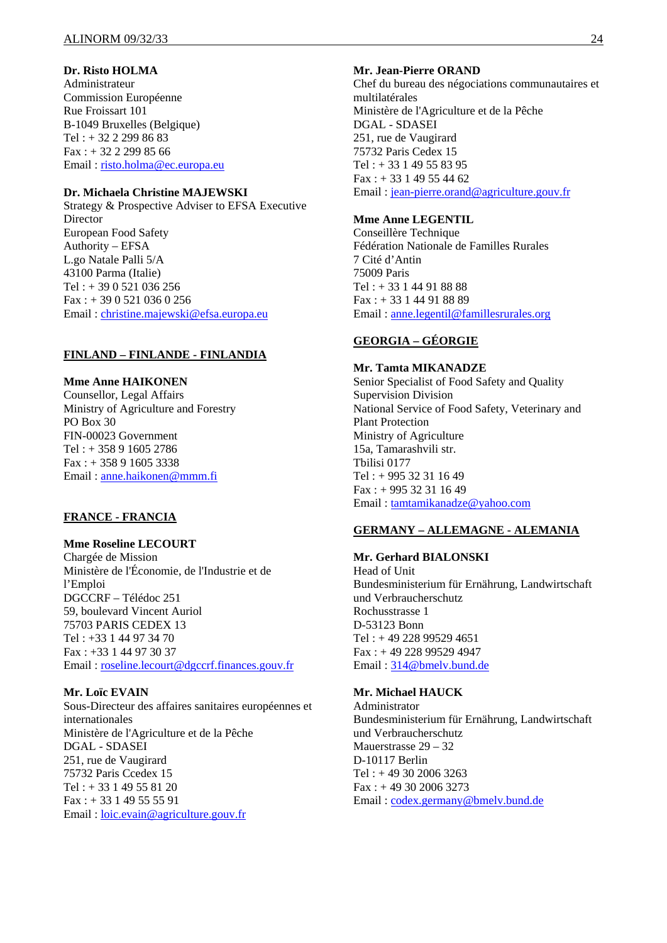## **Dr. Risto HOLMA**

Administrateur Commission Européenne Rue Froissart 101 B-1049 Bruxelles (Belgique) Tel : + 32 2 299 86 83  $Fax: + 32 2 299 85 66$ Email : risto.holma@ec.europa.eu

#### **Dr. Michaela Christine MAJEWSKI**

Strategy & Prospective Adviser to EFSA Executive Director European Food Safety Authority – EFSA L.go Natale Palli 5/A 43100 Parma (Italie)  $Tel: + 390521036256$ Fax : + 39 0 521 036 0 256 Email : christine.majewski@efsa.europa.eu

## **FINLAND – FINLANDE - FINLANDIA**

## **Mme Anne HAIKONEN**

Counsellor, Legal Affairs Ministry of Agriculture and Forestry PO Box 30 FIN-00023 Government Tel : + 358 9 1605 2786 Fax : + 358 9 1605 3338 Email : anne.haikonen@mmm.fi

## **FRANCE - FRANCIA**

#### **Mme Roseline LECOURT**

Chargée de Mission Ministère de l'Économie, de l'Industrie et de l'Emploi DGCCRF – Télédoc 251 59, boulevard Vincent Auriol 75703 PARIS CEDEX 13 Tel : +33 1 44 97 34 70 Fax : +33 1 44 97 30 37 Email : roseline.lecourt@dgccrf.finances.gouv.fr

## **Mr. Loïc EVAIN**

Sous-Directeur des affaires sanitaires européennes et internationales Ministère de l'Agriculture et de la Pêche DGAL - SDASEI 251, rue de Vaugirard 75732 Paris Ccedex 15 Tel : + 33 1 49 55 81 20 Fax : + 33 1 49 55 55 91 Email : loic.evain@agriculture.gouv.fr

#### **Mr. Jean-Pierre ORAND**

Chef du bureau des négociations communautaires et multilatérales Ministère de l'Agriculture et de la Pêche DGAL - SDASEI 251, rue de Vaugirard 75732 Paris Cedex 15 Tel : + 33 1 49 55 83 95  $Fax: + 33149554462$ Email : jean-pierre.orand@agriculture.gouv.fr

## **Mme Anne LEGENTIL**

Conseillère Technique Fédération Nationale de Familles Rurales 7 Cité d'Antin 75009 Paris Tel : + 33 1 44 91 88 88 Fax : + 33 1 44 91 88 89 Email : anne.legentil@famillesrurales.org

## **GEORGIA – GÉORGIE**

#### **Mr. Tamta MIKANADZE**

Senior Specialist of Food Safety and Quality Supervision Division National Service of Food Safety, Veterinary and Plant Protection Ministry of Agriculture 15a, Tamarashvili str. Tbilisi 0177 Tel : + 995 32 31 16 49 Fax : + 995 32 31 16 49 Email : tamtamikanadze@yahoo.com

#### **GERMANY – ALLEMAGNE - ALEMANIA**

#### **Mr. Gerhard BIALONSKI**  Head of Unit Bundesministerium für Ernährung, Landwirtschaft und Verbraucherschutz Rochusstrasse 1 D-53123 Bonn Tel : + 49 228 99529 4651 Fax : + 49 228 99529 4947 Email : 314@bmelv.bund.de

## **Mr. Michael HAUCK**

Administrator Bundesministerium für Ernährung, Landwirtschaft und Verbraucherschutz Mauerstrasse 29 – 32 D-10117 Berlin Tel : + 49 30 2006 3263  $Fax: + 493020063273$ Email : codex.germany@bmelv.bund.de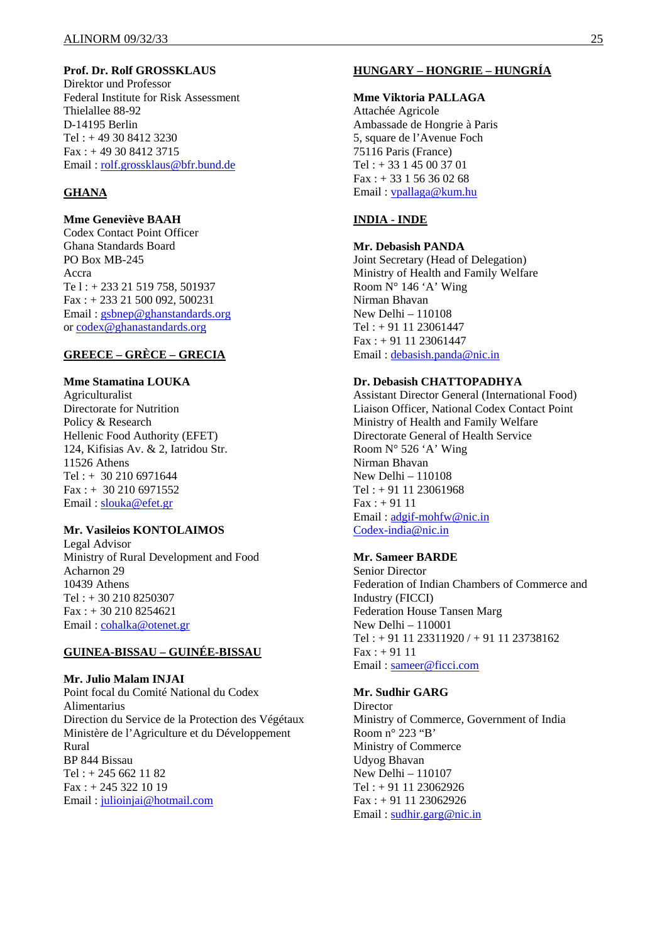## **Prof. Dr. Rolf GROSSKLAUS**

Direktor und Professor Federal Institute for Risk Assessment Thielallee 88-92 D-14195 Berlin Tel : + 49 30 8412 3230 Fax : + 49 30 8412 3715 Email : rolf.grossklaus@bfr.bund.de

## **GHANA**

**Mme Geneviève BAAH**  Codex Contact Point Officer Ghana Standards Board PO Box MB-245 Accra Te l : + 233 21 519 758, 501937 Fax : + 233 21 500 092, 500231 Email: gsbnep@ghanstandards.org or codex@ghanastandards.org

## **GREECE – GRÈCE – GRECIA**

## **Mme Stamatina LOUKA**

Agriculturalist Directorate for Nutrition Policy & Research Hellenic Food Authority (EFET) 124, Kifisias Av. & 2, Iatridou Str. 11526 Athens Tel : + 30 210 6971644 Fax : + 30 210 6971552 Email : slouka@efet.gr

#### **Mr. Vasileios KONTOLAIMOS**

Legal Advisor Ministry of Rural Development and Food Acharnon 29 10439 Athens Tel : + 30 210 8250307 Fax : + 30 210 8254621 Email: cohalka@otenet.gr

## **GUINEA-BISSAU – GUINÉE-BISSAU**

#### **Mr. Julio Malam INJAI**

Point focal du Comité National du Codex Alimentarius Direction du Service de la Protection des Végétaux Ministère de l'Agriculture et du Développement Rural BP 844 Bissau Tel : + 245 662 11 82 Fax : + 245 322 10 19 Email : julioinjai@hotmail.com

## **HUNGARY – HONGRIE – HUNGRÍA**

#### **Mme Viktoria PALLAGA**

Attachée Agricole Ambassade de Hongrie à Paris 5, square de l'Avenue Foch 75116 Paris (France) Tel : + 33 1 45 00 37 01  $Fax: + 33156360268$ Email : vpallaga@kum.hu

#### **INDIA - INDE**

#### **Mr. Debasish PANDA**

Joint Secretary (Head of Delegation) Ministry of Health and Family Welfare Room  $N^{\circ}$  146 'A' Wing Nirman Bhavan New Delhi – 110108 Tel : + 91 11 23061447 Fax : + 91 11 23061447 Email : debasish.panda@nic.in

#### **Dr. Debasish CHATTOPADHYA**

Assistant Director General (International Food) Liaison Officer, National Codex Contact Point Ministry of Health and Family Welfare Directorate General of Health Service Room  $N^{\circ}$  526 'A' Wing Nirman Bhavan New Delhi – 110108 Tel : + 91 11 23061968  $Fax : + 9111$ Email : adgif-mohfw@nic.in Codex-india@nic.in

#### **Mr. Sameer BARDE**

Senior Director Federation of Indian Chambers of Commerce and Industry (FICCI) Federation House Tansen Marg New Delhi – 110001  $Tel: +911123311920/+911123738162$  $Fax: + 9111$ Email : sameer@ficci.com

## **Mr. Sudhir GARG**

**Director** Ministry of Commerce, Government of India Room n° 223 "B' Ministry of Commerce Udyog Bhavan New Delhi – 110107 Tel : + 91 11 23062926 Fax : + 91 11 23062926 Email : sudhir.garg@nic.in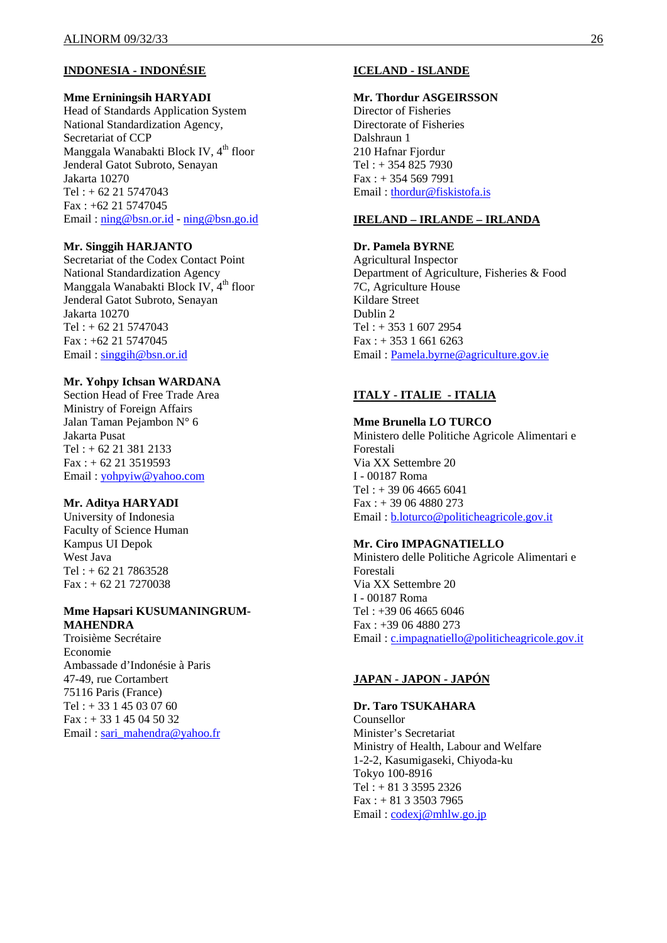## **INDONESIA - INDONÉSIE**

#### **Mme Erniningsih HARYADI**

Head of Standards Application System National Standardization Agency, Secretariat of CCP Manggala Wanabakti Block IV, 4<sup>th</sup> floor Jenderal Gatot Subroto, Senayan Jakarta 10270  $Tel: + 62 21 5747043$ Fax : +62 21 5747045 Email : ning@bsn.or.id - ning@bsn.go.id

#### **Mr. Singgih HARJANTO**

Secretariat of the Codex Contact Point National Standardization Agency Manggala Wanabakti Block IV, 4<sup>th</sup> floor Jenderal Gatot Subroto, Senayan Jakarta 10270  $Tel: + 62 21 5747043$ Fax : +62 21 5747045 Email : singgih@bsn.or.id

#### **Mr. Yohpy Ichsan WARDANA**

Section Head of Free Trade Area Ministry of Foreign Affairs Jalan Taman Pejambon N° 6 Jakarta Pusat Tel : + 62 21 381 2133  $Fax : + 62 21 3519593$ Email : yohpyiw@yahoo.com

#### **Mr. Aditya HARYADI**

University of Indonesia Faculty of Science Human Kampus UI Depok West Java Tel : + 62 21 7863528 Fax : + 62 21 7270038

#### **Mme Hapsari KUSUMANINGRUM-MAHENDRA**

Troisième Secrétaire Economie Ambassade d'Indonésie à Paris 47-49, rue Cortambert 75116 Paris (France)  $Tel : + 33145030760$ Fax : + 33 1 45 04 50 32 Email : sari\_mahendra@yahoo.fr

## **ICELAND - ISLANDE**

#### **Mr. Thordur ASGEIRSSON**

Director of Fisheries Directorate of Fisheries Dalshraun 1 210 Hafnar Fjordur Tel : + 354 825 7930 Fax : + 354 569 7991 Email : thordur@fiskistofa.is

#### **IRELAND – IRLANDE – IRLANDA**

**Dr. Pamela BYRNE**  Agricultural Inspector Department of Agriculture, Fisheries & Food 7C, Agriculture House Kildare Street Dublin 2 Tel : + 353 1 607 2954  $Fax: + 35316616263$ Email : Pamela.byrne@agriculture.gov.ie

## **ITALY - ITALIE - ITALIA**

#### **Mme Brunella LO TURCO**

Ministero delle Politiche Agricole Alimentari e Forestali Via XX Settembre 20 I - 00187 Roma Tel : + 39 06 4665 6041 Fax : + 39 06 4880 273 Email : b.loturco@politicheagricole.gov.it

#### **Mr. Ciro IMPAGNATIELLO**

Ministero delle Politiche Agricole Alimentari e Forestali Via XX Settembre 20 I - 00187 Roma Tel : +39 06 4665 6046 Fax : +39 06 4880 273 Email : c.impagnatiello@politicheagricole.gov.it

## **JAPAN - JAPON - JAPÓN**

**Dr. Taro TSUKAHARA**  Counsellor Minister's Secretariat Ministry of Health, Labour and Welfare 1-2-2, Kasumigaseki, Chiyoda-ku Tokyo 100-8916 Tel :  $+ 81 3 3595 2326$ Fax : + 81 3 3503 7965 Email: codexj@mhlw.go.jp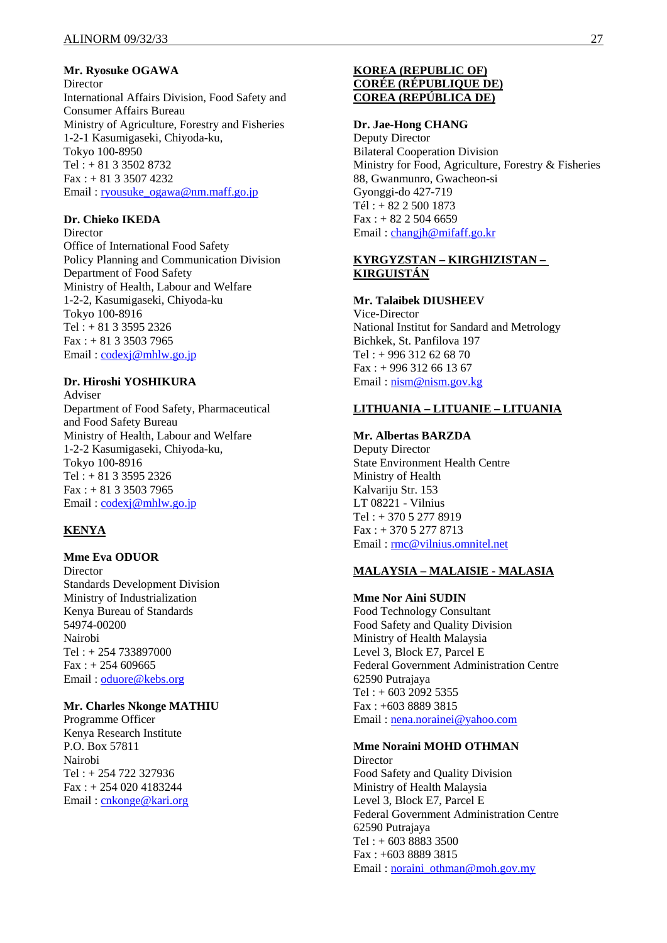**Mr. Ryosuke OGAWA** 

**Director** International Affairs Division, Food Safety and Consumer Affairs Bureau Ministry of Agriculture, Forestry and Fisheries 1-2-1 Kasumigaseki, Chiyoda-ku, Tokyo 100-8950  $Tel: + 81335028732$ Fax : + 81 3 3507 4232 Email : ryousuke\_ogawa@nm.maff.go.jp

## **Dr. Chieko IKEDA**

Director Office of International Food Safety Policy Planning and Communication Division Department of Food Safety Ministry of Health, Labour and Welfare 1-2-2, Kasumigaseki, Chiyoda-ku Tokyo 100-8916 Tel : + 81 3 3595 2326 Fax : + 81 3 3503 7965 Email: codexj@mhlw.go.jp

#### **Dr. Hiroshi YOSHIKURA**

Adviser Department of Food Safety, Pharmaceutical and Food Safety Bureau Ministry of Health, Labour and Welfare 1-2-2 Kasumigaseki, Chiyoda-ku, Tokyo 100-8916 Tel : + 81 3 3595 2326 Fax : + 81 3 3503 7965 Email: codexj@mhlw.go.jp

## **KENYA**

#### **Mme Eva ODUOR**

Director Standards Development Division Ministry of Industrialization Kenya Bureau of Standards 54974-00200 Nairobi Tel : + 254 733897000  $Fax: + 254 609665$ Email : oduore@kebs.org

#### **Mr. Charles Nkonge MATHIU**

Programme Officer Kenya Research Institute P.O. Box 57811 Nairobi Tel : + 254 722 327936 Fax : + 254 020 4183244 Email : cnkonge@kari.org

## **KOREA (REPUBLIC OF) CORÉE (RÉPUBLIQUE DE) COREA (REPÚBLICA DE)**

#### **Dr. Jae-Hong CHANG**

Deputy Director Bilateral Cooperation Division Ministry for Food, Agriculture, Forestry & Fisheries 88, Gwanmunro, Gwacheon-si Gyonggi-do 427-719 Tél : + 82 2 500 1873  $Fax: + 82 2 504 6659$ Email: changjh@mifaff.go.kr

## **KYRGYZSTAN – KIRGHIZISTAN – KIRGUISTÁN**

## **Mr. Talaibek DIUSHEEV**

Vice-Director National Institut for Sandard and Metrology Bichkek, St. Panfilova 197 Tel :  $+996$  312 62 68 70  $Fax: + 996 312 66 13 67$ Email : nism@nism.gov.kg

## **LITHUANIA – LITUANIE – LITUANIA**

## **Mr. Albertas BARZDA**

Deputy Director State Environment Health Centre Ministry of Health Kalvariju Str. 153 LT 08221 - Vilnius Tel : + 370 5 277 8919 Fax : + 370 5 277 8713 Email : rmc@vilnius.omnitel.net

#### **MALAYSIA – MALAISIE - MALASIA**

**Mme Nor Aini SUDIN**  Food Technology Consultant Food Safety and Quality Division Ministry of Health Malaysia Level 3, Block E7, Parcel E Federal Government Administration Centre 62590 Putrajaya Tel : + 603 2092 5355 Fax : +603 8889 3815 Email : nena.norainei@yahoo.com

## **Mme Noraini MOHD OTHMAN**

**Director** Food Safety and Quality Division Ministry of Health Malaysia Level 3, Block E7, Parcel E Federal Government Administration Centre 62590 Putrajaya Tel : + 603 8883 3500 Fax : +603 8889 3815 Email : noraini\_othman@moh.gov.my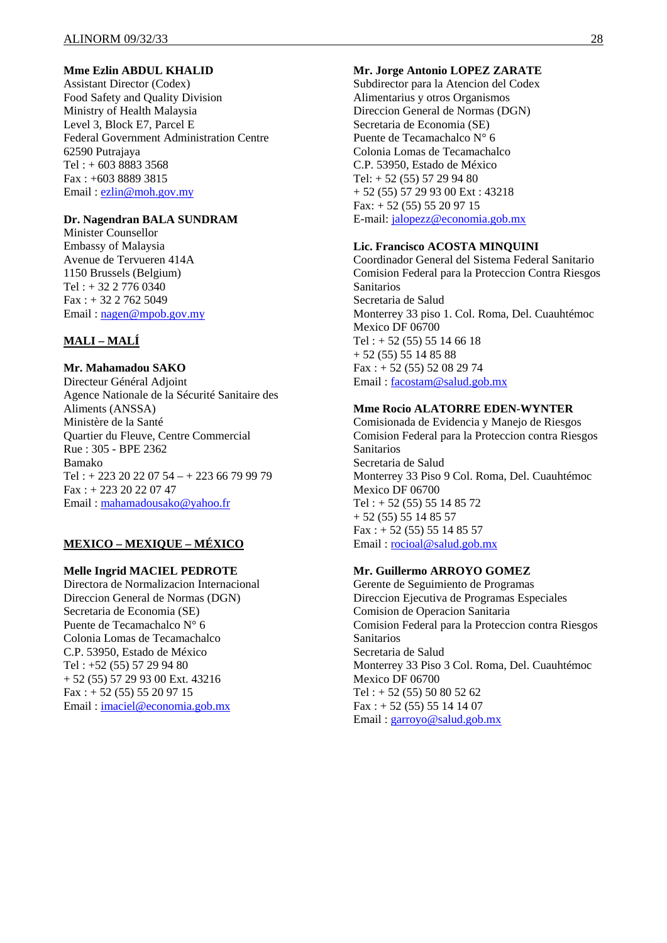## **Mme Ezlin ABDUL KHALID**

Assistant Director (Codex) Food Safety and Quality Division Ministry of Health Malaysia Level 3, Block E7, Parcel E Federal Government Administration Centre 62590 Putrajaya Tel : + 603 8883 3568 Fax : +603 8889 3815 Email : ezlin@moh.gov.my

#### **Dr. Nagendran BALA SUNDRAM**

Minister Counsellor Embassy of Malaysia Avenue de Tervueren 414A 1150 Brussels (Belgium) Tel : + 32 2 776 0340 Fax : + 32 2 762 5049 Email : nagen@mpob.gov.my

## **MALI – MALÍ**

## **Mr. Mahamadou SAKO**

Directeur Général Adjoint Agence Nationale de la Sécurité Sanitaire des Aliments (ANSSA) Ministère de la Santé Quartier du Fleuve, Centre Commercial Rue : 305 - BPE 2362 Bamako Tel :  $+ 223 20 22 07 54 - + 223 66 79 99 79$ Fax : + 223 20 22 07 47 Email : mahamadousako@yahoo.fr

#### **MEXICO – MEXIQUE – MÉXICO**

#### **Melle Ingrid MACIEL PEDROTE**

Directora de Normalizacion Internacional Direccion General de Normas (DGN) Secretaria de Economia (SE) Puente de Tecamachalco N° 6 Colonia Lomas de Tecamachalco C.P. 53950, Estado de México Tel : +52 (55) 57 29 94 80 + 52 (55) 57 29 93 00 Ext. 43216  $Fax: + 52(55) 55 20 97 15$ Email : imaciel@economia.gob.mx

#### **Mr. Jorge Antonio LOPEZ ZARATE**

Subdirector para la Atencion del Codex Alimentarius y otros Organismos Direccion General de Normas (DGN) Secretaria de Economia (SE) Puente de Tecamachalco N° 6 Colonia Lomas de Tecamachalco C.P. 53950, Estado de México Tel: + 52 (55) 57 29 94 80 + 52 (55) 57 29 93 00 Ext : 43218 Fax: + 52 (55) 55 20 97 15 E-mail: jalopezz@economia.gob.mx

#### **Lic. Francisco ACOSTA MINQUINI**

Coordinador General del Sistema Federal Sanitario Comision Federal para la Proteccion Contra Riesgos Sanitarios Secretaria de Salud Monterrey 33 piso 1. Col. Roma, Del. Cuauhtémoc Mexico DF 06700 Tel :  $+ 52 (55) 55 14 66 18$ + 52 (55) 55 14 85 88  $Fax: + 52(55) 52 08 29 74$ Email : facostam@salud.gob.mx

#### **Mme Rocio ALATORRE EDEN-WYNTER**

Comisionada de Evidencia y Manejo de Riesgos Comision Federal para la Proteccion contra Riesgos Sanitarios Secretaria de Salud Monterrey 33 Piso 9 Col. Roma, Del. Cuauhtémoc Mexico DF 06700 Tel : + 52 (55) 55 14 85 72 + 52 (55) 55 14 85 57  $Fax: + 52(55) 55 14 85 57$ Email : rocioal@salud.gob.mx

## **Mr. Guillermo ARROYO GOMEZ**

Gerente de Seguimiento de Programas Direccion Ejecutiva de Programas Especiales Comision de Operacion Sanitaria Comision Federal para la Proteccion contra Riesgos Sanitarios Secretaria de Salud Monterrey 33 Piso 3 Col. Roma, Del. Cuauhtémoc Mexico DF 06700  $Tel: + 52 (55) 50 80 52 62$  $Fax: + 52(55) 55 14 14 07$ Email : garroyo@salud.gob.mx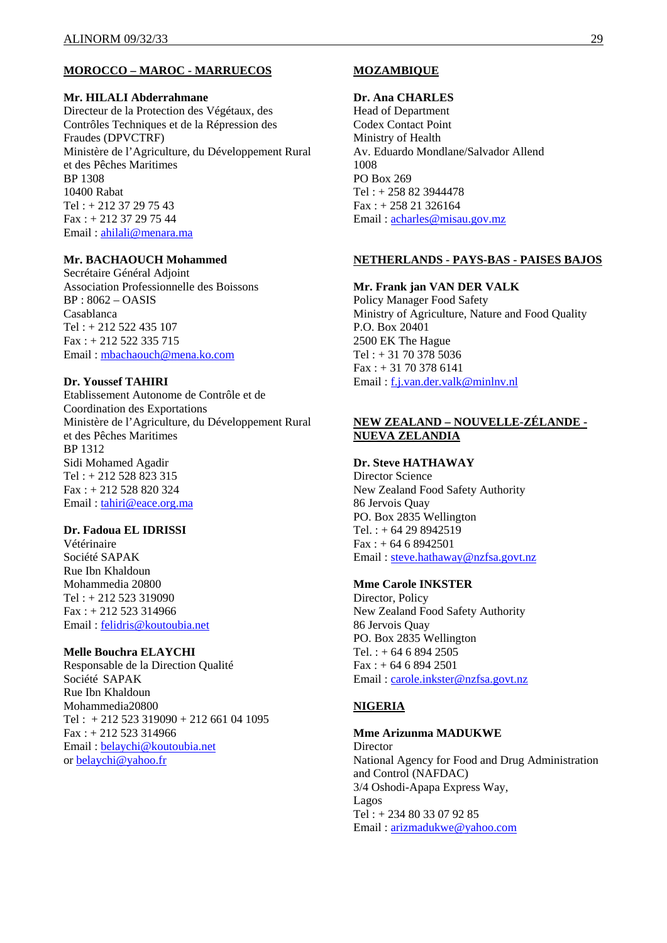#### **MOROCCO – MAROC - MARRUECOS**

#### **Mr. HILALI Abderrahmane**

Directeur de la Protection des Végétaux, des Contrôles Techniques et de la Répression des Fraudes (DPVCTRF) Ministère de l'Agriculture, du Développement Rural et des Pêches Maritimes BP 1308 10400 Rabat Tel : + 212 37 29 75 43 Fax : + 212 37 29 75 44 Email : ahilali@menara.ma

## **Mr. BACHAOUCH Mohammed**

Secrétaire Général Adjoint Association Professionnelle des Boissons BP : 8062 – OASIS Casablanca Tel : + 212 522 435 107 Fax : + 212 522 335 715 Email : mbachaouch@mena.ko.com

#### **Dr. Youssef TAHIRI**

Etablissement Autonome de Contrôle et de Coordination des Exportations Ministère de l'Agriculture, du Développement Rural et des Pêches Maritimes BP 1312 Sidi Mohamed Agadir Tel : + 212 528 823 315 Fax : + 212 528 820 324 Email: tahiri@eace.org.ma

#### **Dr. Fadoua EL IDRISSI**

Vétérinaire Société SAPAK Rue Ibn Khaldoun Mohammedia 20800 Tel : + 212 523 319090 Fax : + 212 523 314966 Email : felidris@koutoubia.net

#### **Melle Bouchra ELAYCHI**

Responsable de la Direction Qualité Société SAPAK Rue Ibn Khaldoun Mohammedia20800 Tel :  $+212523319090 + 212661041095$ Fax : + 212 523 314966 Email : belaychi@koutoubia.net or belaychi@yahoo.fr

## **MOZAMBIQUE**

#### **Dr. Ana CHARLES**

Head of Department Codex Contact Point Ministry of Health Av. Eduardo Mondlane/Salvador Allend 1008 PO Box 269 Tel : + 258 82 3944478 Fax : + 258 21 326164 Email : acharles@misau.gov.mz

#### **NETHERLANDS - PAYS-BAS - PAISES BAJOS**

#### **Mr. Frank jan VAN DER VALK**

Policy Manager Food Safety Ministry of Agriculture, Nature and Food Quality P.O. Box 20401 2500 EK The Hague  $Tel: + 31703785036$  $Fax: + 31703786141$ Email : f.j.van.der.valk@minlnv.nl

## **NEW ZEALAND – NOUVELLE-ZÉLANDE - NUEVA ZELANDIA**

#### **Dr. Steve HATHAWAY**

Director Science New Zealand Food Safety Authority 86 Jervois Quay PO. Box 2835 Wellington Tel.:  $+ 64 29 8942519$  $Fax: + 64 6 8942501$ Email : steve.hathaway@nzfsa.govt.nz

#### **Mme Carole INKSTER**

Director, Policy New Zealand Food Safety Authority 86 Jervois Quay PO. Box 2835 Wellington Tel. :  $+ 64 6 894 2505$ Fax : + 64 6 894 2501 Email : carole.inkster@nzfsa.govt.nz

## **NIGERIA**

## **Mme Arizunma MADUKWE**

**Director** National Agency for Food and Drug Administration and Control (NAFDAC) 3/4 Oshodi-Apapa Express Way, Lagos Tel : + 234 80 33 07 92 85 Email : arizmadukwe@yahoo.com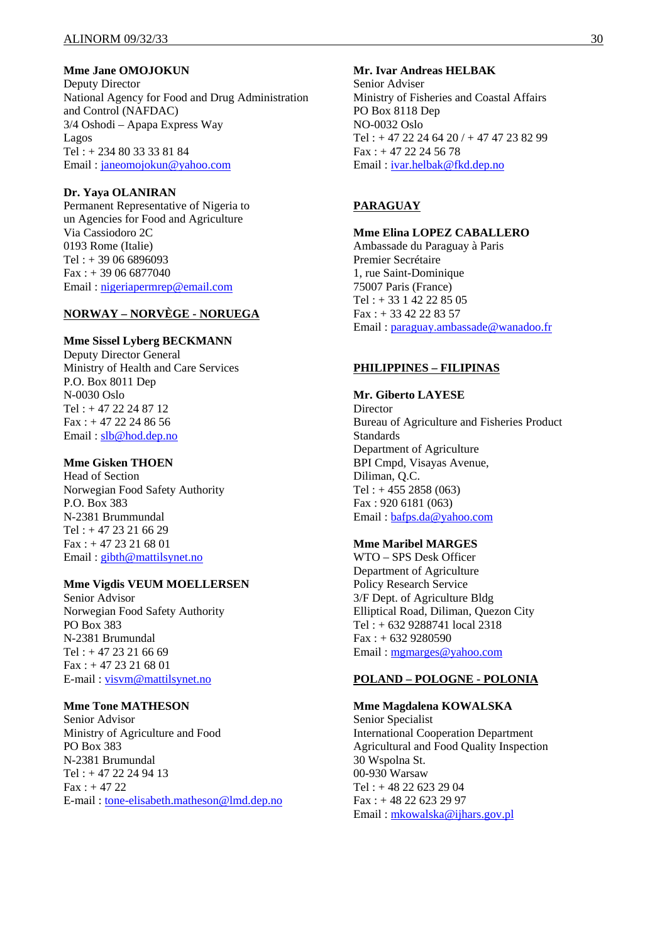#### **Mme Jane OMOJOKUN**

Deputy Director National Agency for Food and Drug Administration and Control (NAFDAC) 3/4 Oshodi – Apapa Express Way Lagos Tel : + 234 80 33 33 81 84 Email : janeomojokun@yahoo.com

## **Dr. Yaya OLANIRAN**

Permanent Representative of Nigeria to un Agencies for Food and Agriculture Via Cassiodoro 2C 0193 Rome (Italie) Tel : + 39 06 6896093 Fax : + 39 06 6877040 Email : nigeriapermrep@email.com

## **NORWAY – NORVÈGE - NORUEGA**

#### **Mme Sissel Lyberg BECKMANN**

Deputy Director General Ministry of Health and Care Services P.O. Box 8011 Dep N-0030 Oslo Tel : + 47 22 24 87 12  $Fax : + 47 22 24 86 56$ Email : slb@hod.dep.no

## **Mme Gisken THOEN**

Head of Section Norwegian Food Safety Authority P.O. Box 383 N-2381 Brummundal Tel : + 47 23 21 66 29 Fax : + 47 23 21 68 01 Email : gibth@mattilsynet.no

#### **Mme Vigdis VEUM MOELLERSEN**

Senior Advisor Norwegian Food Safety Authority PO Box 383 N-2381 Brumundal  $Tel: +4723216669$ Fax : + 47 23 21 68 01 E-mail : visvm@mattilsynet.no

#### **Mme Tone MATHESON**

Senior Advisor Ministry of Agriculture and Food PO Box 383 N-2381 Brumundal Tel : + 47 22 24 94 13  $Fax: + 4722$ E-mail : tone-elisabeth.matheson@lmd.dep.no

#### **Mr. Ivar Andreas HELBAK**

Senior Adviser Ministry of Fisheries and Coastal Affairs PO Box 8118 Dep NO-0032 Oslo Tel :  $+47$  22 24 64 20 /  $+47$  47 23 82 99 Fax : + 47 22 24 56 78 Email : ivar.helbak@fkd.dep.no

## **PARAGUAY**

#### **Mme Elina LOPEZ CABALLERO**

Ambassade du Paraguay à Paris Premier Secrétaire 1, rue Saint-Dominique 75007 Paris (France) Tel : + 33 1 42 22 85 05 Fax : + 33 42 22 83 57 Email : paraguay.ambassade@wanadoo.fr

#### **PHILIPPINES – FILIPINAS**

#### **Mr. Giberto LAYESE**

Director Bureau of Agriculture and Fisheries Product **Standards** Department of Agriculture BPI Cmpd, Visayas Avenue, Diliman, Q.C. Tel : + 455 2858 (063) Fax : 920 6181 (063) Email : bafps.da@yahoo.com

## **Mme Maribel MARGES**

WTO – SPS Desk Officer Department of Agriculture Policy Research Service 3/F Dept. of Agriculture Bldg Elliptical Road, Diliman, Quezon City Tel : + 632 9288741 local 2318  $Fax : + 6329280590$ Email : mgmarges@yahoo.com

#### **POLAND – POLOGNE - POLONIA**

**Mme Magdalena KOWALSKA**  Senior Specialist International Cooperation Department Agricultural and Food Quality Inspection 30 Wspolna St. 00-930 Warsaw Tel : + 48 22 623 29 04 Fax : + 48 22 623 29 97 Email : mkowalska@ijhars.gov.pl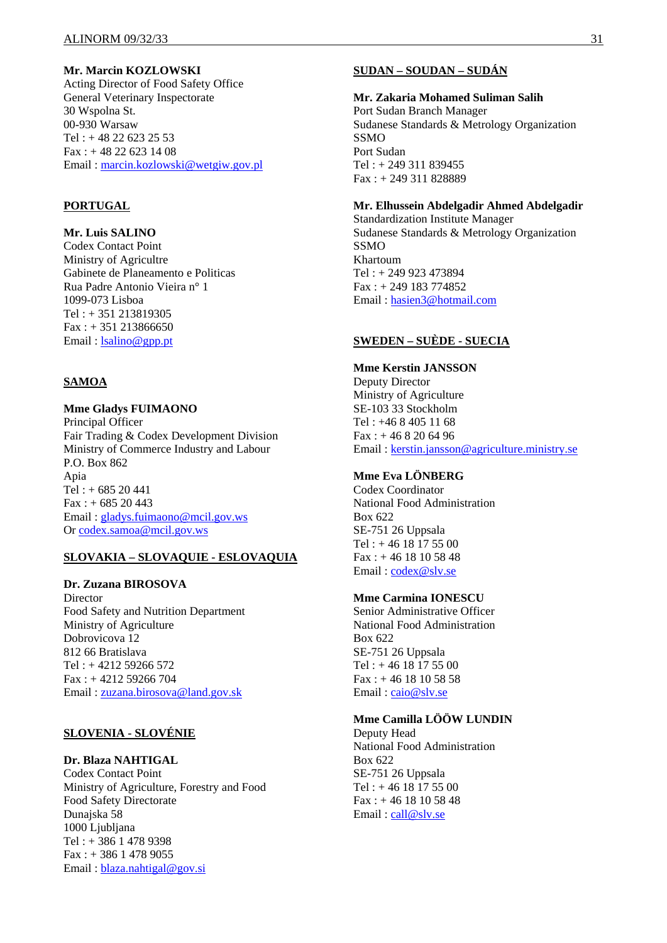## **Mr. Marcin KOZLOWSKI**

Acting Director of Food Safety Office General Veterinary Inspectorate 30 Wspolna St. 00-930 Warsaw Tel :  $+48$  22 623 25 53  $Fax: + 48226231408$ Email : marcin.kozlowski@wetgiw.gov.pl

## **PORTUGAL**

## **Mr. Luis SALINO**

Codex Contact Point Ministry of Agricultre Gabinete de Planeamento e Politicas Rua Padre Antonio Vieira n° 1 1099-073 Lisboa Tel : + 351 213819305  $Fax: + 351 213866650$ Email: **lsalino@gpp.pt** 

#### **SAMOA**

#### **Mme Gladys FUIMAONO**

Principal Officer Fair Trading & Codex Development Division Ministry of Commerce Industry and Labour P.O. Box 862 Apia  $Tel : + 68520441$ Fax : + 685 20 443 Email : gladys.fuimaono@mcil.gov.ws Or codex.samoa@mcil.gov.ws

#### **SLOVAKIA – SLOVAQUIE - ESLOVAQUIA**

#### **Dr. Zuzana BIROSOVA**

**Director** Food Safety and Nutrition Department Ministry of Agriculture Dobrovicova 12 812 66 Bratislava Tel : + 4212 59266 572 Fax : + 4212 59266 704 Email : zuzana.birosova@land.gov.sk

## **SLOVENIA - SLOVÉNIE**

#### **Dr. Blaza NAHTIGAL**

Codex Contact Point Ministry of Agriculture, Forestry and Food Food Safety Directorate Dunajska 58 1000 Ljubljana Tel : + 386 1 478 9398 Fax : + 386 1 478 9055 Email : blaza.nahtigal@gov.si

## **SUDAN – SOUDAN – SUDÁN**

#### **Mr. Zakaria Mohamed Suliman Salih**

Port Sudan Branch Manager Sudanese Standards & Metrology Organization SSMO Port Sudan Tel : + 249 311 839455 Fax : + 249 311 828889

## **Mr. Elhussein Abdelgadir Ahmed Abdelgadir**

Standardization Institute Manager Sudanese Standards & Metrology Organization SSMO Khartoum Tel : + 249 923 473894 Fax : + 249 183 774852 Email : hasien3@hotmail.com

## **SWEDEN – SUÈDE - SUECIA**

**Mme Kerstin JANSSON**  Deputy Director Ministry of Agriculture SE-103 33 Stockholm Tel : +46 8 405 11 68 Fax : + 46 8 20 64 96 Email : kerstin.jansson@agriculture.ministry.se

## **Mme Eva LÖNBERG**

Codex Coordinator National Food Administration Box 622 SE-751 26 Uppsala Tel : + 46 18 17 55 00  $Fax : + 46 18 10 58 48$ Email : codex@slv.se

#### **Mme Carmina IONESCU**

Senior Administrative Officer National Food Administration Box 622 SE-751 26 Uppsala Tel : + 46 18 17 55 00 Fax : + 46 18 10 58 58 Email : caio@slv.se

#### **Mme Camilla LÖÖW LUNDIN**

Deputy Head National Food Administration Box 622 SE-751 26 Uppsala Tel : + 46 18 17 55 00 Fax : + 46 18 10 58 48 Email: call@slv.se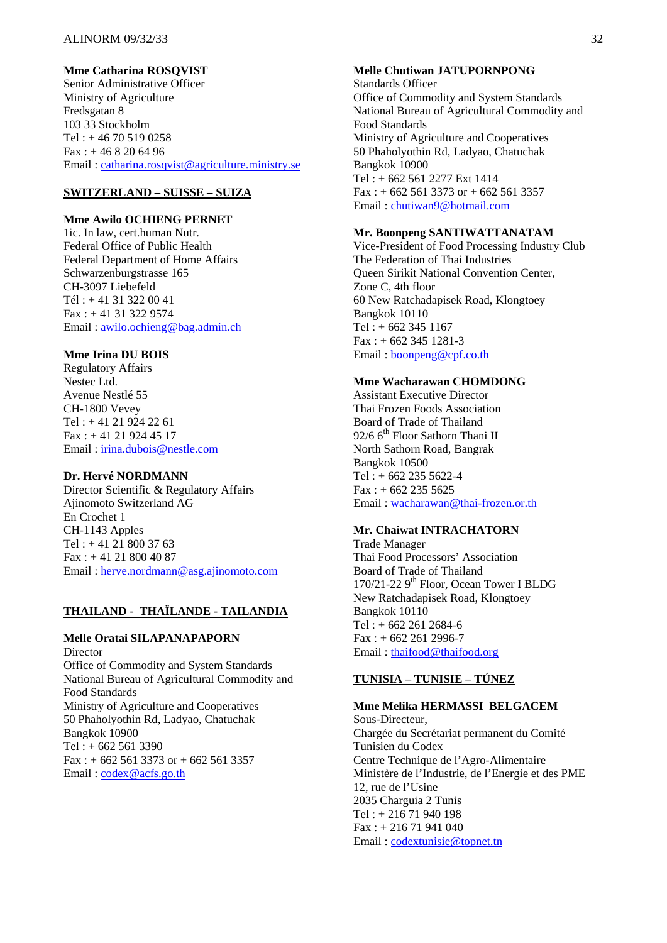## **Mme Catharina ROSQVIST**

Senior Administrative Officer Ministry of Agriculture Fredsgatan 8 103 33 Stockholm Tel : + 46 70 519 0258  $Fax: + 46 8 20 64 96$ Email : catharina.rosqvist@agriculture.ministry.se

## **SWITZERLAND – SUISSE – SUIZA**

#### **Mme Awilo OCHIENG PERNET**

1ic. In law, cert.human Nutr. Federal Office of Public Health Federal Department of Home Affairs Schwarzenburgstrasse 165 CH-3097 Liebefeld Tél : + 41 31 322 00 41 Fax : + 41 31 322 9574 Email : awilo.ochieng@bag.admin.ch

#### **Mme Irina DU BOIS**

Regulatory Affairs Nestec Ltd. Avenue Nestlé 55 CH-1800 Vevey  $Tel: +41 21 924 22 61$ Fax : + 41 21 924 45 17 Email : irina.dubois@nestle.com

#### **Dr. Hervé NORDMANN**

Director Scientific & Regulatory Affairs Ajinomoto Switzerland AG En Crochet 1 CH-1143 Apples Tel : + 41 21 800 37 63 Fax : + 41 21 800 40 87 Email : herve.nordmann@asg.ajinomoto.com

#### **THAILAND - THAÏLANDE - TAILANDIA**

#### **Melle Oratai SILAPANAPAPORN**

Director Office of Commodity and System Standards National Bureau of Agricultural Commodity and Food Standards Ministry of Agriculture and Cooperatives 50 Phaholyothin Rd, Ladyao, Chatuchak Bangkok 10900 Tel : + 662 561 3390 Fax :  $+ 6625613373$  or  $+ 6625613357$ Email: codex@acfs.go.th

## **Melle Chutiwan JATUPORNPONG**

Standards Officer Office of Commodity and System Standards National Bureau of Agricultural Commodity and Food Standards Ministry of Agriculture and Cooperatives 50 Phaholyothin Rd, Ladyao, Chatuchak Bangkok 10900 Tel : + 662 561 2277 Ext 1414  $Fax: + 6625613373$  or  $+ 6625613357$ Email : chutiwan9@hotmail.com

#### **Mr. Boonpeng SANTIWATTANATAM**

Vice-President of Food Processing Industry Club The Federation of Thai Industries Queen Sirikit National Convention Center, Zone C, 4th floor 60 New Ratchadapisek Road, Klongtoey Bangkok 10110  $Tel: + 662, 345, 1167$  $Fax : + 6623451281-3$ Email : boonpeng@cpf.co.th

## **Mme Wacharawan CHOMDONG**

Assistant Executive Director Thai Frozen Foods Association Board of Trade of Thailand 92/6 6<sup>th</sup> Floor Sathorn Thani II North Sathorn Road, Bangrak Bangkok 10500 Tel : + 662 235 5622-4  $Fax: + 662 235 5625$ Email : wacharawan@thai-frozen.or.th

#### **Mr. Chaiwat INTRACHATORN**

Trade Manager Thai Food Processors' Association Board of Trade of Thailand 170/21-22 9<sup>th</sup> Floor, Ocean Tower I BLDG New Ratchadapisek Road, Klongtoey Bangkok 10110 Tel : + 662 261 2684-6  $Fax : + 6622612996-7$ Email : thaifood@thaifood.org

#### **TUNISIA – TUNISIE – TÚNEZ**

**Mme Melika HERMASSI BELGACEM**  Sous-Directeur, Chargée du Secrétariat permanent du Comité Tunisien du Codex Centre Technique de l'Agro-Alimentaire Ministère de l'Industrie, de l'Energie et des PME 12, rue de l'Usine 2035 Charguia 2 Tunis Tel : + 216 71 940 198 Fax : + 216 71 941 040 Email : codextunisie@topnet.tn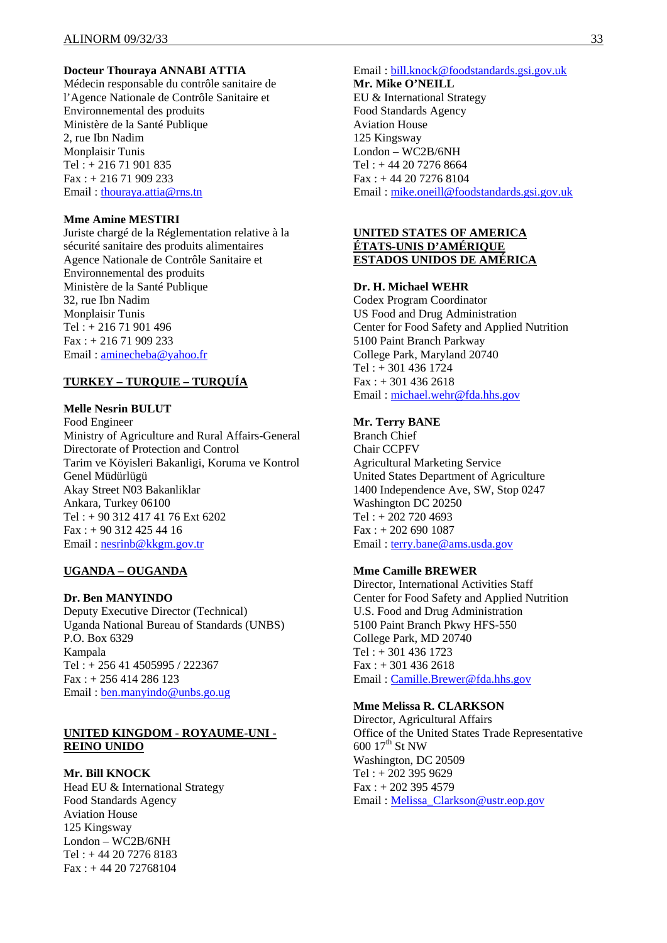#### **Docteur Thouraya ANNABI ATTIA**

Médecin responsable du contrôle sanitaire de l'Agence Nationale de Contrôle Sanitaire et Environnemental des produits Ministère de la Santé Publique 2, rue Ibn Nadim Monplaisir Tunis Tel : + 216 71 901 835 Fax : + 216 71 909 233 Email : thouraya.attia@rns.tn

#### **Mme Amine MESTIRI**

Juriste chargé de la Réglementation relative à la sécurité sanitaire des produits alimentaires Agence Nationale de Contrôle Sanitaire et Environnemental des produits Ministère de la Santé Publique 32, rue Ibn Nadim Monplaisir Tunis Tel : + 216 71 901 496 Fax : + 216 71 909 233 Email : aminecheba@yahoo.fr

### **TURKEY – TURQUIE – TURQUÍA**

#### **Melle Nesrin BULUT**

Food Engineer Ministry of Agriculture and Rural Affairs-General Directorate of Protection and Control Tarim ve Köyisleri Bakanligi, Koruma ve Kontrol Genel Müdürlügü Akay Street N03 Bakanliklar Ankara, Turkey 06100 Tel : + 90 312 417 41 76 Ext 6202 Fax : + 90 312 425 44 16 Email : nesrinb@kkgm.gov.tr

#### **UGANDA – OUGANDA**

#### **Dr. Ben MANYINDO**

Deputy Executive Director (Technical) Uganda National Bureau of Standards (UNBS) P.O. Box 6329 Kampala Tel : + 256 41 4505995 / 222367 Fax : + 256 414 286 123 Email : ben.manyindo@unbs.go.ug

#### **UNITED KINGDOM - ROYAUME-UNI - REINO UNIDO**

#### **Mr. Bill KNOCK**

Head EU & International Strategy Food Standards Agency Aviation House 125 Kingsway London – WC2B/6NH Tel : + 44 20 7276 8183 Fax : + 44 20 72768104

Email : bill.knock@foodstandards.gsi.gov.uk **Mr. Mike O'NEILL**  EU & International Strategy Food Standards Agency Aviation House 125 Kingsway London – WC2B/6NH Tel : + 44 20 7276 8664 Fax : + 44 20 7276 8104 Email : mike.oneill@foodstandards.gsi.gov.uk

#### **UNITED STATES OF AMERICA ÉTATS-UNIS D'AMÉRIQUE ESTADOS UNIDOS DE AMÉRICA**

#### **Dr. H. Michael WEHR**

Codex Program Coordinator US Food and Drug Administration Center for Food Safety and Applied Nutrition 5100 Paint Branch Parkway College Park, Maryland 20740 Tel : + 301 436 1724  $Fax: + 3014362618$ Email : michael.wehr@fda.hhs.gov

#### **Mr. Terry BANE**

Branch Chief Chair CCPFV Agricultural Marketing Service United States Department of Agriculture 1400 Independence Ave, SW, Stop 0247 Washington DC 20250 Tel : + 202 720 4693 Fax : + 202 690 1087 Email : terry.bane@ams.usda.gov

#### **Mme Camille BREWER**

Director, International Activities Staff Center for Food Safety and Applied Nutrition U.S. Food and Drug Administration 5100 Paint Branch Pkwy HFS-550 College Park, MD 20740 Tel : + 301 436 1723 Fax : + 301 436 2618 Email : Camille.Brewer@fda.hhs.gov

#### **Mme Melissa R. CLARKSON**

Director, Agricultural Affairs Office of the United States Trade Representative  $600$   $17<sup>th</sup>$  St NW Washington, DC 20509 Tel : + 202 395 9629 Fax : + 202 395 4579 Email : Melissa\_Clarkson@ustr.eop.gov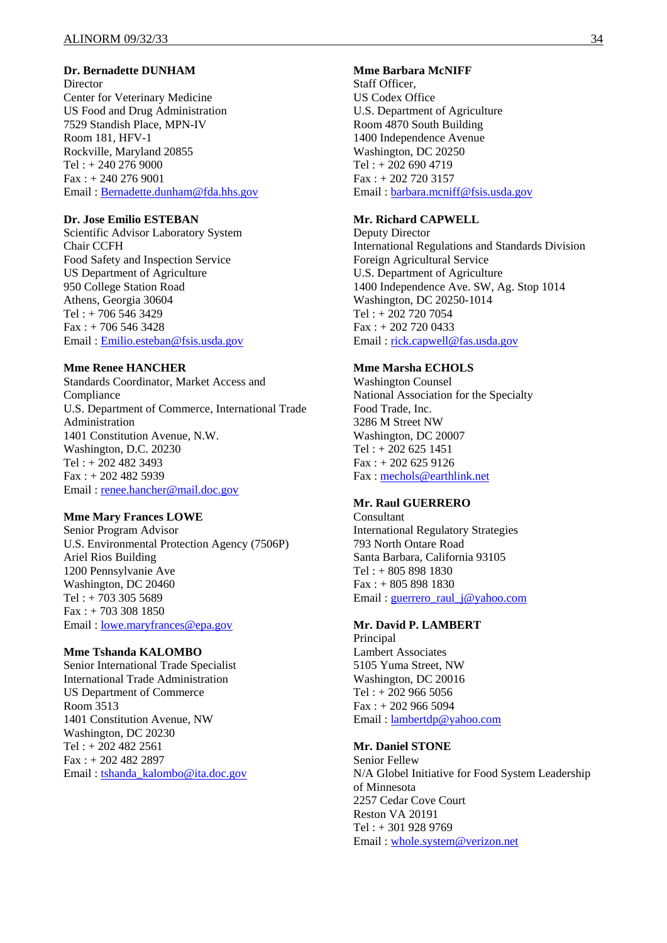#### **Dr. Bernadette DUNHAM**

**Director** Center for Veterinary Medicine US Food and Drug Administration 7529 Standish Place, MPN-IV Room 181, HFV-1 Rockville, Maryland 20855 Tel : + 240 276 9000 Fax : + 240 276 9001 Email : Bernadette.dunham@fda.hhs.gov

#### **Dr. Jose Emilio ESTEBAN**

Scientific Advisor Laboratory System Chair CCFH Food Safety and Inspection Service US Department of Agriculture 950 College Station Road Athens, Georgia 30604 Tel : + 706 546 3429 Fax : + 706 546 3428 Email : Emilio.esteban@fsis.usda.gov

#### **Mme Renee HANCHER**

Standards Coordinator, Market Access and Compliance U.S. Department of Commerce, International Trade Administration 1401 Constitution Avenue, N.W. Washington, D.C. 20230 Tel : + 202 482 3493 Fax : + 202 482 5939 Email : renee.hancher@mail.doc.gov

#### **Mme Mary Frances LOWE**

Senior Program Advisor U.S. Environmental Protection Agency (7506P) Ariel Rios Building 1200 Pennsylvanie Ave Washington, DC 20460 Tel : + 703 305 5689 Fax : + 703 308 1850 Email : lowe.maryfrances@epa.gov

#### **Mme Tshanda KALOMBO**

Senior International Trade Specialist International Trade Administration US Department of Commerce Room 3513 1401 Constitution Avenue, NW Washington, DC 20230 Tel : + 202 482 2561 Fax : + 202 482 2897 Email : tshanda\_kalombo@ita.doc.gov

#### **Mme Barbara McNIFF**

Staff Officer, US Codex Office U.S. Department of Agriculture Room 4870 South Building 1400 Independence Avenue Washington, DC 20250 Tel : + 202 690 4719 Fax : + 202 720 3157 Email : barbara.mcniff@fsis.usda.gov

#### **Mr. Richard CAPWELL**

Deputy Director International Regulations and Standards Division Foreign Agricultural Service U.S. Department of Agriculture 1400 Independence Ave. SW, Ag. Stop 1014 Washington, DC 20250-1014 Tel : + 202 720 7054 Fax : + 202 720 0433 Email : rick.capwell@fas.usda.gov

#### **Mme Marsha ECHOLS**

Washington Counsel National Association for the Specialty Food Trade, Inc. 3286 M Street NW Washington, DC 20007 Tel : + 202 625 1451 Fax : + 202 625 9126 Fax : mechols@earthlink.net

#### **Mr. Raul GUERRERO**

Consultant International Regulatory Strategies 793 North Ontare Road Santa Barbara, California 93105 Tel : + 805 898 1830 Fax : + 805 898 1830 Email : guerrero\_raul\_j@yahoo.com

#### **Mr. David P. LAMBERT**

**Principal** Lambert Associates 5105 Yuma Street, NW Washington, DC 20016 Tel : + 202 966 5056  $Fax : + 2029665094$ Email : lambertdp@yahoo.com

## **Mr. Daniel STONE**

Senior Fellew N/A Globel Initiative for Food System Leadership of Minnesota 2257 Cedar Cove Court Reston VA 20191 Tel : + 301 928 9769 Email : whole.system@verizon.net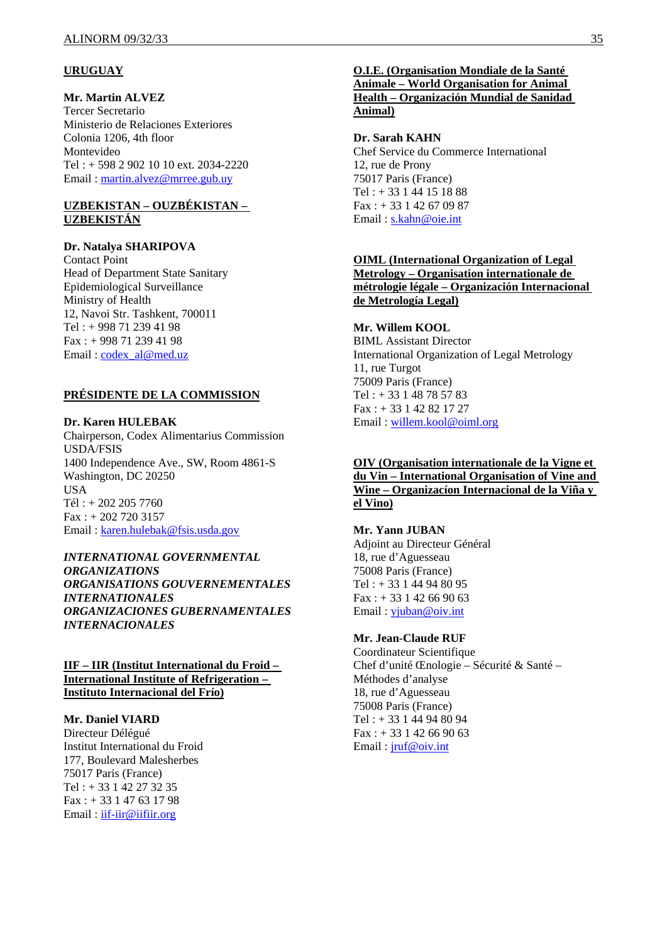## **URUGUAY**

## **Mr. Martin ALVEZ**

Tercer Secretario Ministerio de Relaciones Exteriores Colonia 1206, 4th floor Montevideo Tel : + 598 2 902 10 10 ext. 2034-2220 Email : martin.alvez@mrree.gub.uy

## **UZBEKISTAN – OUZBÉKISTAN – UZBEKISTÁN**

#### **Dr. Natalya SHARIPOVA**

Contact Point Head of Department State Sanitary Epidemiological Surveillance Ministry of Health 12, Navoi Str. Tashkent, 700011 Tel : + 998 71 239 41 98 Fax : + 998 71 239 41 98 Email: codex\_al@med.uz

## **PRÉSIDENTE DE LA COMMISSION**

## **Dr. Karen HULEBAK**

Chairperson, Codex Alimentarius Commission USDA/FSIS 1400 Independence Ave., SW, Room 4861-S Washington, DC 20250 USA Tél : + 202 205 7760 Fax : + 202 720 3157 Email : karen.hulebak@fsis.usda.gov

*INTERNATIONAL GOVERNMENTAL ORGANIZATIONS ORGANISATIONS GOUVERNEMENTALES INTERNATIONALES ORGANIZACIONES GUBERNAMENTALES INTERNACIONALES* 

#### **IIF – IIR (Institut International du Froid – International Institute of Refrigeration – Instituto Internacional del Frío)**

#### **Mr. Daniel VIARD**

Directeur Délégué Institut International du Froid 177, Boulevard Malesherbes 75017 Paris (France) Tel : + 33 1 42 27 32 35 Fax : + 33 1 47 63 17 98 Email : iif-iir@iifiir.org

## **O.I.E. (Organisation Mondiale de la Santé Animale – World Organisation for Animal Health – Organización Mundial de Sanidad Animal)**

#### **Dr. Sarah KAHN**

Chef Service du Commerce International 12, rue de Prony 75017 Paris (France) Tel : + 33 1 44 15 18 88  $Fax: + 33142670987$ Email: s.kahn@oie.int

## **OIML (International Organization of Legal Metrology – Organisation internationale de métrologie légale – Organización Internacional de Metrología Legal)**

## **Mr. Willem KOOL**

BIML Assistant Director International Organization of Legal Metrology 11, rue Turgot 75009 Paris (France) Tel : + 33 1 48 78 57 83 Fax : + 33 1 42 82 17 27 Email : willem.kool@oiml.org

## **OIV (Organisation internationale de la Vigne et du Vin – International Organisation of Vine and Wine – Organizacíon Internacional de la Viña y el Vino)**

## **Mr. Yann JUBAN**

Adjoint au Directeur Général 18, rue d'Aguesseau 75008 Paris (France) Tel : + 33 1 44 94 80 95  $Fax: + 33142669063$ Email : yjuban@oiv.int

#### **Mr. Jean-Claude RUF**

Coordinateur Scientifique Chef d'unité Œnologie – Sécurité & Santé – Méthodes d'analyse 18, rue d'Aguesseau 75008 Paris (France) Tel : + 33 1 44 94 80 94  $Fax: + 33142669063$ Email : jruf@oiv.int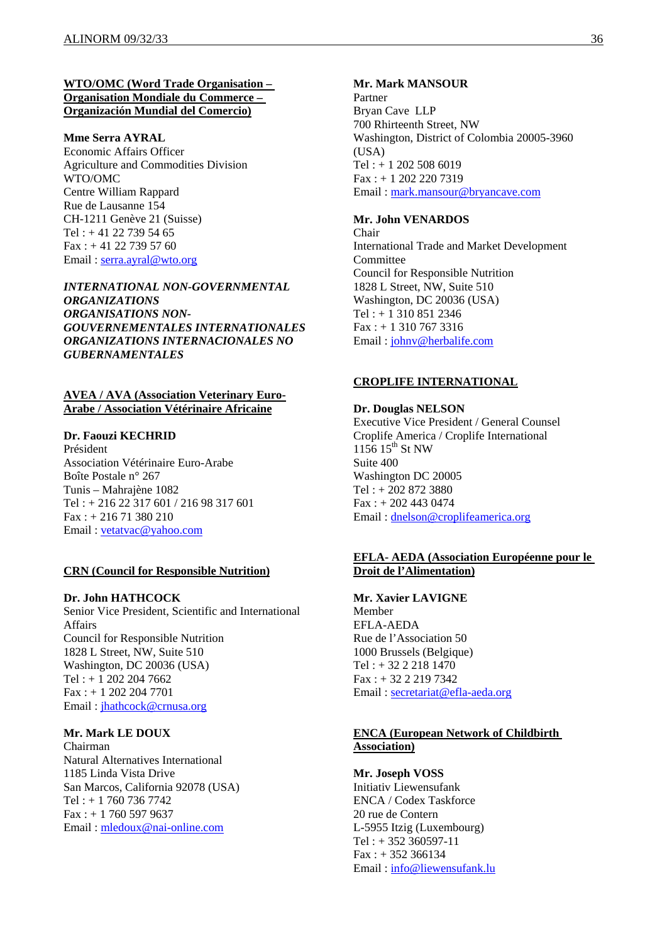#### **WTO/OMC (Word Trade Organisation – Organisation Mondiale du Commerce – Organización Mundial del Comercio)**

#### **Mme Serra AYRAL**

Economic Affairs Officer Agriculture and Commodities Division WTO/OMC Centre William Rappard Rue de Lausanne 154 CH-1211 Genève 21 (Suisse) Tel :  $+41$  22 739 54 65 Fax : + 41 22 739 57 60 Email : serra.ayral@wto.org

## *INTERNATIONAL NON-GOVERNMENTAL ORGANIZATIONS ORGANISATIONS NON-GOUVERNEMENTALES INTERNATIONALES ORGANIZATIONS INTERNACIONALES NO GUBERNAMENTALES*

#### **AVEA / AVA (Association Veterinary Euro-Arabe / Association Vétérinaire Africaine**

## **Dr. Faouzi KECHRID**

Président Association Vétérinaire Euro-Arabe Boîte Postale n° 267 Tunis – Mahrajène 1082 Tel : + 216 22 317 601 / 216 98 317 601 Fax : + 216 71 380 210 Email : vetatvac@yahoo.com

#### **CRN (Council for Responsible Nutrition)**

#### **Dr. John HATHCOCK**

Senior Vice President, Scientific and International Affairs Council for Responsible Nutrition 1828 L Street, NW, Suite 510 Washington, DC 20036 (USA) Tel : + 1 202 204 7662 Fax : + 1 202 204 7701 Email : jhathcock@crnusa.org

## **Mr. Mark LE DOUX**

Chairman Natural Alternatives International 1185 Linda Vista Drive San Marcos, California 92078 (USA) Tel : + 1 760 736 7742 Fax : + 1 760 597 9637 Email : mledoux@nai-online.com

#### **Mr. Mark MANSOUR**

Partner Bryan Cave LLP 700 Rhirteenth Street, NW Washington, District of Colombia 20005-3960 (USA) Tel : + 1 202 508 6019 Fax : + 1 202 220 7319 Email : mark.mansour@bryancave.com

#### **Mr. John VENARDOS**

Chair International Trade and Market Development Committee Council for Responsible Nutrition 1828 L Street, NW, Suite 510 Washington, DC 20036 (USA) Tel : + 1 310 851 2346 Fax : + 1 310 767 3316 Email : johnv@herbalife.com

#### **CROPLIFE INTERNATIONAL**

#### **Dr. Douglas NELSON**

Executive Vice President / General Counsel Croplife America / Croplife International  $1156$  15<sup>th</sup> St NW Suite 400 Washington DC 20005 Tel : + 202 872 3880  $Fax : + 2024430474$ Email : dnelson@croplifeamerica.org

## **EFLA- AEDA (Association Européenne pour le Droit de l'Alimentation)**

**Mr. Xavier LAVIGNE**  Member EFLA-AEDA Rue de l'Association 50 1000 Brussels (Belgique) Tel : + 32 2 218 1470 Fax : + 32 2 219 7342 Email : secretariat@efla-aeda.org

## **ENCA (European Network of Childbirth Association)**

**Mr. Joseph VOSS**  Initiativ Liewensufank ENCA / Codex Taskforce 20 rue de Contern L-5955 Itzig (Luxembourg)  $Tel: + 352 360597-11$  $Fax: + 352366134$ Email : info@liewensufank.lu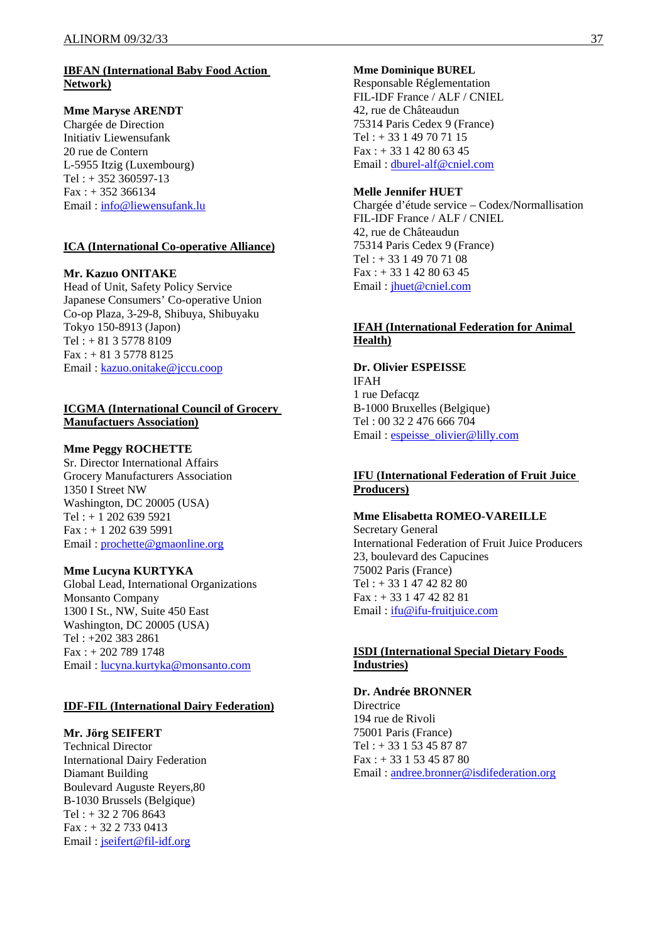## **IBFAN (International Baby Food Action Network)**

## **Mme Maryse ARENDT**

Chargée de Direction Initiativ Liewensufank 20 rue de Contern L-5955 Itzig (Luxembourg) Tel : + 352 360597-13  $Fax: + 352366134$ Email : info@liewensufank.lu

## **ICA (International Co-operative Alliance)**

**Mr. Kazuo ONITAKE**  Head of Unit, Safety Policy Service Japanese Consumers' Co-operative Union Co-op Plaza, 3-29-8, Shibuya, Shibuyaku Tokyo 150-8913 (Japon) Tel : + 81 3 5778 8109  $Fax: + 81357788125$ Email : kazuo.onitake@jccu.coop

## **ICGMA (International Council of Grocery Manufactuers Association)**

## **Mme Peggy ROCHETTE**

Sr. Director International Affairs Grocery Manufacturers Association 1350 I Street NW Washington, DC 20005 (USA) Tel : + 1 202 639 5921 Fax : + 1 202 639 5991 Email : prochette@gmaonline.org

## **Mme Lucyna KURTYKA**

Global Lead, International Organizations Monsanto Company 1300 I St., NW, Suite 450 East Washington, DC 20005 (USA) Tel : +202 383 2861 Fax : + 202 789 1748 Email : lucyna.kurtyka@monsanto.com

## **IDF-FIL (International Dairy Federation)**

## **Mr. Jörg SEIFERT**

Technical Director International Dairy Federation Diamant Building Boulevard Auguste Reyers,80 B-1030 Brussels (Belgique) Tel : + 32 2 706 8643 Fax : + 32 2 733 0413 Email : jseifert@fil-idf.org

#### **Mme Dominique BUREL**

Responsable Réglementation FIL-IDF France / ALF / CNIEL 42, rue de Châteaudun 75314 Paris Cedex 9 (France) Tel : + 33 1 49 70 71 15  $Fax: + 33142806345$ Email : dburel-alf@cniel.com

## **Melle Jennifer HUET**

Chargée d'étude service – Codex/Normallisation FIL-IDF France / ALF / CNIEL 42, rue de Châteaudun 75314 Paris Cedex 9 (France) Tel : + 33 1 49 70 71 08  $Fax: + 33142806345$ Email : jhuet@cniel.com

## **IFAH (International Federation for Animal Health)**

**Dr. Olivier ESPEISSE**  IFAH 1 rue Defacqz B-1000 Bruxelles (Belgique) Tel : 00 32 2 476 666 704 Email : espeisse\_olivier@lilly.com

## **IFU (International Federation of Fruit Juice Producers)**

**Mme Elisabetta ROMEO-VAREILLE**  Secretary General International Federation of Fruit Juice Producers 23, boulevard des Capucines 75002 Paris (France) Tel : + 33 1 47 42 82 80 Fax : + 33 1 47 42 82 81 Email : ifu@ifu-fruitjuice.com

## **ISDI (International Special Dietary Foods Industries)**

## **Dr. Andrée BRONNER**

**Directrice** 194 rue de Rivoli 75001 Paris (France) Tel : + 33 1 53 45 87 87 Fax : + 33 1 53 45 87 80 Email : andree.bronner@isdifederation.org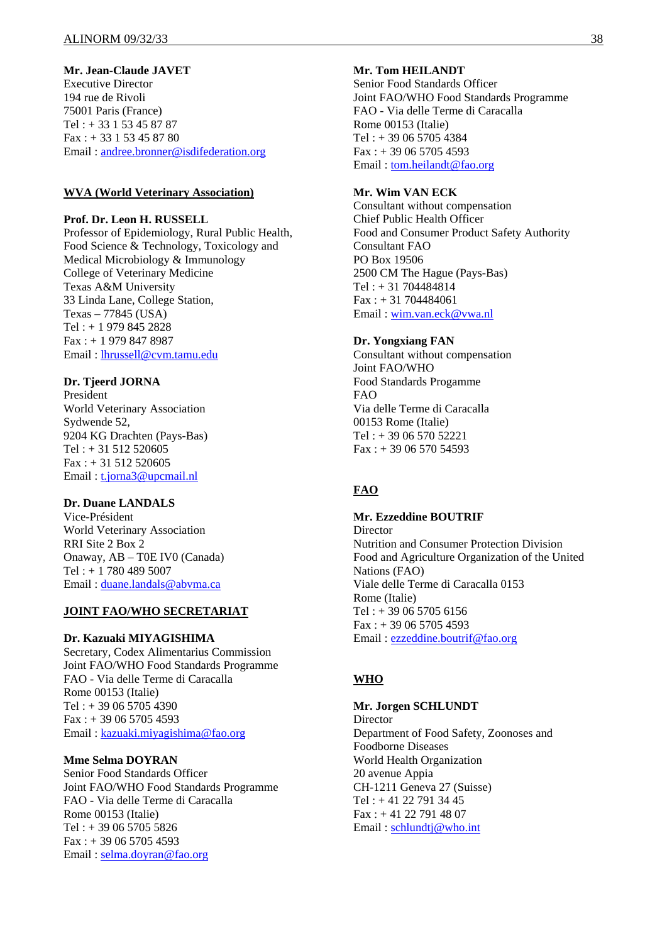## **Mr. Jean-Claude JAVET**

Executive Director 194 rue de Rivoli 75001 Paris (France) Tel : + 33 1 53 45 87 87 Fax : + 33 1 53 45 87 80 Email : andree.bronner@isdifederation.org

#### **WVA (World Veterinary Association)**

#### **Prof. Dr. Leon H. RUSSELL**

Professor of Epidemiology, Rural Public Health, Food Science & Technology, Toxicology and Medical Microbiology & Immunology College of Veterinary Medicine Texas A&M University 33 Linda Lane, College Station, Texas – 77845 (USA) Tel : + 1 979 845 2828 Fax : + 1 979 847 8987 Email : lhrussell@cvm.tamu.edu

## **Dr. Tjeerd JORNA**

President World Veterinary Association Sydwende 52, 9204 KG Drachten (Pays-Bas)  $Tel: + 31 512 520605$  $Fax : + 31 512 520605$ Email: t.jorna3@upcmail.nl

## **Dr. Duane LANDALS**

Vice-Président World Veterinary Association RRI Site 2 Box 2 Onaway, AB – T0E IV0 (Canada) Tel : + 1 780 489 5007 Email : duane.landals@abvma.ca

## **JOINT FAO/WHO SECRETARIAT**

#### **Dr. Kazuaki MIYAGISHIMA**

Secretary, Codex Alimentarius Commission Joint FAO/WHO Food Standards Programme FAO - Via delle Terme di Caracalla Rome 00153 (Italie)  $Tel: + 390657054390$  $Fax: + 390657054593$ Email : kazuaki.miyagishima@fao.org

#### **Mme Selma DOYRAN**

Senior Food Standards Officer Joint FAO/WHO Food Standards Programme FAO - Via delle Terme di Caracalla Rome 00153 (Italie)  $Tel: + 390657055826$  $Fax: + 390657054593$ Email : selma.doyran@fao.org

## **Mr. Tom HEILANDT**

Senior Food Standards Officer Joint FAO/WHO Food Standards Programme FAO - Via delle Terme di Caracalla Rome 00153 (Italie) Tel : + 39 06 5705 4384 Fax : + 39 06 5705 4593 Email : tom.heilandt@fao.org

## **Mr. Wim VAN ECK**

Consultant without compensation Chief Public Health Officer Food and Consumer Product Safety Authority Consultant FAO PO Box 19506 2500 CM The Hague (Pays-Bas) Tel : + 31 704484814 Fax : + 31 704484061 Email : wim.van.eck@vwa.nl

#### **Dr. Yongxiang FAN**

Consultant without compensation Joint FAO/WHO Food Standards Progamme FAO Via delle Terme di Caracalla 00153 Rome (Italie) Tel : + 39 06 570 52221  $Fax: + 390657054593$ 

## **FAO**

## **Mr. Ezzeddine BOUTRIF**

**Director** Nutrition and Consumer Protection Division Food and Agriculture Organization of the United Nations (FAO) Viale delle Terme di Caracalla 0153 Rome (Italie) Tel : + 39 06 5705 6156 Fax : + 39 06 5705 4593 Email : ezzeddine.boutrif@fao.org

## **WHO**

#### **Mr. Jorgen SCHLUNDT Director** Department of Food Safety, Zoonoses and Foodborne Diseases World Health Organization 20 avenue Appia CH-1211 Geneva 27 (Suisse) Tel : + 41 22 791 34 45 Fax : + 41 22 791 48 07 Email : schlundtj@who.int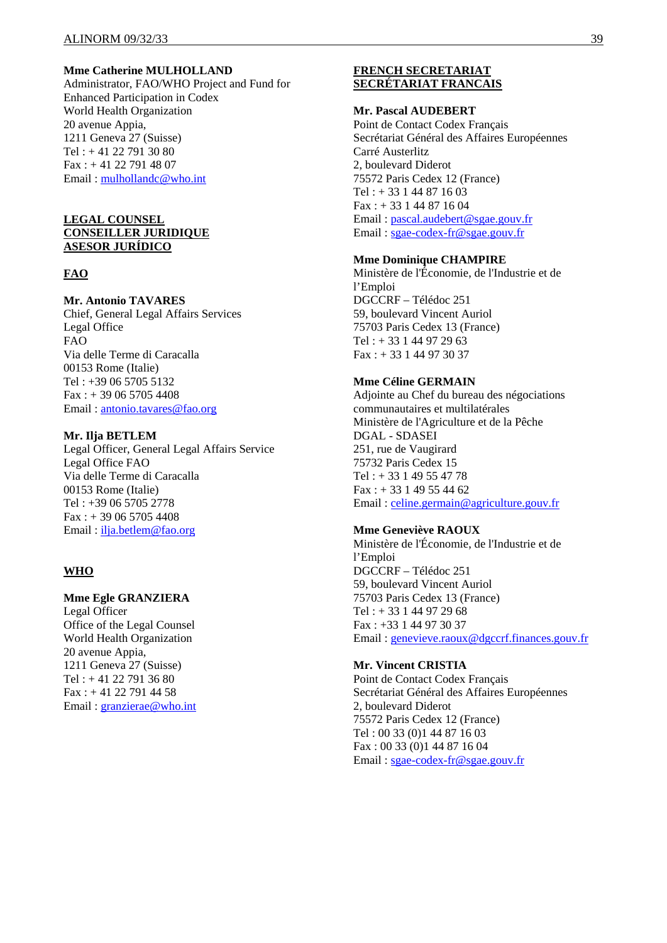## **Mme Catherine MULHOLLAND**

Administrator, FAO/WHO Project and Fund for Enhanced Participation in Codex World Health Organization 20 avenue Appia, 1211 Geneva 27 (Suisse)  $Tel: +41 22 791 30 80$ Fax : + 41 22 791 48 07 Email : mulhollandc@who.int

#### **LEGAL COUNSEL CONSEILLER JURIDIQUE ASESOR JURÍDICO**

#### **FAO**

## **Mr. Antonio TAVARES**

Chief, General Legal Affairs Services Legal Office FAO Via delle Terme di Caracalla 00153 Rome (Italie) Tel : +39 06 5705 5132 Fax : + 39 06 5705 4408 Email : antonio.tavares@fao.org

#### **Mr. Ilja BETLEM**

Legal Officer, General Legal Affairs Service Legal Office FAO Via delle Terme di Caracalla 00153 Rome (Italie) Tel : +39 06 5705 2778 Fax : + 39 06 5705 4408 Email : ilja.betlem@fao.org

#### **WHO**

## **Mme Egle GRANZIERA**

Legal Officer Office of the Legal Counsel World Health Organization 20 avenue Appia, 1211 Geneva 27 (Suisse) Tel : + 41 22 791 36 80 Fax : + 41 22 791 44 58 Email : granzierae@who.int

## **FRENCH SECRETARIAT SECRÉTARIAT FRANCAIS**

#### **Mr. Pascal AUDEBERT**

Point de Contact Codex Français Secrétariat Général des Affaires Européennes Carré Austerlitz 2, boulevard Diderot 75572 Paris Cedex 12 (France)  $Tel: + 33144871603$ Fax : + 33 1 44 87 16 04 Email : pascal.audebert@sgae.gouv.fr Email : sgae-codex-fr@sgae.gouv.fr

#### **Mme Dominique CHAMPIRE**

Ministère de l'Économie, de l'Industrie et de l'Emploi DGCCRF – Télédoc 251 59, boulevard Vincent Auriol 75703 Paris Cedex 13 (France) Tel : + 33 1 44 97 29 63 Fax : + 33 1 44 97 30 37

#### **Mme Céline GERMAIN**

Adjointe au Chef du bureau des négociations communautaires et multilatérales Ministère de l'Agriculture et de la Pêche DGAL - SDASEI 251, rue de Vaugirard 75732 Paris Cedex 15 Tel : + 33 1 49 55 47 78 Fax : + 33 1 49 55 44 62 Email : celine.germain@agriculture.gouv.fr

#### **Mme Geneviève RAOUX**

Ministère de l'Économie, de l'Industrie et de l'Emploi DGCCRF – Télédoc 251 59, boulevard Vincent Auriol 75703 Paris Cedex 13 (France) Tel : + 33 1 44 97 29 68 Fax : +33 1 44 97 30 37 Email : genevieve.raoux@dgccrf.finances.gouv.fr

#### **Mr. Vincent CRISTIA**

Point de Contact Codex Français Secrétariat Général des Affaires Européennes 2, boulevard Diderot 75572 Paris Cedex 12 (France) Tel : 00 33 (0)1 44 87 16 03 Fax : 00 33 (0)1 44 87 16 04 Email : sgae-codex-fr@sgae.gouv.fr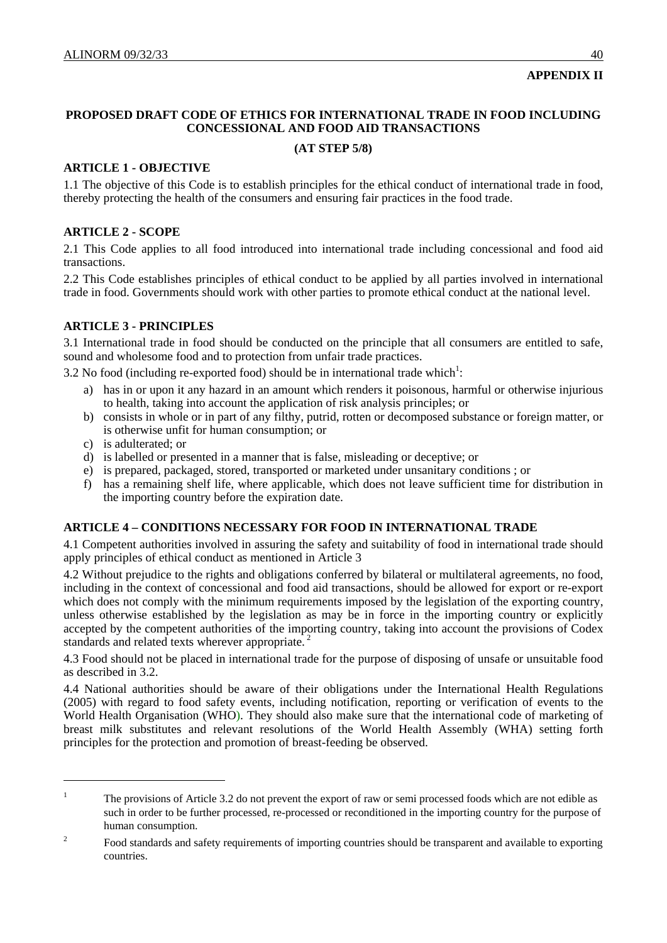## **APPENDIX II**

## **PROPOSED DRAFT CODE OF ETHICS FOR INTERNATIONAL TRADE IN FOOD INCLUDING CONCESSIONAL AND FOOD AID TRANSACTIONS**

## **(AT STEP 5/8)**

## **ARTICLE 1 - OBJECTIVE**

1.1 The objective of this Code is to establish principles for the ethical conduct of international trade in food, thereby protecting the health of the consumers and ensuring fair practices in the food trade.

## **ARTICLE 2 - SCOPE**

2.1 This Code applies to all food introduced into international trade including concessional and food aid transactions.

2.2 This Code establishes principles of ethical conduct to be applied by all parties involved in international trade in food. Governments should work with other parties to promote ethical conduct at the national level.

## **ARTICLE 3 - PRINCIPLES**

3.1 International trade in food should be conducted on the principle that all consumers are entitled to safe, sound and wholesome food and to protection from unfair trade practices.

3.2 No food (including re-exported food) should be in international trade which<sup>1</sup>:

- a) has in or upon it any hazard in an amount which renders it poisonous, harmful or otherwise injurious to health, taking into account the application of risk analysis principles; or
- b) consists in whole or in part of any filthy, putrid, rotten or decomposed substance or foreign matter, or is otherwise unfit for human consumption; or
- c) is adulterated; or

l

- d) is labelled or presented in a manner that is false, misleading or deceptive; or
- e) is prepared, packaged, stored, transported or marketed under unsanitary conditions ; or
- f) has a remaining shelf life, where applicable, which does not leave sufficient time for distribution in the importing country before the expiration date.

## **ARTICLE 4 – CONDITIONS NECESSARY FOR FOOD IN INTERNATIONAL TRADE**

4.1 Competent authorities involved in assuring the safety and suitability of food in international trade should apply principles of ethical conduct as mentioned in Article 3

4.2 Without prejudice to the rights and obligations conferred by bilateral or multilateral agreements, no food, including in the context of concessional and food aid transactions, should be allowed for export or re-export which does not comply with the minimum requirements imposed by the legislation of the exporting country, unless otherwise established by the legislation as may be in force in the importing country or explicitly accepted by the competent authorities of the importing country, taking into account the provisions of Codex standards and related texts wherever appropriate.<sup>2</sup>

4.3 Food should not be placed in international trade for the purpose of disposing of unsafe or unsuitable food as described in 3.2.

4.4 National authorities should be aware of their obligations under the International Health Regulations (2005) with regard to food safety events, including notification, reporting or verification of events to the World Health Organisation (WHO). They should also make sure that the international code of marketing of breast milk substitutes and relevant resolutions of the World Health Assembly (WHA) setting forth principles for the protection and promotion of breast-feeding be observed.

<sup>1</sup> The provisions of Article 3.2 do not prevent the export of raw or semi processed foods which are not edible as such in order to be further processed, re-processed or reconditioned in the importing country for the purpose of human consumption.

<sup>2</sup> Food standards and safety requirements of importing countries should be transparent and available to exporting countries.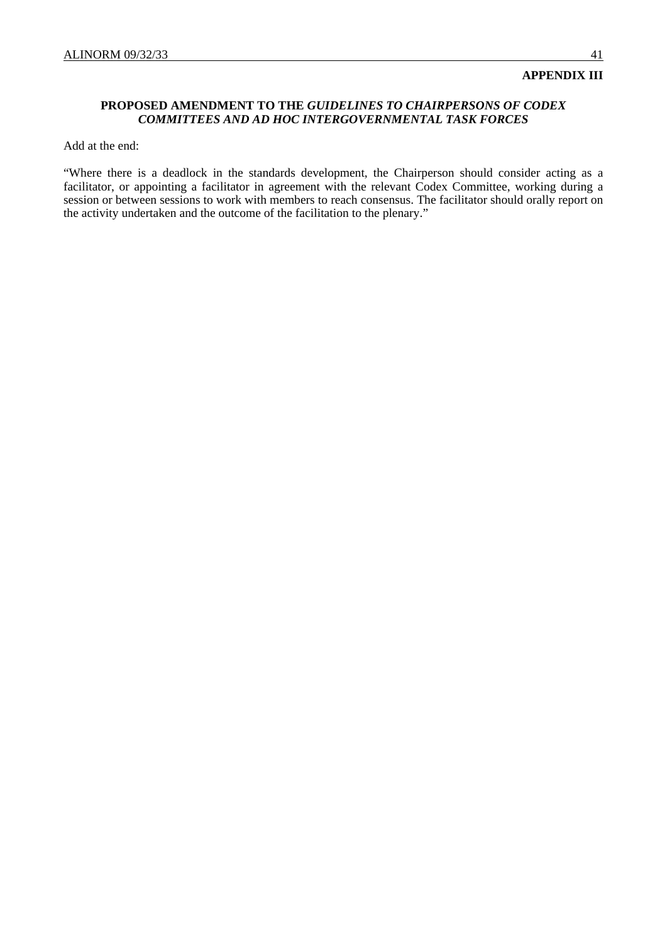## **PROPOSED AMENDMENT TO THE** *GUIDELINES TO CHAIRPERSONS OF CODEX COMMITTEES AND AD HOC INTERGOVERNMENTAL TASK FORCES*

Add at the end:

"Where there is a deadlock in the standards development, the Chairperson should consider acting as a facilitator, or appointing a facilitator in agreement with the relevant Codex Committee, working during a session or between sessions to work with members to reach consensus. The facilitator should orally report on the activity undertaken and the outcome of the facilitation to the plenary."